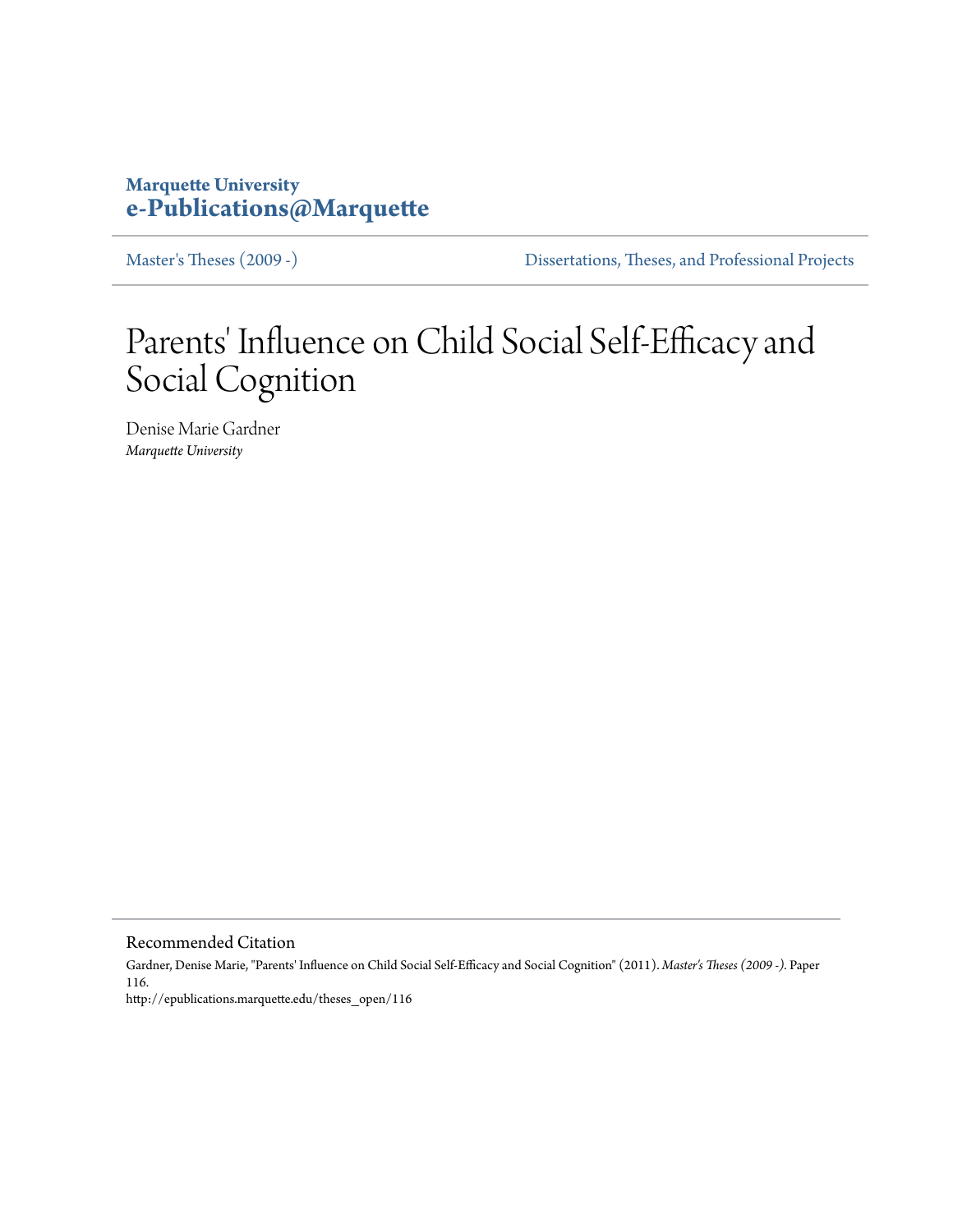# **Marquette University [e-Publications@Marquette](http://epublications.marquette.edu)**

[Master's Theses \(2009 -\)](http://epublications.marquette.edu/theses_open) [Dissertations, Theses, and Professional Projects](http://epublications.marquette.edu/diss_theses)

# Parents' Influence on Child Social Self-Efficacy and Social Cognition

Denise Marie Gardner *Marquette University*

Recommended Citation

Gardner, Denise Marie, "Parents' Influence on Child Social Self-Efficacy and Social Cognition" (2011). *Master's Theses (2009 -).* Paper 116. http://epublications.marquette.edu/theses\_open/116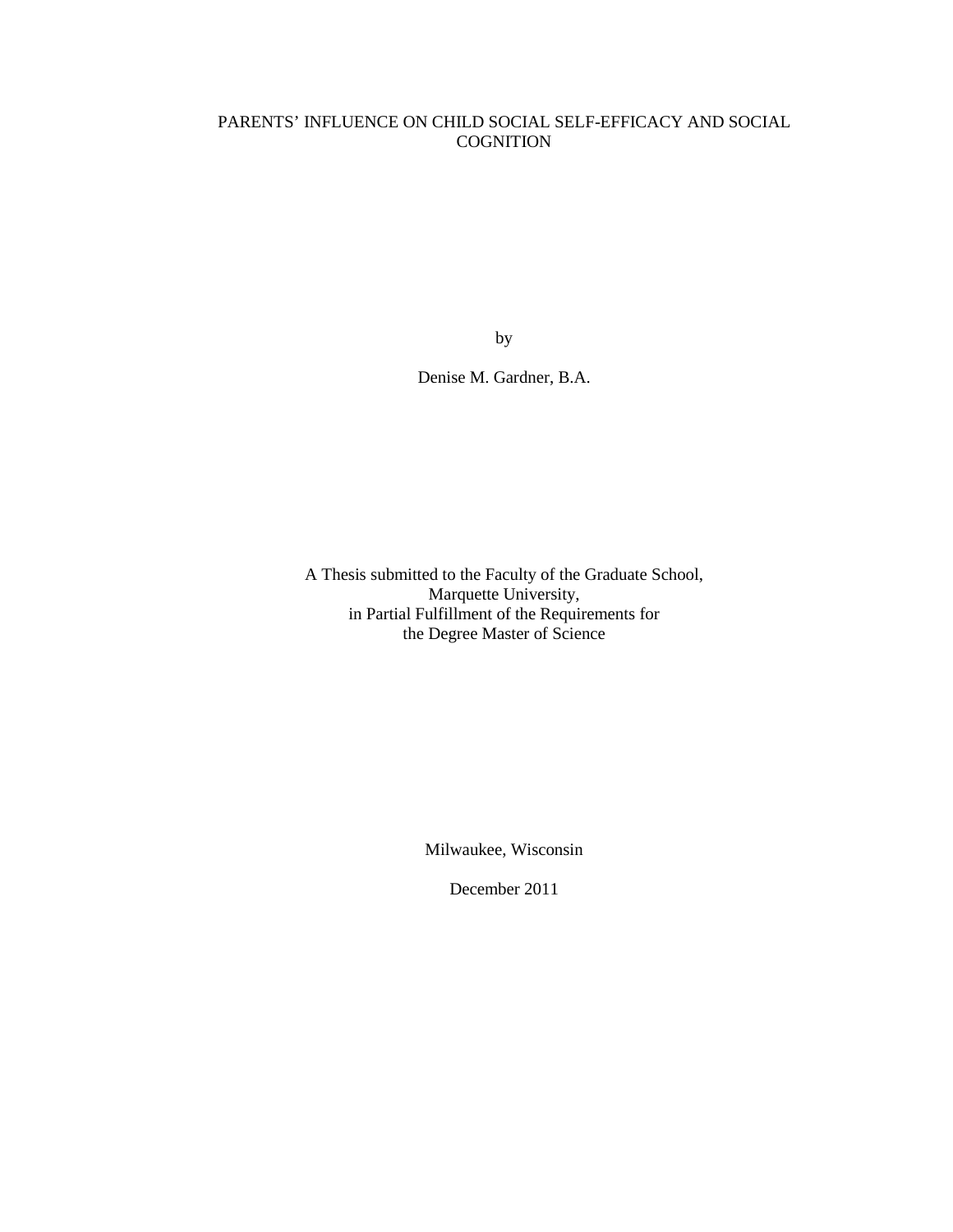# PARENTS' INFLUENCE ON CHILD SOCIAL SELF-EFFICACY AND SOCIAL **COGNITION**

by

Denise M. Gardner, B.A.

A Thesis submitted to the Faculty of the Graduate School, Marquette University, in Partial Fulfillment of the Requirements for the Degree Master of Science

Milwaukee, Wisconsin

December 2011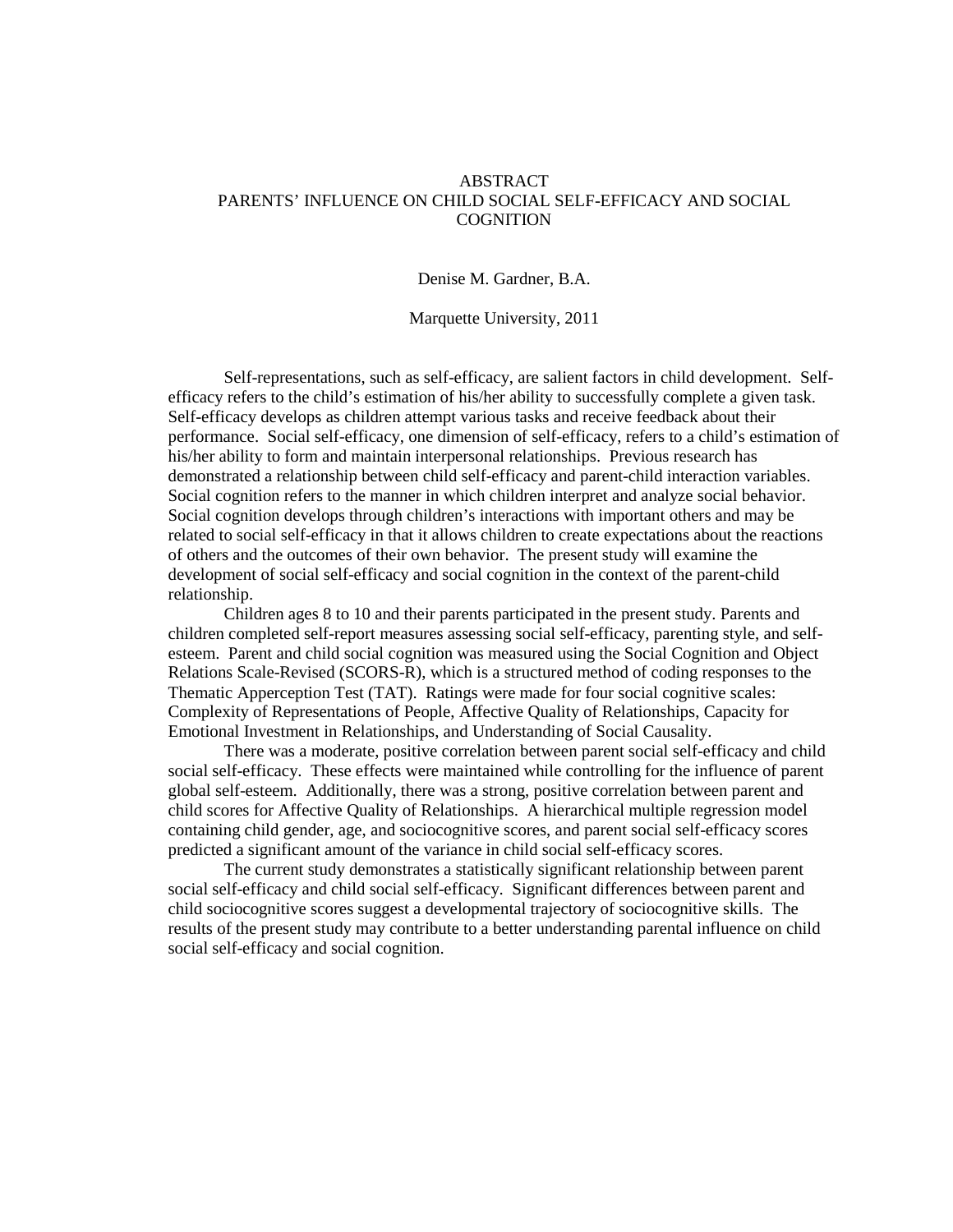# ABSTRACT PARENTS' INFLUENCE ON CHILD SOCIAL SELF-EFFICACY AND SOCIAL **COGNITION**

Denise M. Gardner, B.A.

Marquette University, 2011

Self-representations, such as self-efficacy, are salient factors in child development. Selfefficacy refers to the child's estimation of his/her ability to successfully complete a given task. Self-efficacy develops as children attempt various tasks and receive feedback about their performance. Social self-efficacy, one dimension of self-efficacy, refers to a child's estimation of his/her ability to form and maintain interpersonal relationships. Previous research has demonstrated a relationship between child self-efficacy and parent-child interaction variables. Social cognition refers to the manner in which children interpret and analyze social behavior. Social cognition develops through children's interactions with important others and may be related to social self-efficacy in that it allows children to create expectations about the reactions of others and the outcomes of their own behavior. The present study will examine the development of social self-efficacy and social cognition in the context of the parent-child relationship.

Children ages 8 to 10 and their parents participated in the present study. Parents and children completed self-report measures assessing social self-efficacy, parenting style, and selfesteem. Parent and child social cognition was measured using the Social Cognition and Object Relations Scale-Revised (SCORS-R), which is a structured method of coding responses to the Thematic Apperception Test (TAT). Ratings were made for four social cognitive scales: Complexity of Representations of People, Affective Quality of Relationships, Capacity for Emotional Investment in Relationships, and Understanding of Social Causality.

There was a moderate, positive correlation between parent social self-efficacy and child social self-efficacy. These effects were maintained while controlling for the influence of parent global self-esteem. Additionally, there was a strong, positive correlation between parent and child scores for Affective Quality of Relationships. A hierarchical multiple regression model containing child gender, age, and sociocognitive scores, and parent social self-efficacy scores predicted a significant amount of the variance in child social self-efficacy scores.

The current study demonstrates a statistically significant relationship between parent social self-efficacy and child social self-efficacy. Significant differences between parent and child sociocognitive scores suggest a developmental trajectory of sociocognitive skills. The results of the present study may contribute to a better understanding parental influence on child social self-efficacy and social cognition.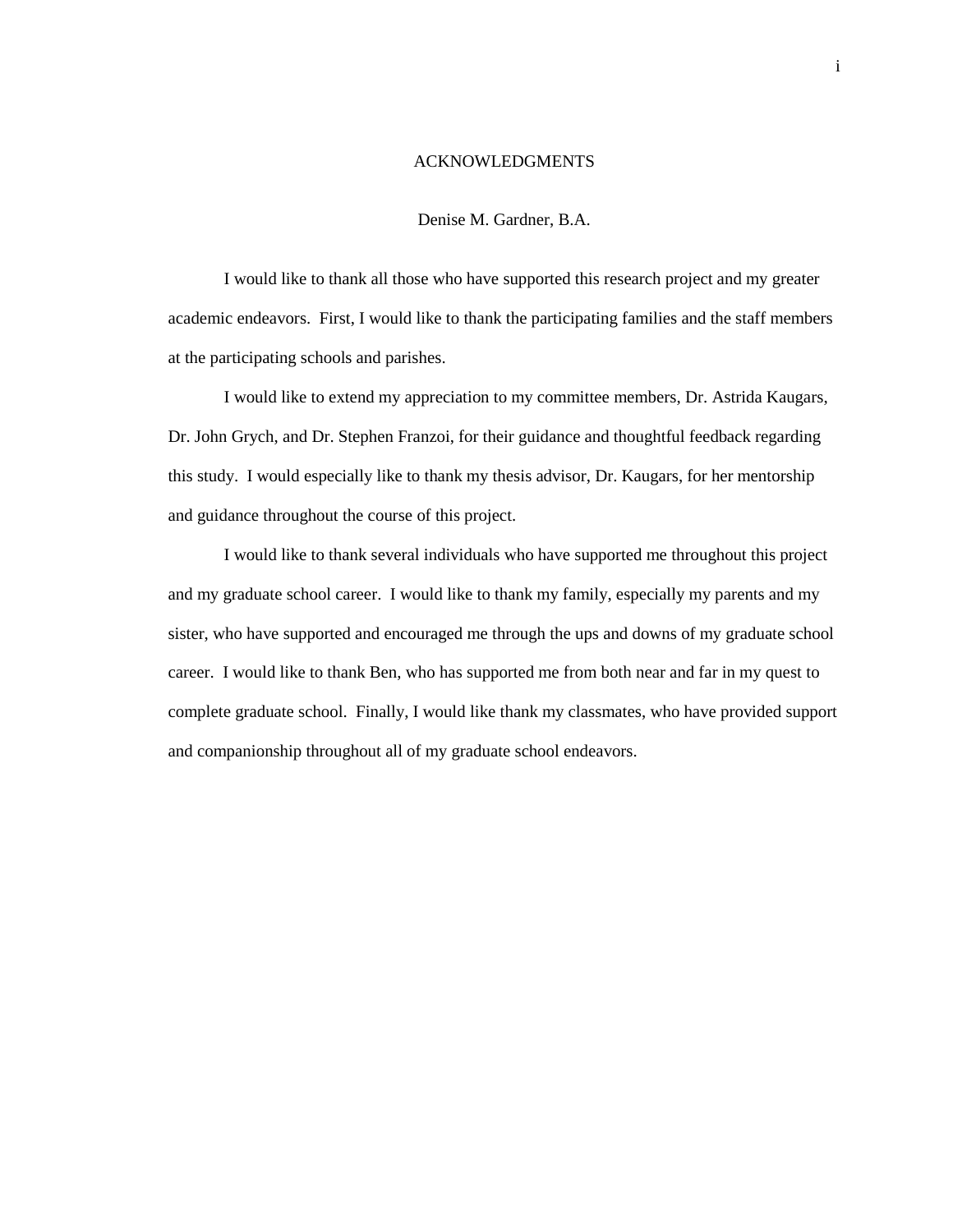#### ACKNOWLEDGMENTS

## Denise M. Gardner, B.A.

 I would like to thank all those who have supported this research project and my greater academic endeavors. First, I would like to thank the participating families and the staff members at the participating schools and parishes.

 I would like to extend my appreciation to my committee members, Dr. Astrida Kaugars, Dr. John Grych, and Dr. Stephen Franzoi, for their guidance and thoughtful feedback regarding this study. I would especially like to thank my thesis advisor, Dr. Kaugars, for her mentorship and guidance throughout the course of this project.

 I would like to thank several individuals who have supported me throughout this project and my graduate school career. I would like to thank my family, especially my parents and my sister, who have supported and encouraged me through the ups and downs of my graduate school career. I would like to thank Ben, who has supported me from both near and far in my quest to complete graduate school. Finally, I would like thank my classmates, who have provided support and companionship throughout all of my graduate school endeavors.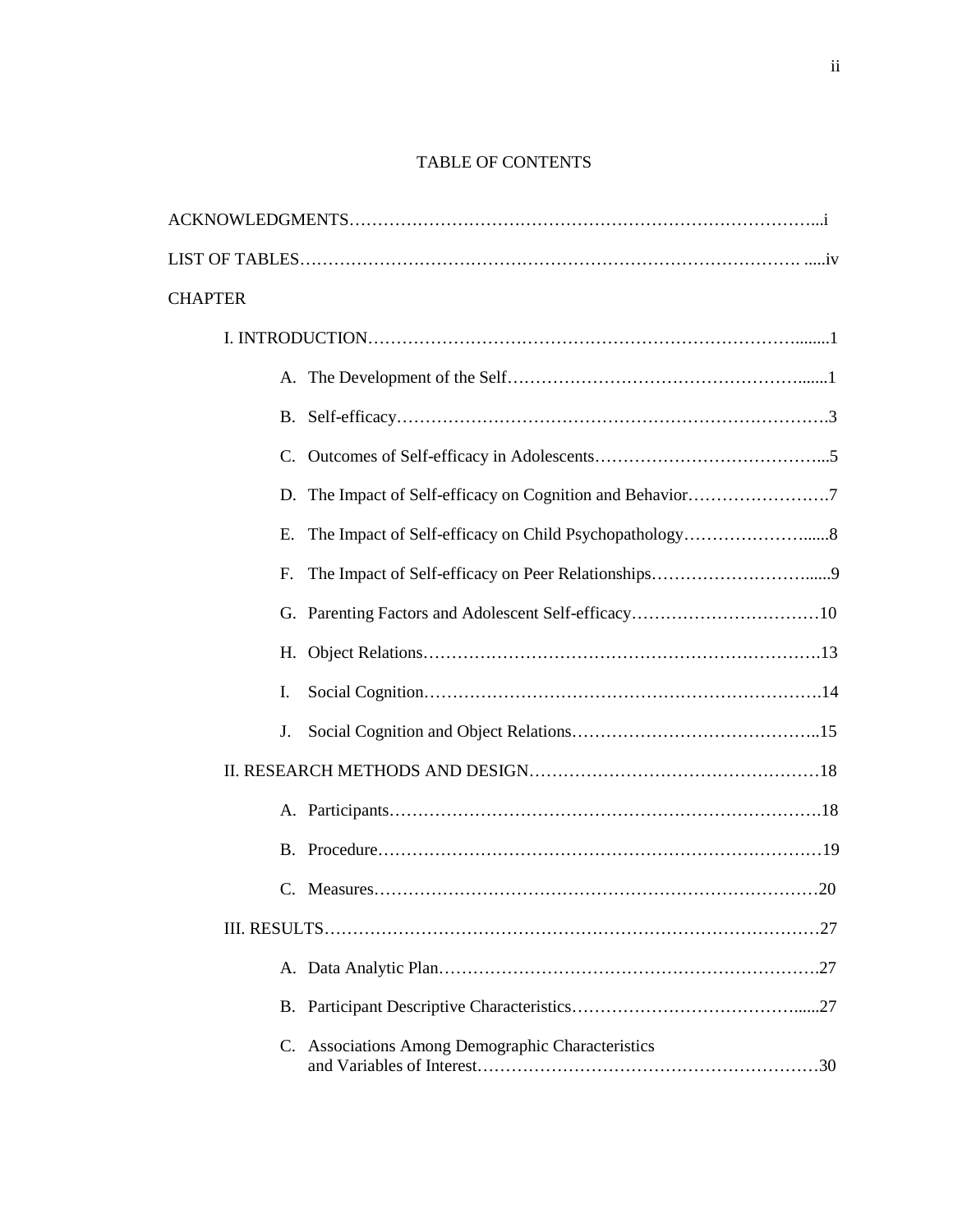# TABLE OF CONTENTS

| <b>CHAPTER</b> |                                                   |
|----------------|---------------------------------------------------|
|                |                                                   |
|                |                                                   |
|                |                                                   |
|                |                                                   |
|                |                                                   |
| Е.             |                                                   |
| E.             |                                                   |
|                |                                                   |
|                |                                                   |
| I.             |                                                   |
| J.             |                                                   |
|                |                                                   |
|                |                                                   |
|                |                                                   |
|                |                                                   |
|                |                                                   |
|                |                                                   |
|                |                                                   |
|                | C. Associations Among Demographic Characteristics |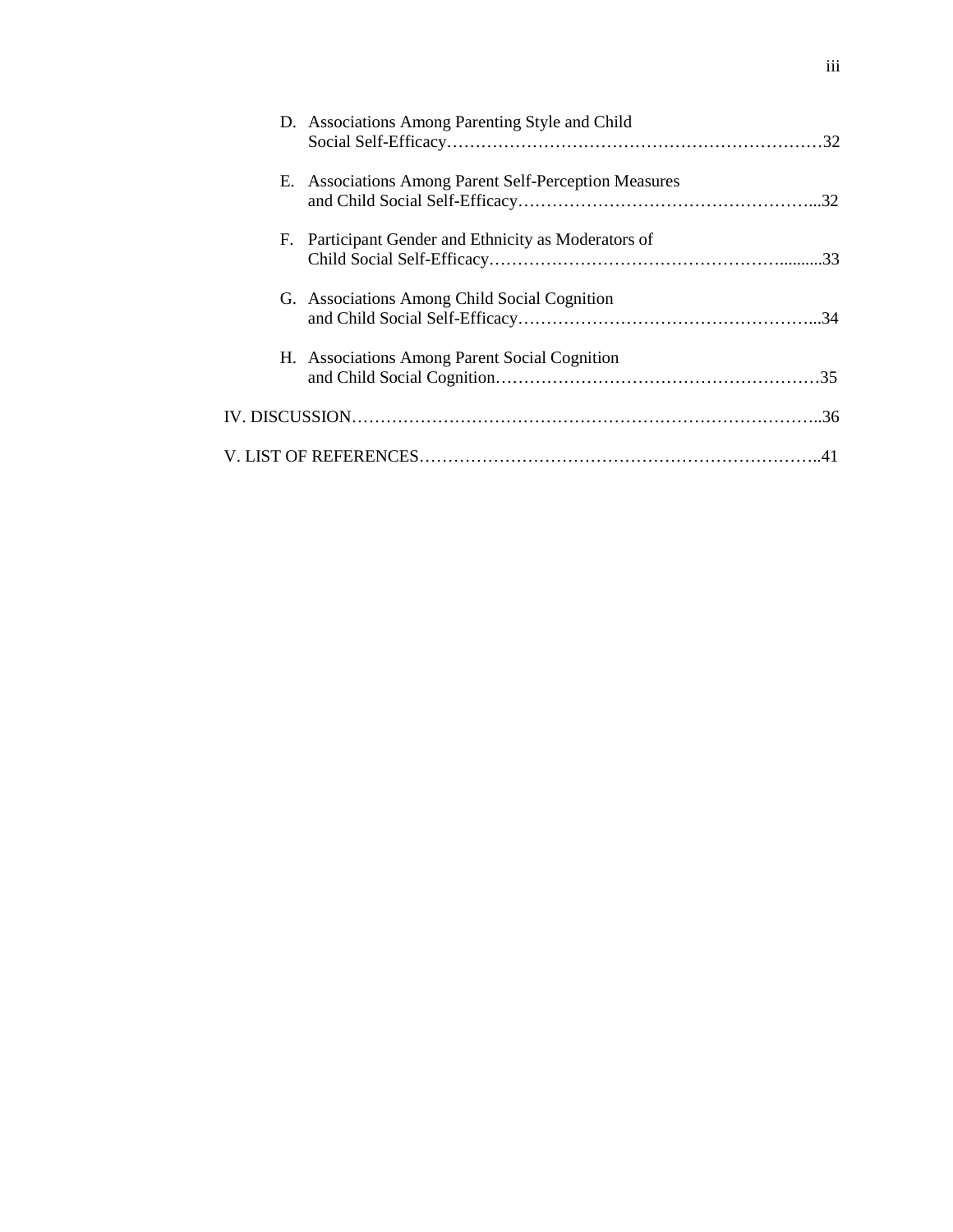| D. Associations Among Parenting Style and Child       |  |
|-------------------------------------------------------|--|
| E. Associations Among Parent Self-Perception Measures |  |
| F. Participant Gender and Ethnicity as Moderators of  |  |
| G. Associations Among Child Social Cognition          |  |
| H. Associations Among Parent Social Cognition         |  |
|                                                       |  |
|                                                       |  |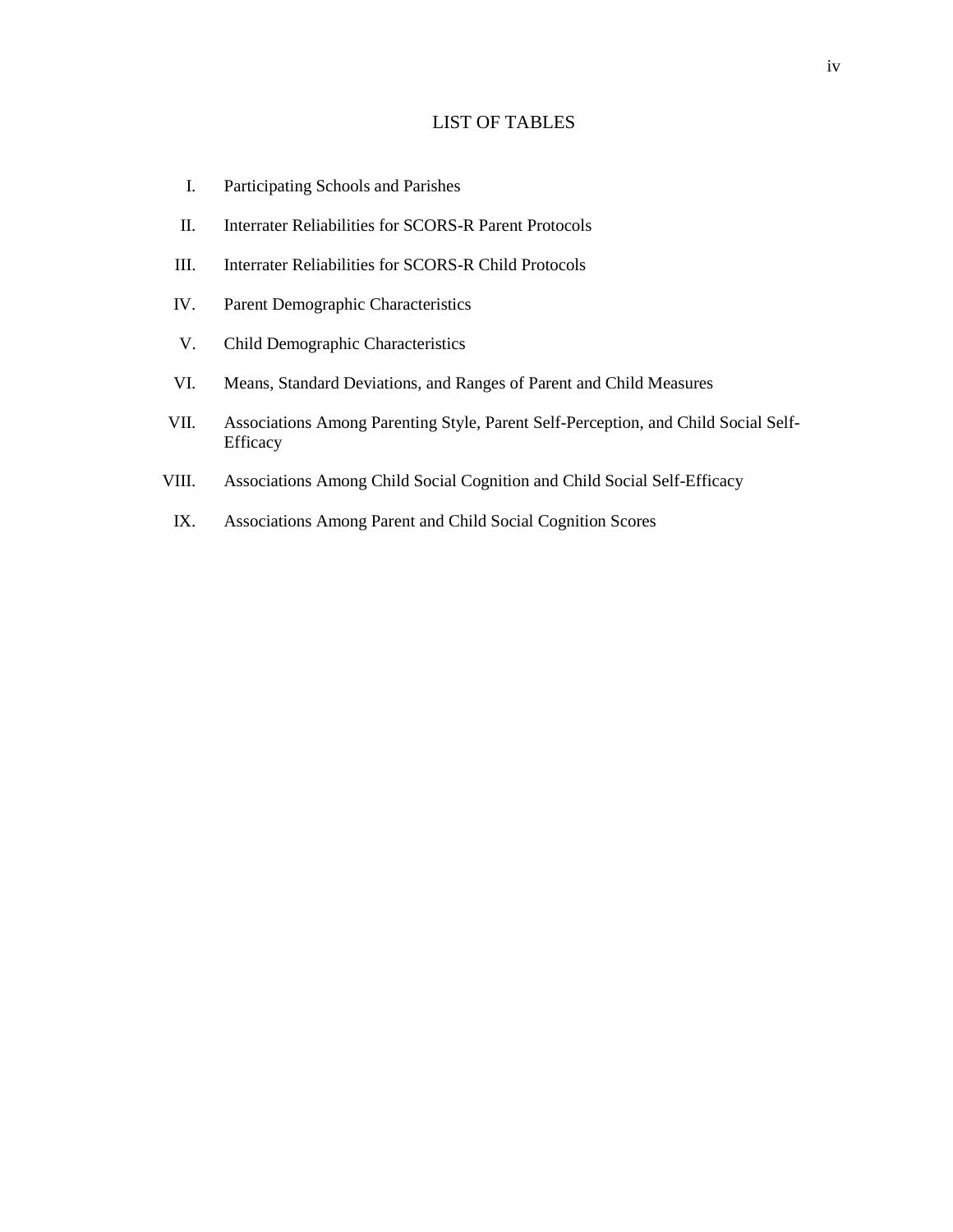# LIST OF TABLES

- I. Participating Schools and Parishes
- II. Interrater Reliabilities for SCORS-R Parent Protocols
- III. Interrater Reliabilities for SCORS-R Child Protocols
- IV. Parent Demographic Characteristics
- V. Child Demographic Characteristics
- VI. Means, Standard Deviations, and Ranges of Parent and Child Measures
- VII. Associations Among Parenting Style, Parent Self-Perception, and Child Social Self-Efficacy
- VIII. Associations Among Child Social Cognition and Child Social Self-Efficacy
- IX. Associations Among Parent and Child Social Cognition Scores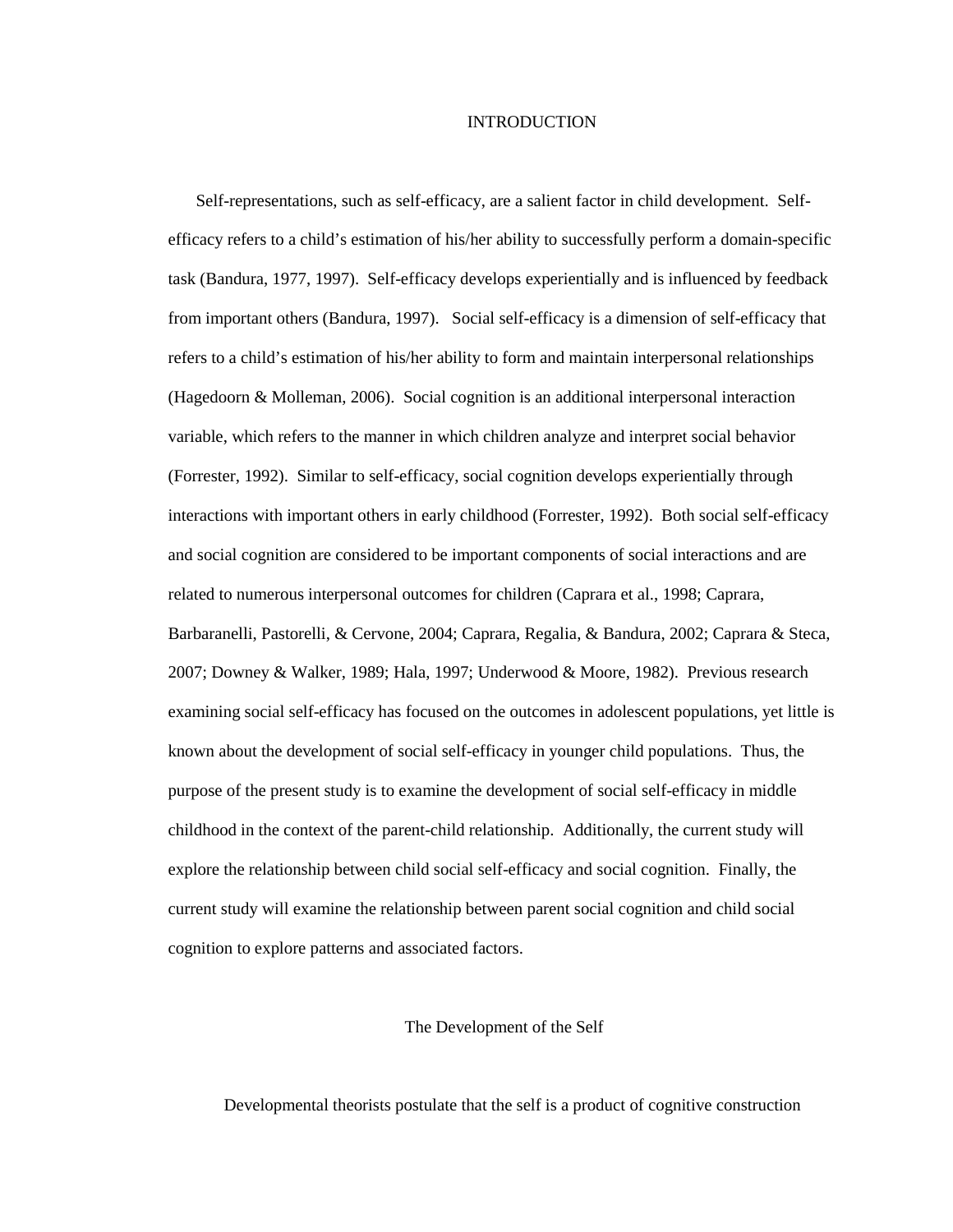# **INTRODUCTION**

Self-representations, such as self-efficacy, are a salient factor in child development. Selfefficacy refers to a child's estimation of his/her ability to successfully perform a domain-specific task (Bandura, 1977, 1997). Self-efficacy develops experientially and is influenced by feedback from important others (Bandura, 1997). Social self-efficacy is a dimension of self-efficacy that refers to a child's estimation of his/her ability to form and maintain interpersonal relationships (Hagedoorn & Molleman, 2006). Social cognition is an additional interpersonal interaction variable, which refers to the manner in which children analyze and interpret social behavior (Forrester, 1992). Similar to self-efficacy, social cognition develops experientially through interactions with important others in early childhood (Forrester, 1992). Both social self-efficacy and social cognition are considered to be important components of social interactions and are related to numerous interpersonal outcomes for children (Caprara et al., 1998; Caprara, Barbaranelli, Pastorelli, & Cervone, 2004; Caprara, Regalia, & Bandura, 2002; Caprara & Steca, 2007; Downey & Walker, 1989; Hala, 1997; Underwood & Moore, 1982). Previous research examining social self-efficacy has focused on the outcomes in adolescent populations, yet little is known about the development of social self-efficacy in younger child populations. Thus, the purpose of the present study is to examine the development of social self-efficacy in middle childhood in the context of the parent-child relationship. Additionally, the current study will explore the relationship between child social self-efficacy and social cognition. Finally, the current study will examine the relationship between parent social cognition and child social cognition to explore patterns and associated factors.

# The Development of the Self

Developmental theorists postulate that the self is a product of cognitive construction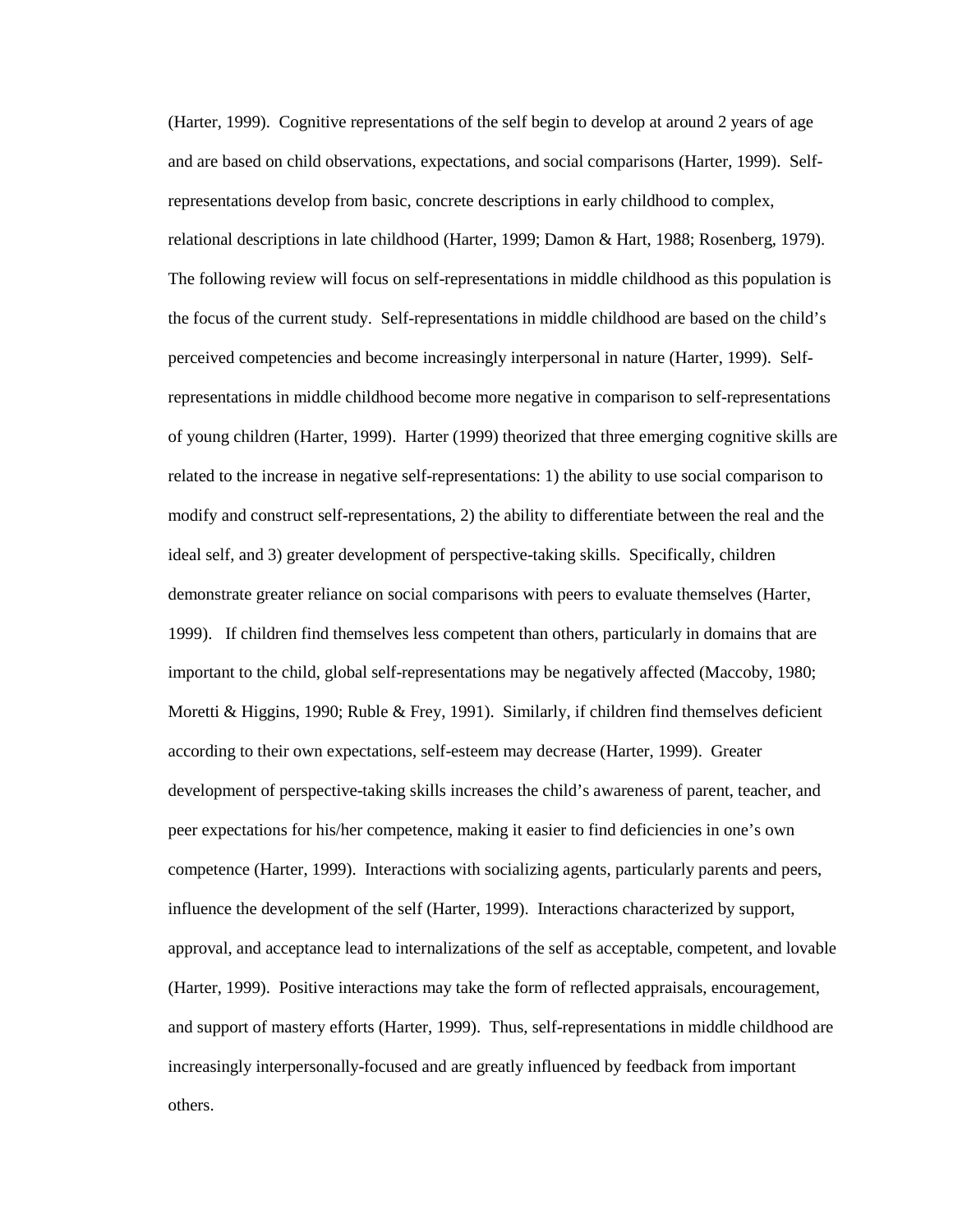(Harter, 1999). Cognitive representations of the self begin to develop at around 2 years of age and are based on child observations, expectations, and social comparisons (Harter, 1999). Selfrepresentations develop from basic, concrete descriptions in early childhood to complex, relational descriptions in late childhood (Harter, 1999; Damon & Hart, 1988; Rosenberg, 1979). The following review will focus on self-representations in middle childhood as this population is the focus of the current study. Self-representations in middle childhood are based on the child's perceived competencies and become increasingly interpersonal in nature (Harter, 1999). Selfrepresentations in middle childhood become more negative in comparison to self-representations of young children (Harter, 1999). Harter (1999) theorized that three emerging cognitive skills are related to the increase in negative self-representations: 1) the ability to use social comparison to modify and construct self-representations, 2) the ability to differentiate between the real and the ideal self, and 3) greater development of perspective-taking skills. Specifically, children demonstrate greater reliance on social comparisons with peers to evaluate themselves (Harter, 1999). If children find themselves less competent than others, particularly in domains that are important to the child, global self-representations may be negatively affected (Maccoby, 1980; Moretti & Higgins, 1990; Ruble & Frey, 1991). Similarly, if children find themselves deficient according to their own expectations, self-esteem may decrease (Harter, 1999). Greater development of perspective-taking skills increases the child's awareness of parent, teacher, and peer expectations for his/her competence, making it easier to find deficiencies in one's own competence (Harter, 1999). Interactions with socializing agents, particularly parents and peers, influence the development of the self (Harter, 1999). Interactions characterized by support, approval, and acceptance lead to internalizations of the self as acceptable, competent, and lovable (Harter, 1999). Positive interactions may take the form of reflected appraisals, encouragement, and support of mastery efforts (Harter, 1999). Thus, self-representations in middle childhood are increasingly interpersonally-focused and are greatly influenced by feedback from important others.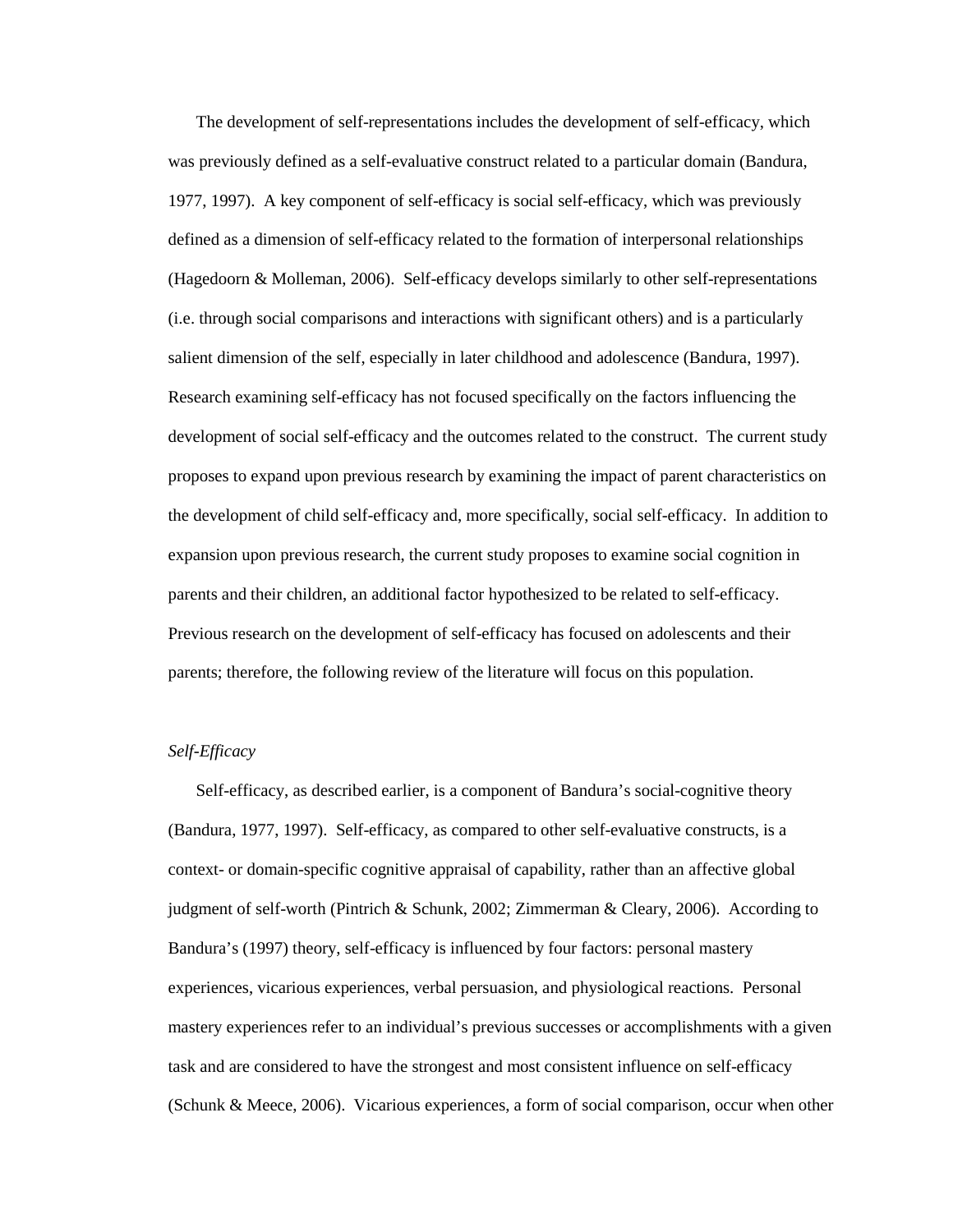The development of self-representations includes the development of self-efficacy, which was previously defined as a self-evaluative construct related to a particular domain (Bandura, 1977, 1997). A key component of self-efficacy is social self-efficacy, which was previously defined as a dimension of self-efficacy related to the formation of interpersonal relationships (Hagedoorn & Molleman, 2006). Self-efficacy develops similarly to other self-representations (i.e. through social comparisons and interactions with significant others) and is a particularly salient dimension of the self, especially in later childhood and adolescence (Bandura, 1997). Research examining self-efficacy has not focused specifically on the factors influencing the development of social self-efficacy and the outcomes related to the construct. The current study proposes to expand upon previous research by examining the impact of parent characteristics on the development of child self-efficacy and, more specifically, social self-efficacy. In addition to expansion upon previous research, the current study proposes to examine social cognition in parents and their children, an additional factor hypothesized to be related to self-efficacy. Previous research on the development of self-efficacy has focused on adolescents and their parents; therefore, the following review of the literature will focus on this population.

# *Self-Efficacy*

Self-efficacy, as described earlier, is a component of Bandura's social-cognitive theory (Bandura, 1977, 1997). Self-efficacy, as compared to other self-evaluative constructs, is a context- or domain-specific cognitive appraisal of capability, rather than an affective global judgment of self-worth (Pintrich & Schunk, 2002; Zimmerman & Cleary, 2006). According to Bandura's (1997) theory, self-efficacy is influenced by four factors: personal mastery experiences, vicarious experiences, verbal persuasion, and physiological reactions. Personal mastery experiences refer to an individual's previous successes or accomplishments with a given task and are considered to have the strongest and most consistent influence on self-efficacy (Schunk & Meece, 2006). Vicarious experiences, a form of social comparison, occur when other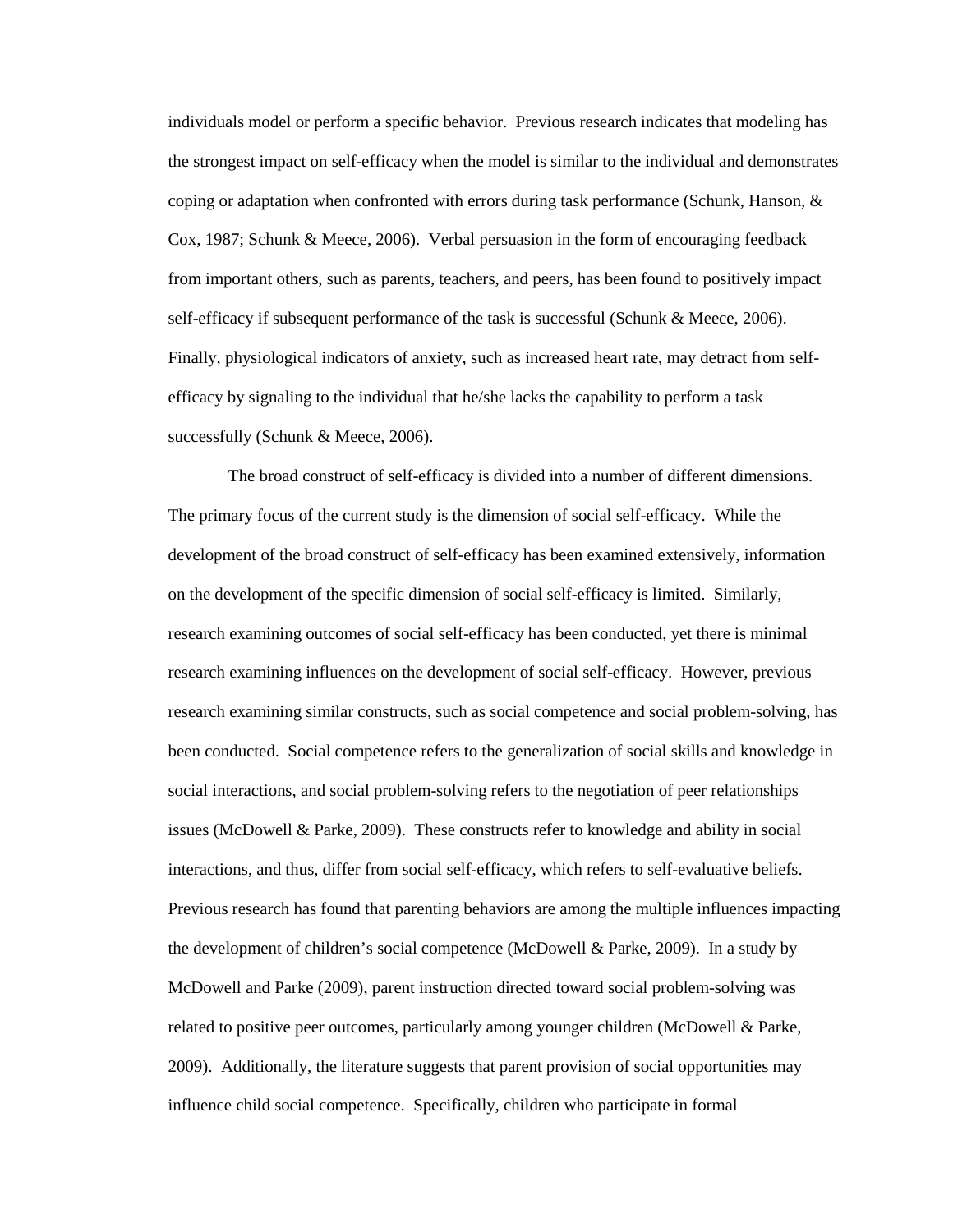individuals model or perform a specific behavior. Previous research indicates that modeling has the strongest impact on self-efficacy when the model is similar to the individual and demonstrates coping or adaptation when confronted with errors during task performance (Schunk, Hanson, & Cox, 1987; Schunk & Meece, 2006). Verbal persuasion in the form of encouraging feedback from important others, such as parents, teachers, and peers, has been found to positively impact self-efficacy if subsequent performance of the task is successful (Schunk & Meece, 2006). Finally, physiological indicators of anxiety, such as increased heart rate, may detract from selfefficacy by signaling to the individual that he/she lacks the capability to perform a task successfully (Schunk & Meece, 2006).

 The broad construct of self-efficacy is divided into a number of different dimensions. The primary focus of the current study is the dimension of social self-efficacy. While the development of the broad construct of self-efficacy has been examined extensively, information on the development of the specific dimension of social self-efficacy is limited. Similarly, research examining outcomes of social self-efficacy has been conducted, yet there is minimal research examining influences on the development of social self-efficacy. However, previous research examining similar constructs, such as social competence and social problem-solving, has been conducted. Social competence refers to the generalization of social skills and knowledge in social interactions, and social problem-solving refers to the negotiation of peer relationships issues (McDowell & Parke, 2009). These constructs refer to knowledge and ability in social interactions, and thus, differ from social self-efficacy, which refers to self-evaluative beliefs. Previous research has found that parenting behaviors are among the multiple influences impacting the development of children's social competence (McDowell & Parke, 2009). In a study by McDowell and Parke (2009), parent instruction directed toward social problem-solving was related to positive peer outcomes, particularly among younger children (McDowell & Parke, 2009). Additionally, the literature suggests that parent provision of social opportunities may influence child social competence. Specifically, children who participate in formal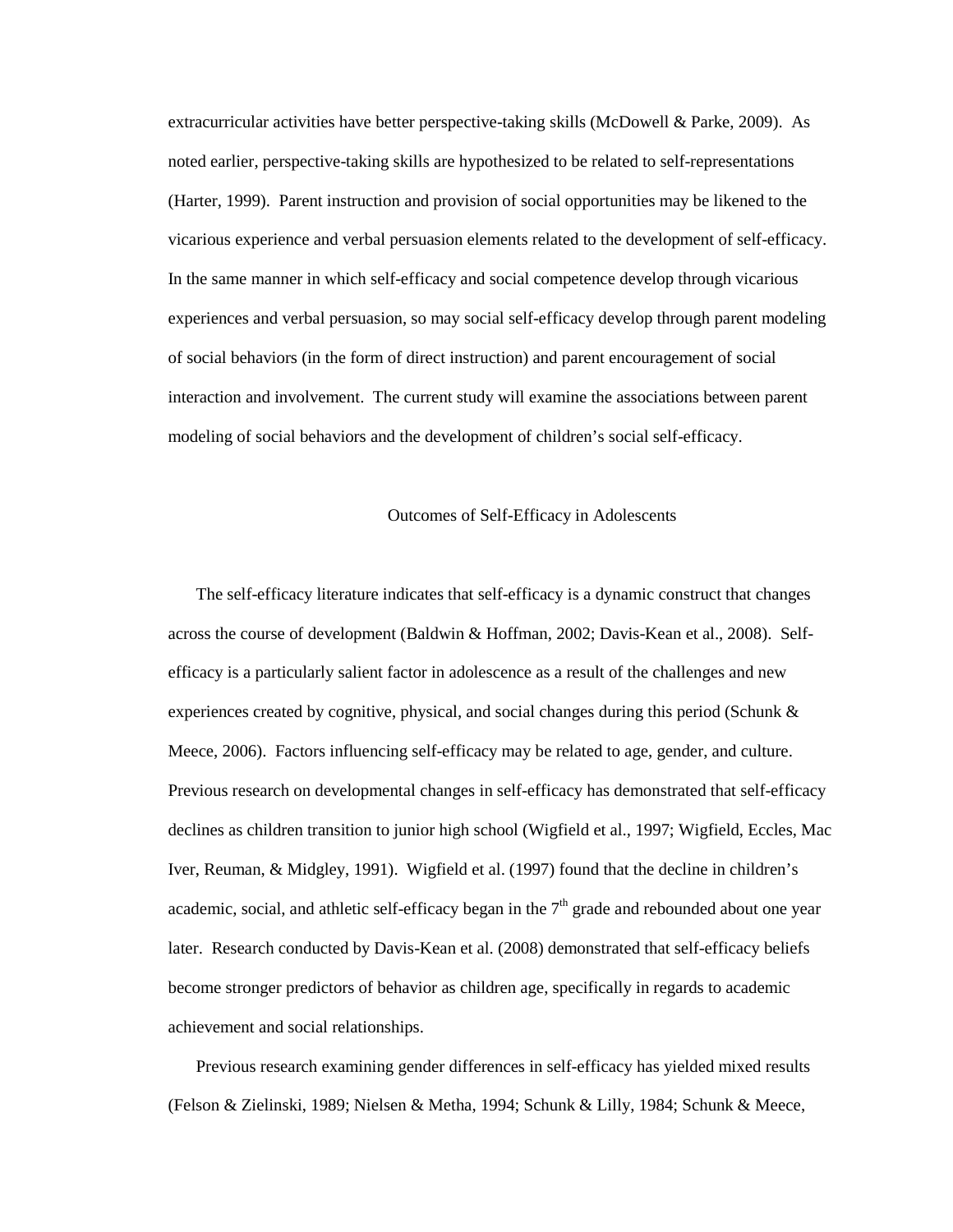extracurricular activities have better perspective-taking skills (McDowell & Parke, 2009). As noted earlier, perspective-taking skills are hypothesized to be related to self-representations (Harter, 1999). Parent instruction and provision of social opportunities may be likened to the vicarious experience and verbal persuasion elements related to the development of self-efficacy. In the same manner in which self-efficacy and social competence develop through vicarious experiences and verbal persuasion, so may social self-efficacy develop through parent modeling of social behaviors (in the form of direct instruction) and parent encouragement of social interaction and involvement. The current study will examine the associations between parent modeling of social behaviors and the development of children's social self-efficacy.

# Outcomes of Self-Efficacy in Adolescents

The self-efficacy literature indicates that self-efficacy is a dynamic construct that changes across the course of development (Baldwin & Hoffman, 2002; Davis-Kean et al., 2008). Selfefficacy is a particularly salient factor in adolescence as a result of the challenges and new experiences created by cognitive, physical, and social changes during this period (Schunk & Meece, 2006). Factors influencing self-efficacy may be related to age, gender, and culture. Previous research on developmental changes in self-efficacy has demonstrated that self-efficacy declines as children transition to junior high school (Wigfield et al., 1997; Wigfield, Eccles, Mac Iver, Reuman, & Midgley, 1991). Wigfield et al. (1997) found that the decline in children's academic, social, and athletic self-efficacy began in the  $7<sup>th</sup>$  grade and rebounded about one year later. Research conducted by Davis-Kean et al. (2008) demonstrated that self-efficacy beliefs become stronger predictors of behavior as children age, specifically in regards to academic achievement and social relationships.

Previous research examining gender differences in self-efficacy has yielded mixed results (Felson & Zielinski, 1989; Nielsen & Metha, 1994; Schunk & Lilly, 1984; Schunk & Meece,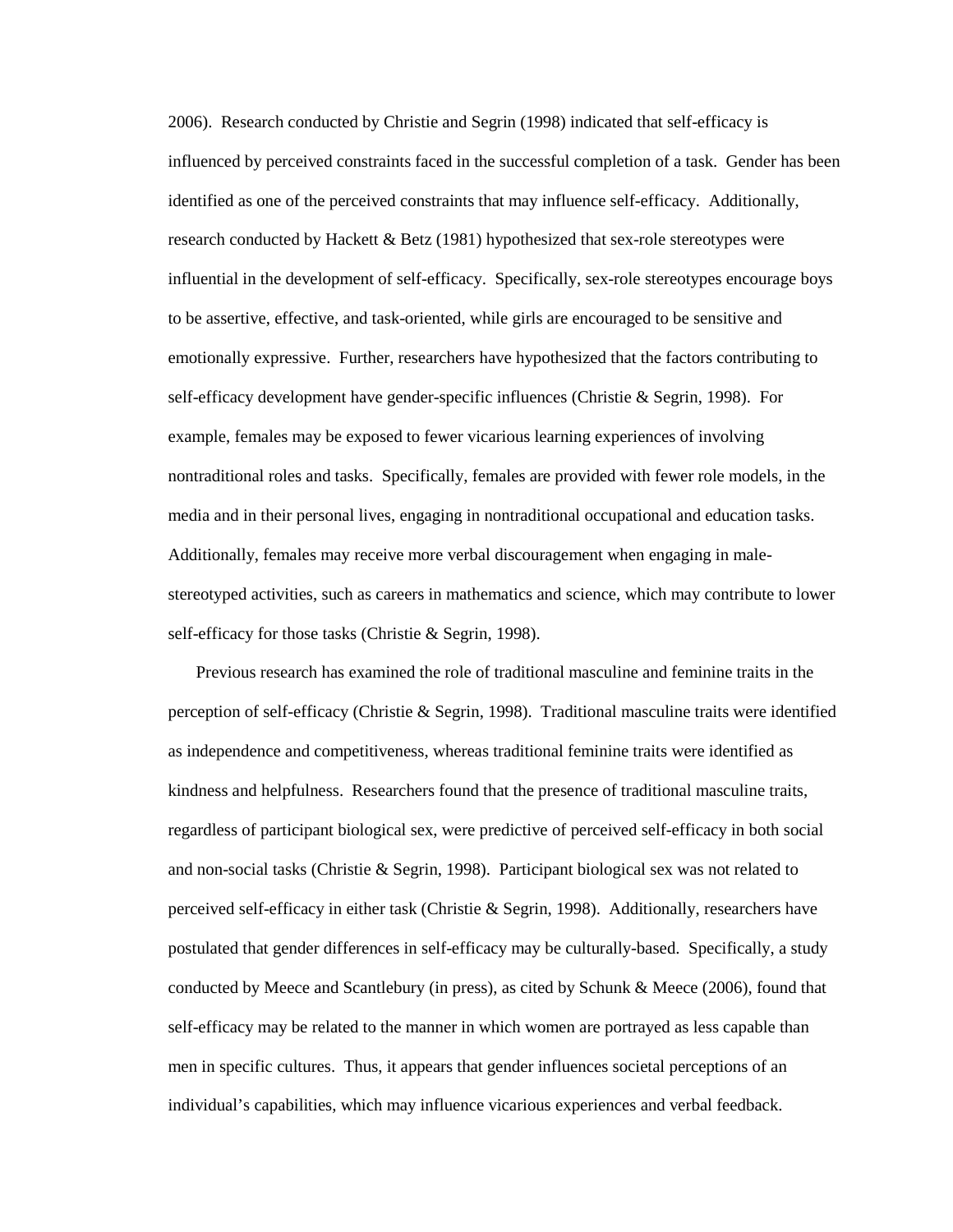2006). Research conducted by Christie and Segrin (1998) indicated that self-efficacy is influenced by perceived constraints faced in the successful completion of a task. Gender has been identified as one of the perceived constraints that may influence self-efficacy. Additionally, research conducted by Hackett & Betz (1981) hypothesized that sex-role stereotypes were influential in the development of self-efficacy. Specifically, sex-role stereotypes encourage boys to be assertive, effective, and task-oriented, while girls are encouraged to be sensitive and emotionally expressive. Further, researchers have hypothesized that the factors contributing to self-efficacy development have gender-specific influences (Christie & Segrin, 1998). For example, females may be exposed to fewer vicarious learning experiences of involving nontraditional roles and tasks. Specifically, females are provided with fewer role models, in the media and in their personal lives, engaging in nontraditional occupational and education tasks. Additionally, females may receive more verbal discouragement when engaging in malestereotyped activities, such as careers in mathematics and science, which may contribute to lower self-efficacy for those tasks (Christie & Segrin, 1998).

Previous research has examined the role of traditional masculine and feminine traits in the perception of self-efficacy (Christie & Segrin, 1998). Traditional masculine traits were identified as independence and competitiveness, whereas traditional feminine traits were identified as kindness and helpfulness. Researchers found that the presence of traditional masculine traits, regardless of participant biological sex, were predictive of perceived self-efficacy in both social and non-social tasks (Christie  $& Segrin, 1998$ ). Participant biological sex was not related to perceived self-efficacy in either task (Christie & Segrin, 1998). Additionally, researchers have postulated that gender differences in self-efficacy may be culturally-based. Specifically, a study conducted by Meece and Scantlebury (in press), as cited by Schunk & Meece (2006), found that self-efficacy may be related to the manner in which women are portrayed as less capable than men in specific cultures. Thus, it appears that gender influences societal perceptions of an individual's capabilities, which may influence vicarious experiences and verbal feedback.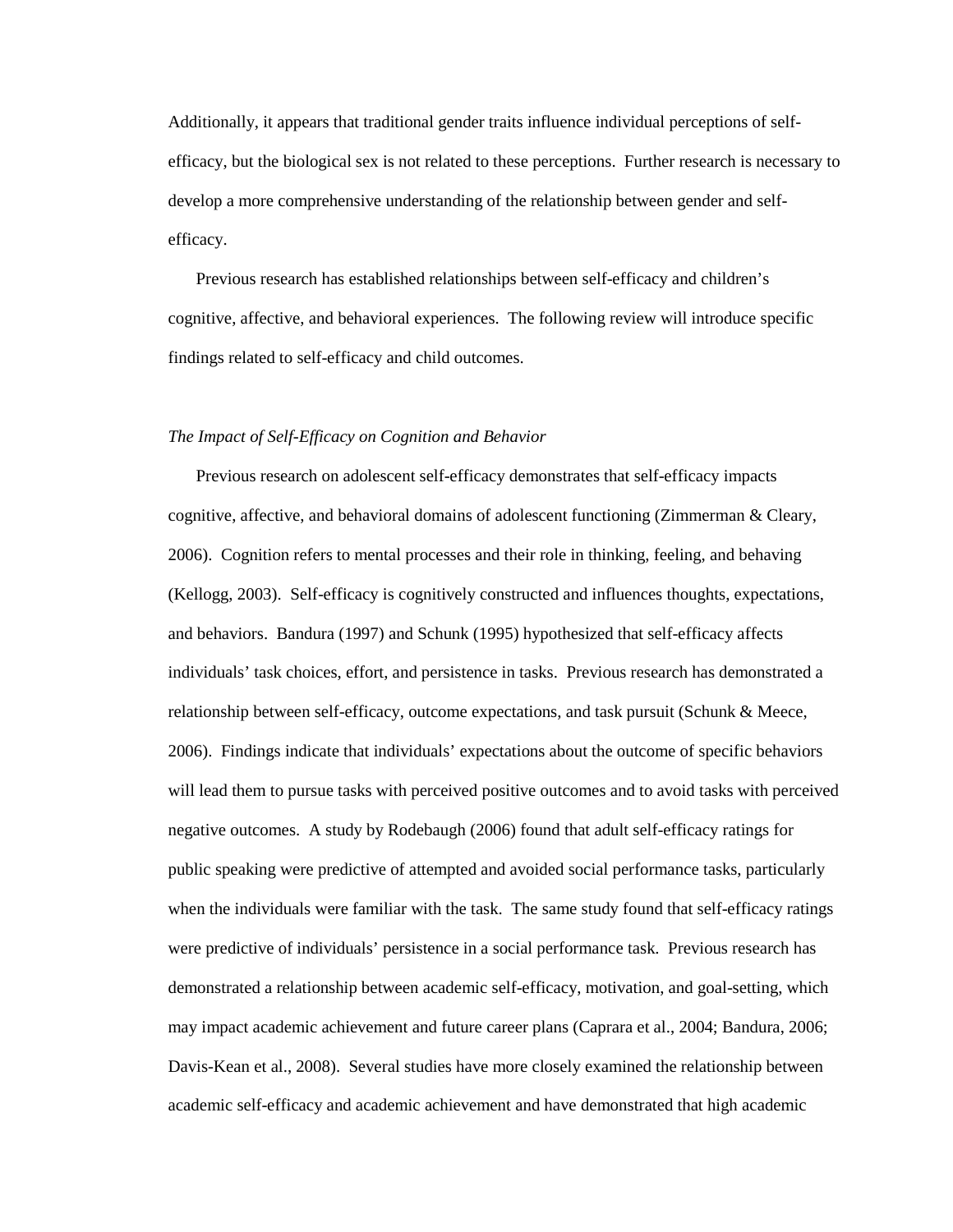Additionally, it appears that traditional gender traits influence individual perceptions of selfefficacy, but the biological sex is not related to these perceptions. Further research is necessary to develop a more comprehensive understanding of the relationship between gender and selfefficacy.

Previous research has established relationships between self-efficacy and children's cognitive, affective, and behavioral experiences. The following review will introduce specific findings related to self-efficacy and child outcomes.

# *The Impact of Self-Efficacy on Cognition and Behavior*

Previous research on adolescent self-efficacy demonstrates that self-efficacy impacts cognitive, affective, and behavioral domains of adolescent functioning (Zimmerman & Cleary, 2006). Cognition refers to mental processes and their role in thinking, feeling, and behaving (Kellogg, 2003). Self-efficacy is cognitively constructed and influences thoughts, expectations, and behaviors. Bandura (1997) and Schunk (1995) hypothesized that self-efficacy affects individuals' task choices, effort, and persistence in tasks. Previous research has demonstrated a relationship between self-efficacy, outcome expectations, and task pursuit (Schunk & Meece, 2006). Findings indicate that individuals' expectations about the outcome of specific behaviors will lead them to pursue tasks with perceived positive outcomes and to avoid tasks with perceived negative outcomes. A study by Rodebaugh (2006) found that adult self-efficacy ratings for public speaking were predictive of attempted and avoided social performance tasks, particularly when the individuals were familiar with the task. The same study found that self-efficacy ratings were predictive of individuals' persistence in a social performance task. Previous research has demonstrated a relationship between academic self-efficacy, motivation, and goal-setting, which may impact academic achievement and future career plans (Caprara et al., 2004; Bandura, 2006; Davis-Kean et al., 2008). Several studies have more closely examined the relationship between academic self-efficacy and academic achievement and have demonstrated that high academic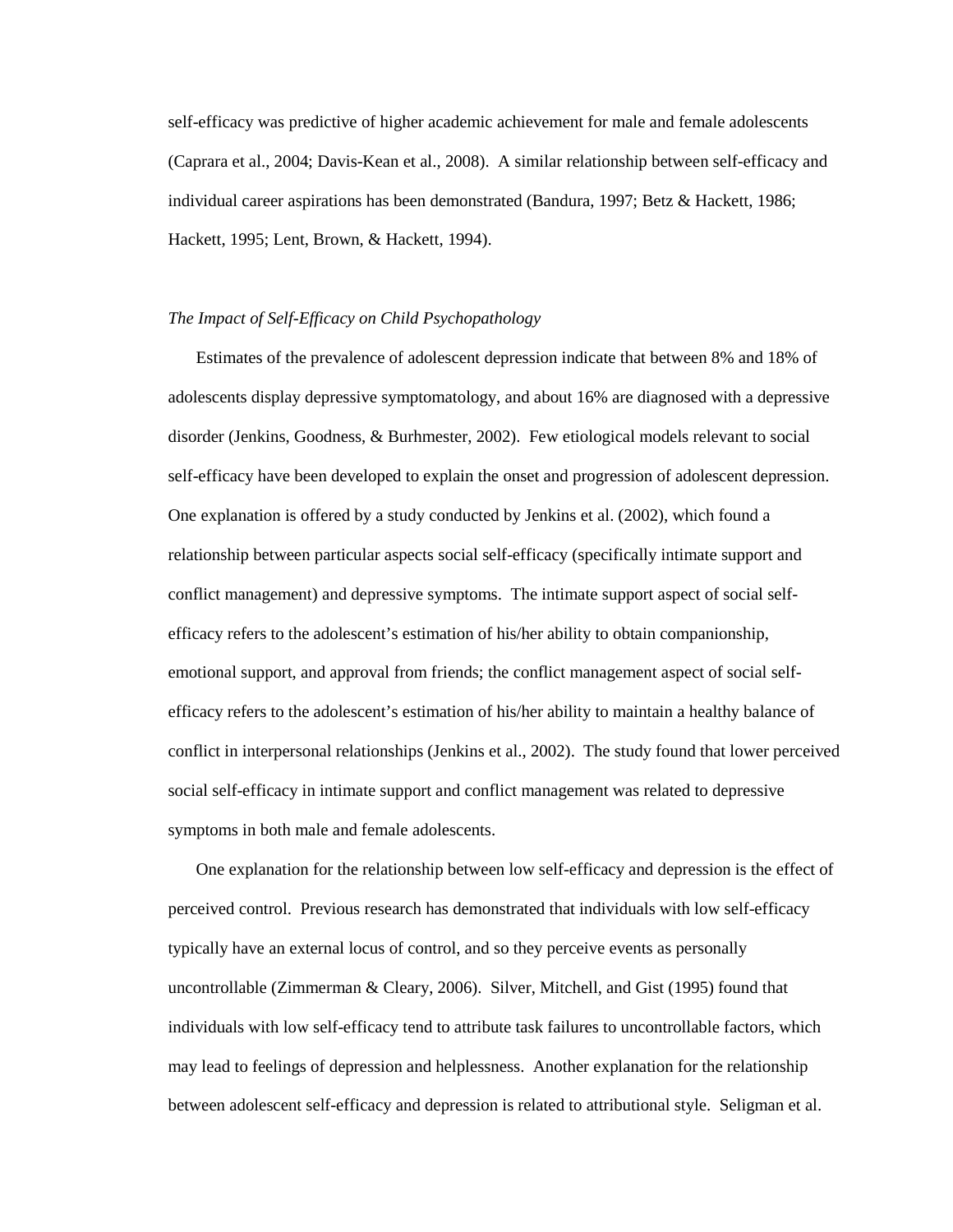self-efficacy was predictive of higher academic achievement for male and female adolescents (Caprara et al., 2004; Davis-Kean et al., 2008). A similar relationship between self-efficacy and individual career aspirations has been demonstrated (Bandura, 1997; Betz & Hackett, 1986; Hackett, 1995; Lent, Brown, & Hackett, 1994).

## *The Impact of Self-Efficacy on Child Psychopathology*

Estimates of the prevalence of adolescent depression indicate that between 8% and 18% of adolescents display depressive symptomatology, and about 16% are diagnosed with a depressive disorder (Jenkins, Goodness, & Burhmester, 2002). Few etiological models relevant to social self-efficacy have been developed to explain the onset and progression of adolescent depression. One explanation is offered by a study conducted by Jenkins et al. (2002), which found a relationship between particular aspects social self-efficacy (specifically intimate support and conflict management) and depressive symptoms. The intimate support aspect of social selfefficacy refers to the adolescent's estimation of his/her ability to obtain companionship, emotional support, and approval from friends; the conflict management aspect of social selfefficacy refers to the adolescent's estimation of his/her ability to maintain a healthy balance of conflict in interpersonal relationships (Jenkins et al., 2002). The study found that lower perceived social self-efficacy in intimate support and conflict management was related to depressive symptoms in both male and female adolescents.

One explanation for the relationship between low self-efficacy and depression is the effect of perceived control. Previous research has demonstrated that individuals with low self-efficacy typically have an external locus of control, and so they perceive events as personally uncontrollable (Zimmerman & Cleary, 2006). Silver, Mitchell, and Gist (1995) found that individuals with low self-efficacy tend to attribute task failures to uncontrollable factors, which may lead to feelings of depression and helplessness. Another explanation for the relationship between adolescent self-efficacy and depression is related to attributional style. Seligman et al.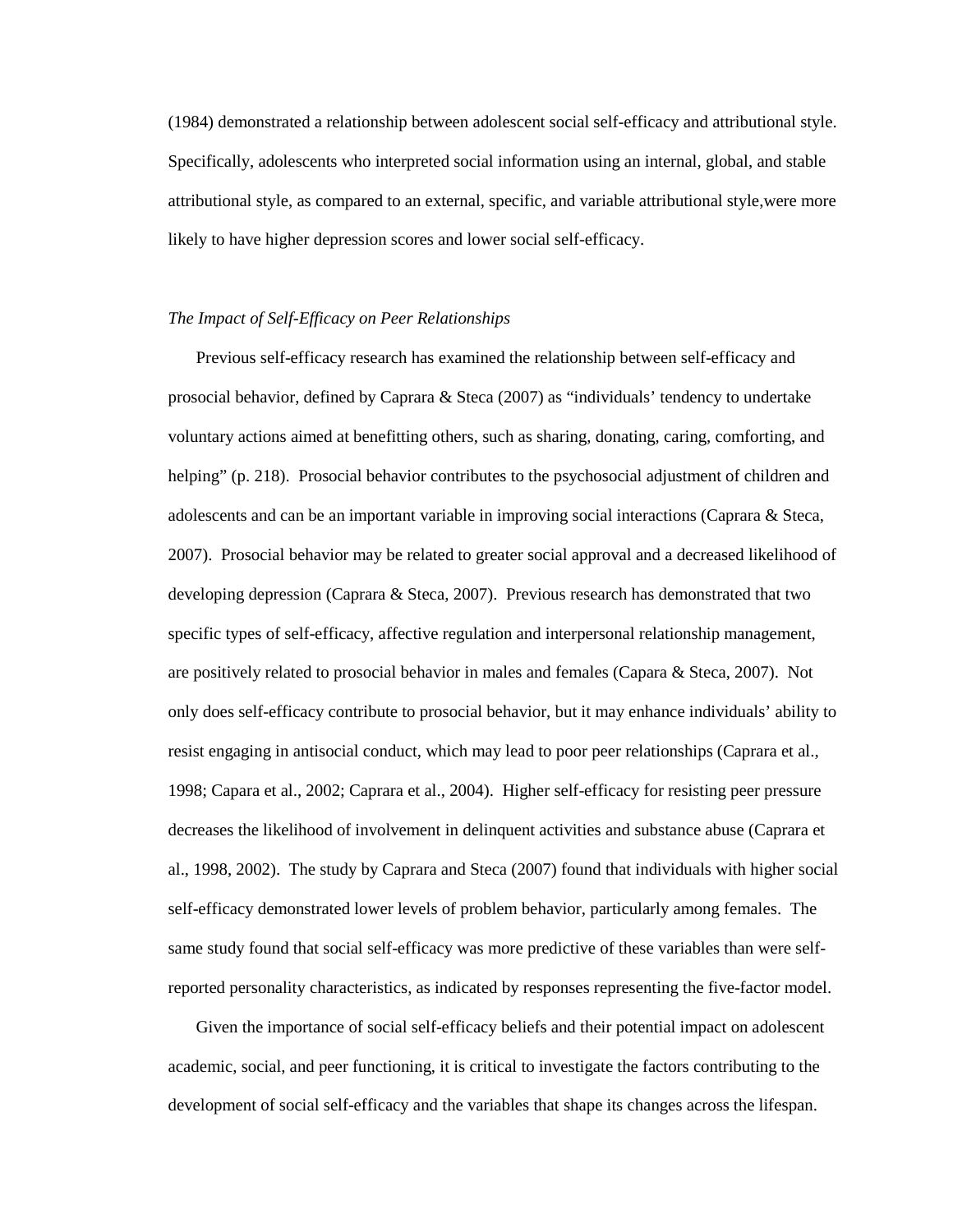(1984) demonstrated a relationship between adolescent social self-efficacy and attributional style. Specifically, adolescents who interpreted social information using an internal, global, and stable attributional style, as compared to an external, specific, and variable attributional style,were more likely to have higher depression scores and lower social self-efficacy.

# *The Impact of Self-Efficacy on Peer Relationships*

Previous self-efficacy research has examined the relationship between self-efficacy and prosocial behavior, defined by Caprara & Steca (2007) as "individuals' tendency to undertake voluntary actions aimed at benefitting others, such as sharing, donating, caring, comforting, and helping" (p. 218). Prosocial behavior contributes to the psychosocial adjustment of children and adolescents and can be an important variable in improving social interactions (Caprara & Steca, 2007). Prosocial behavior may be related to greater social approval and a decreased likelihood of developing depression (Caprara & Steca, 2007). Previous research has demonstrated that two specific types of self-efficacy, affective regulation and interpersonal relationship management, are positively related to prosocial behavior in males and females (Capara & Steca, 2007). Not only does self-efficacy contribute to prosocial behavior, but it may enhance individuals' ability to resist engaging in antisocial conduct, which may lead to poor peer relationships (Caprara et al., 1998; Capara et al., 2002; Caprara et al., 2004). Higher self-efficacy for resisting peer pressure decreases the likelihood of involvement in delinquent activities and substance abuse (Caprara et al., 1998, 2002). The study by Caprara and Steca (2007) found that individuals with higher social self-efficacy demonstrated lower levels of problem behavior, particularly among females. The same study found that social self-efficacy was more predictive of these variables than were selfreported personality characteristics, as indicated by responses representing the five-factor model.

Given the importance of social self-efficacy beliefs and their potential impact on adolescent academic, social, and peer functioning, it is critical to investigate the factors contributing to the development of social self-efficacy and the variables that shape its changes across the lifespan.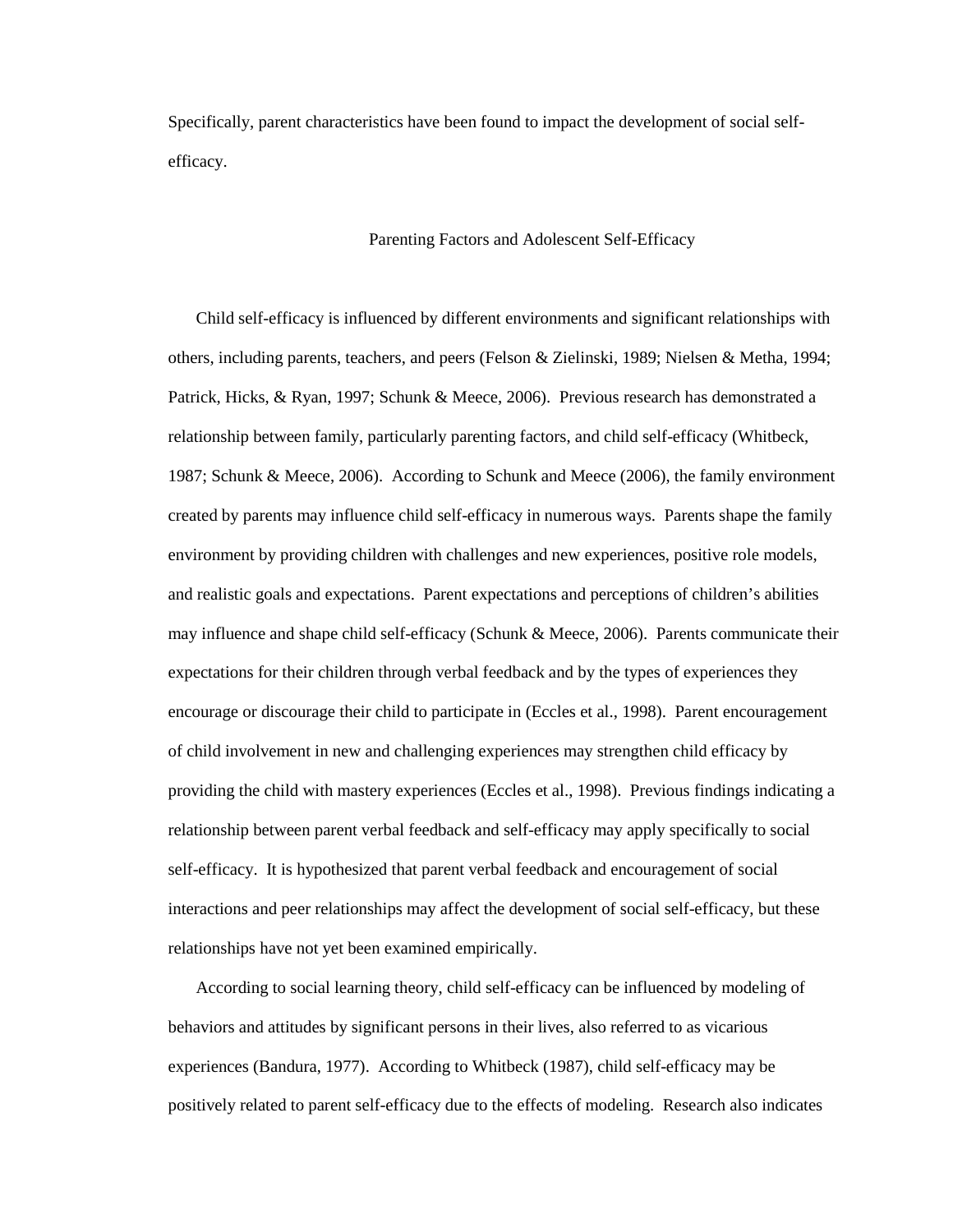Specifically, parent characteristics have been found to impact the development of social selfefficacy.

# Parenting Factors and Adolescent Self-Efficacy

Child self-efficacy is influenced by different environments and significant relationships with others, including parents, teachers, and peers (Felson & Zielinski, 1989; Nielsen & Metha, 1994; Patrick, Hicks, & Ryan, 1997; Schunk & Meece, 2006). Previous research has demonstrated a relationship between family, particularly parenting factors, and child self-efficacy (Whitbeck, 1987; Schunk & Meece, 2006). According to Schunk and Meece (2006), the family environment created by parents may influence child self-efficacy in numerous ways. Parents shape the family environment by providing children with challenges and new experiences, positive role models, and realistic goals and expectations. Parent expectations and perceptions of children's abilities may influence and shape child self-efficacy (Schunk & Meece, 2006). Parents communicate their expectations for their children through verbal feedback and by the types of experiences they encourage or discourage their child to participate in (Eccles et al., 1998). Parent encouragement of child involvement in new and challenging experiences may strengthen child efficacy by providing the child with mastery experiences (Eccles et al., 1998). Previous findings indicating a relationship between parent verbal feedback and self-efficacy may apply specifically to social self-efficacy. It is hypothesized that parent verbal feedback and encouragement of social interactions and peer relationships may affect the development of social self-efficacy, but these relationships have not yet been examined empirically.

According to social learning theory, child self-efficacy can be influenced by modeling of behaviors and attitudes by significant persons in their lives, also referred to as vicarious experiences (Bandura, 1977). According to Whitbeck (1987), child self-efficacy may be positively related to parent self-efficacy due to the effects of modeling. Research also indicates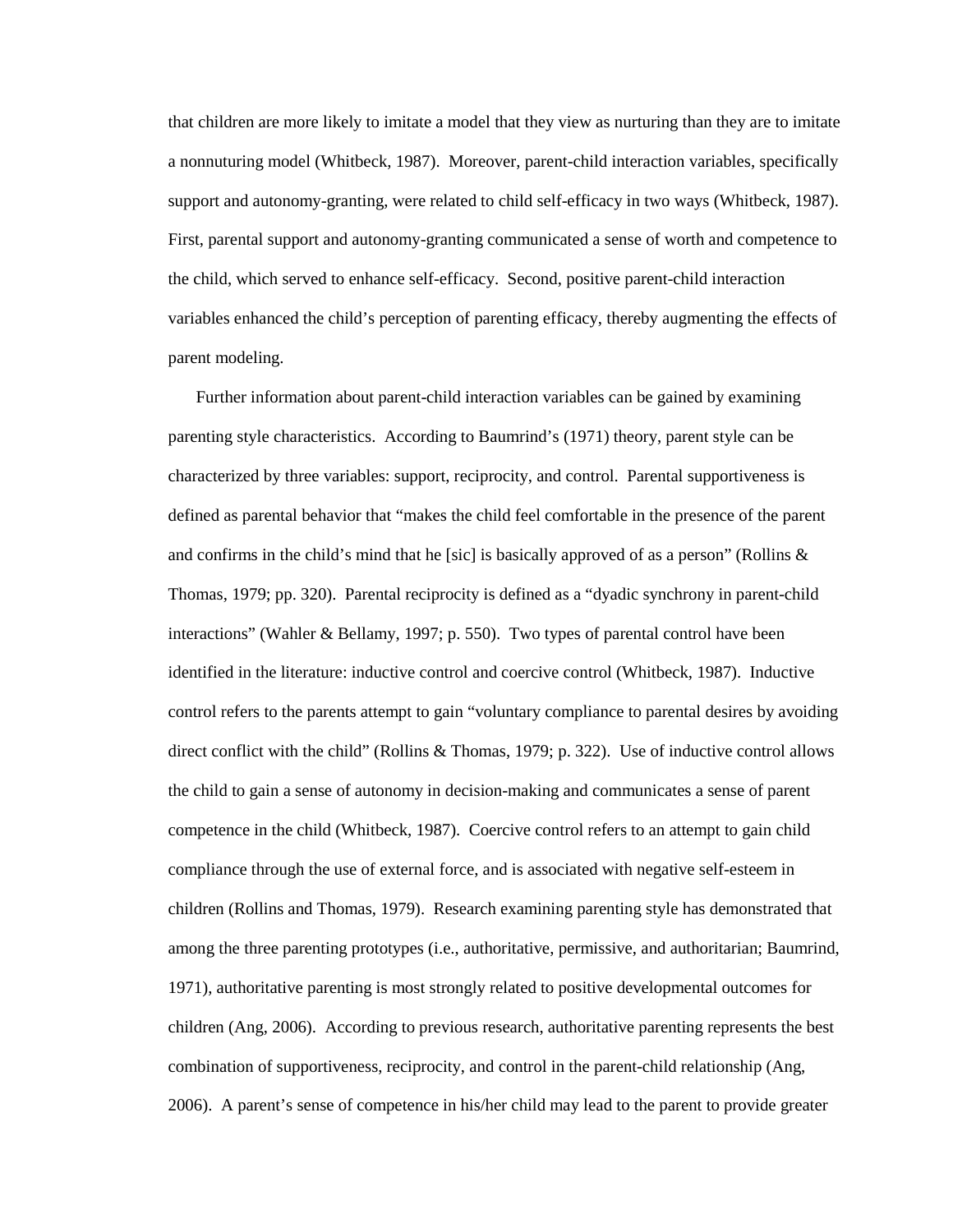that children are more likely to imitate a model that they view as nurturing than they are to imitate a nonnuturing model (Whitbeck, 1987). Moreover, parent-child interaction variables, specifically support and autonomy-granting, were related to child self-efficacy in two ways (Whitbeck, 1987). First, parental support and autonomy-granting communicated a sense of worth and competence to the child, which served to enhance self-efficacy. Second, positive parent-child interaction variables enhanced the child's perception of parenting efficacy, thereby augmenting the effects of parent modeling.

Further information about parent-child interaction variables can be gained by examining parenting style characteristics. According to Baumrind's (1971) theory, parent style can be characterized by three variables: support, reciprocity, and control. Parental supportiveness is defined as parental behavior that "makes the child feel comfortable in the presence of the parent and confirms in the child's mind that he [sic] is basically approved of as a person" (Rollins  $\&$ Thomas, 1979; pp. 320). Parental reciprocity is defined as a "dyadic synchrony in parent-child interactions" (Wahler & Bellamy, 1997; p. 550). Two types of parental control have been identified in the literature: inductive control and coercive control (Whitbeck, 1987). Inductive control refers to the parents attempt to gain "voluntary compliance to parental desires by avoiding direct conflict with the child" (Rollins & Thomas, 1979; p. 322). Use of inductive control allows the child to gain a sense of autonomy in decision-making and communicates a sense of parent competence in the child (Whitbeck, 1987). Coercive control refers to an attempt to gain child compliance through the use of external force, and is associated with negative self-esteem in children (Rollins and Thomas, 1979). Research examining parenting style has demonstrated that among the three parenting prototypes (i.e., authoritative, permissive, and authoritarian; Baumrind, 1971), authoritative parenting is most strongly related to positive developmental outcomes for children (Ang, 2006). According to previous research, authoritative parenting represents the best combination of supportiveness, reciprocity, and control in the parent-child relationship (Ang, 2006). A parent's sense of competence in his/her child may lead to the parent to provide greater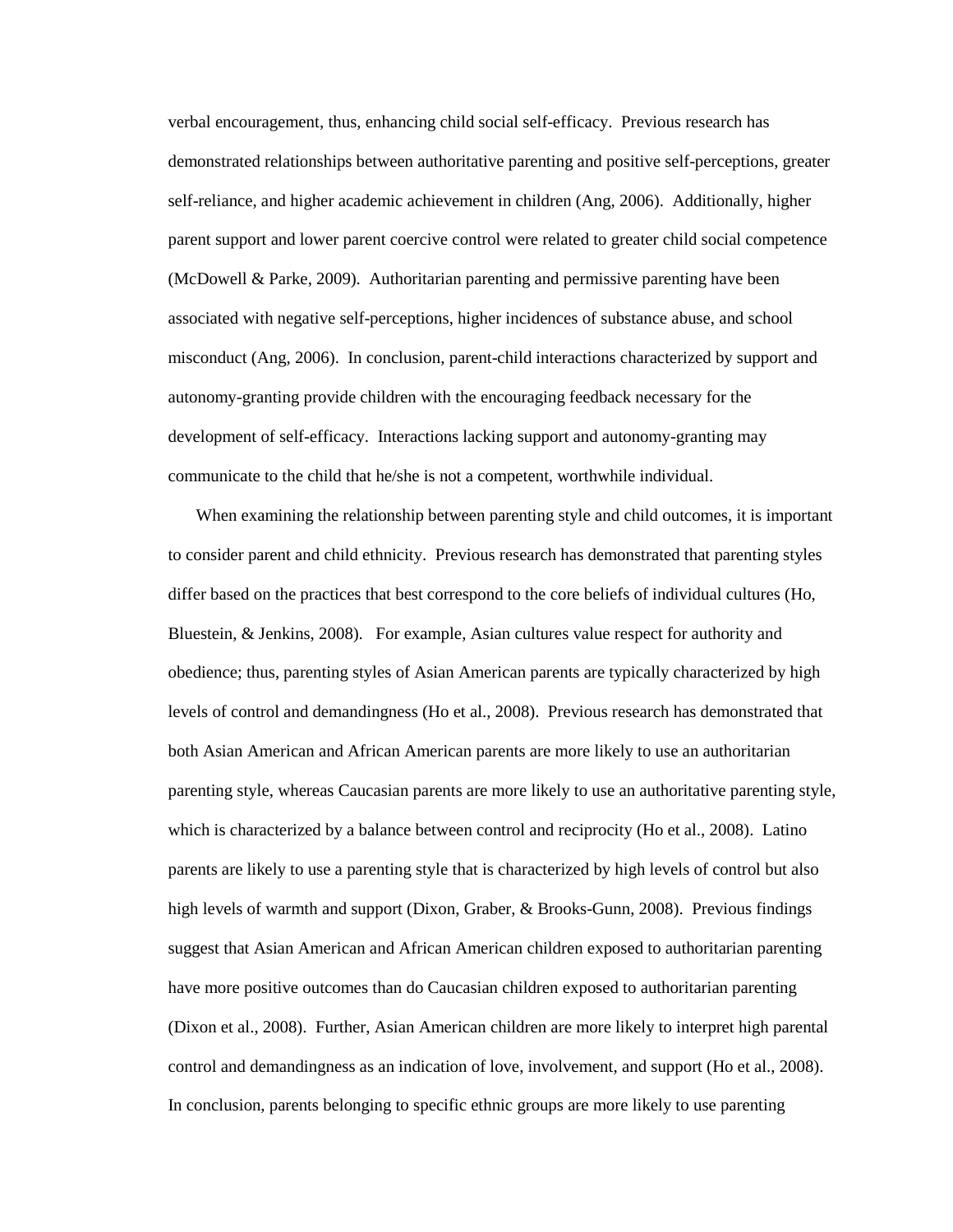verbal encouragement, thus, enhancing child social self-efficacy. Previous research has demonstrated relationships between authoritative parenting and positive self-perceptions, greater self-reliance, and higher academic achievement in children (Ang, 2006). Additionally, higher parent support and lower parent coercive control were related to greater child social competence (McDowell & Parke, 2009). Authoritarian parenting and permissive parenting have been associated with negative self-perceptions, higher incidences of substance abuse, and school misconduct (Ang, 2006). In conclusion, parent-child interactions characterized by support and autonomy-granting provide children with the encouraging feedback necessary for the development of self-efficacy. Interactions lacking support and autonomy-granting may communicate to the child that he/she is not a competent, worthwhile individual.

When examining the relationship between parenting style and child outcomes, it is important to consider parent and child ethnicity. Previous research has demonstrated that parenting styles differ based on the practices that best correspond to the core beliefs of individual cultures (Ho, Bluestein, & Jenkins, 2008). For example, Asian cultures value respect for authority and obedience; thus, parenting styles of Asian American parents are typically characterized by high levels of control and demandingness (Ho et al., 2008). Previous research has demonstrated that both Asian American and African American parents are more likely to use an authoritarian parenting style, whereas Caucasian parents are more likely to use an authoritative parenting style, which is characterized by a balance between control and reciprocity (Ho et al., 2008). Latino parents are likely to use a parenting style that is characterized by high levels of control but also high levels of warmth and support (Dixon, Graber, & Brooks-Gunn, 2008). Previous findings suggest that Asian American and African American children exposed to authoritarian parenting have more positive outcomes than do Caucasian children exposed to authoritarian parenting (Dixon et al., 2008). Further, Asian American children are more likely to interpret high parental control and demandingness as an indication of love, involvement, and support (Ho et al., 2008). In conclusion, parents belonging to specific ethnic groups are more likely to use parenting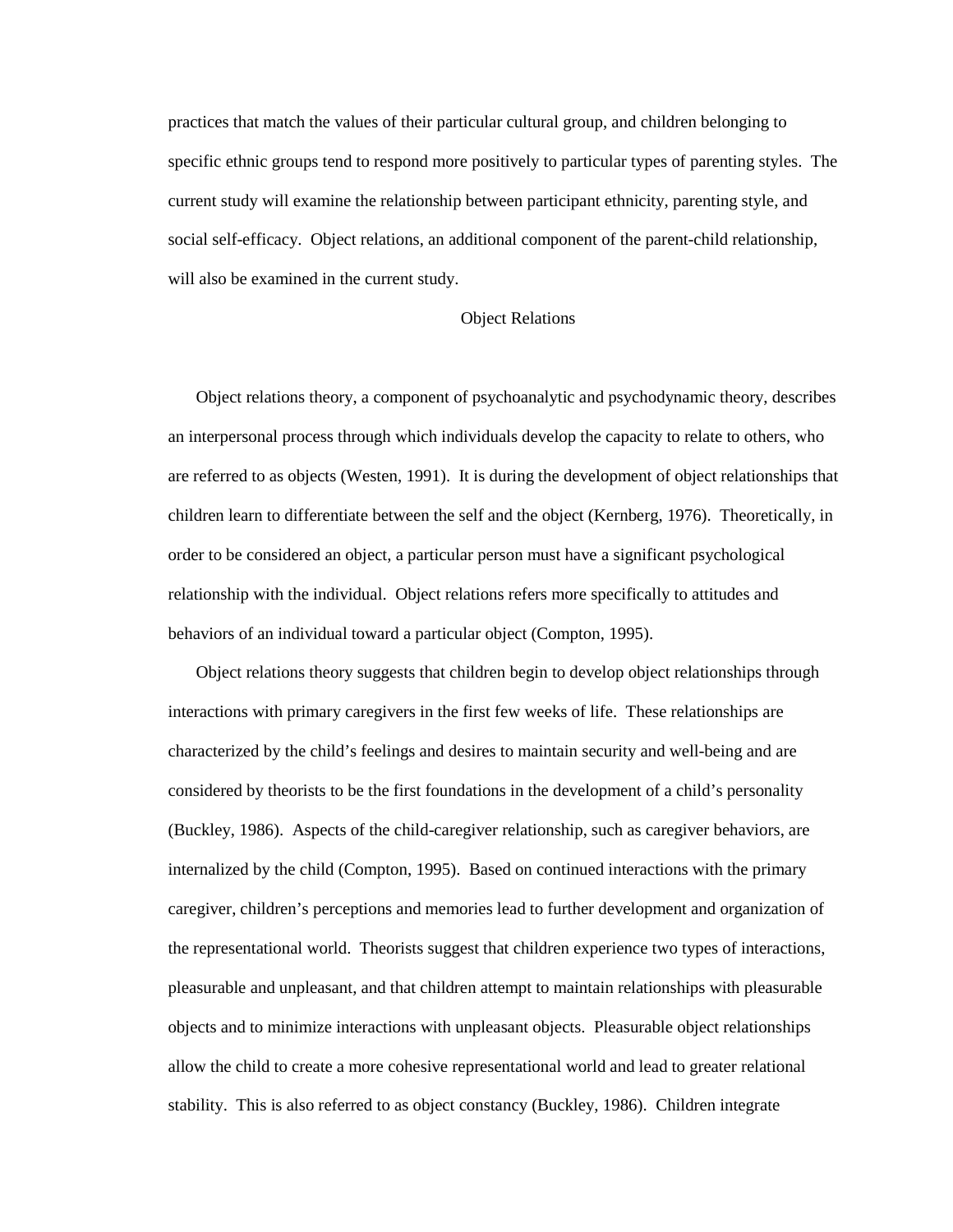practices that match the values of their particular cultural group, and children belonging to specific ethnic groups tend to respond more positively to particular types of parenting styles. The current study will examine the relationship between participant ethnicity, parenting style, and social self-efficacy. Object relations, an additional component of the parent-child relationship, will also be examined in the current study.

# Object Relations

Object relations theory, a component of psychoanalytic and psychodynamic theory, describes an interpersonal process through which individuals develop the capacity to relate to others, who are referred to as objects (Westen, 1991). It is during the development of object relationships that children learn to differentiate between the self and the object (Kernberg, 1976). Theoretically, in order to be considered an object, a particular person must have a significant psychological relationship with the individual. Object relations refers more specifically to attitudes and behaviors of an individual toward a particular object (Compton, 1995).

Object relations theory suggests that children begin to develop object relationships through interactions with primary caregivers in the first few weeks of life. These relationships are characterized by the child's feelings and desires to maintain security and well-being and are considered by theorists to be the first foundations in the development of a child's personality (Buckley, 1986). Aspects of the child-caregiver relationship, such as caregiver behaviors, are internalized by the child (Compton, 1995). Based on continued interactions with the primary caregiver, children's perceptions and memories lead to further development and organization of the representational world. Theorists suggest that children experience two types of interactions, pleasurable and unpleasant, and that children attempt to maintain relationships with pleasurable objects and to minimize interactions with unpleasant objects. Pleasurable object relationships allow the child to create a more cohesive representational world and lead to greater relational stability. This is also referred to as object constancy (Buckley, 1986). Children integrate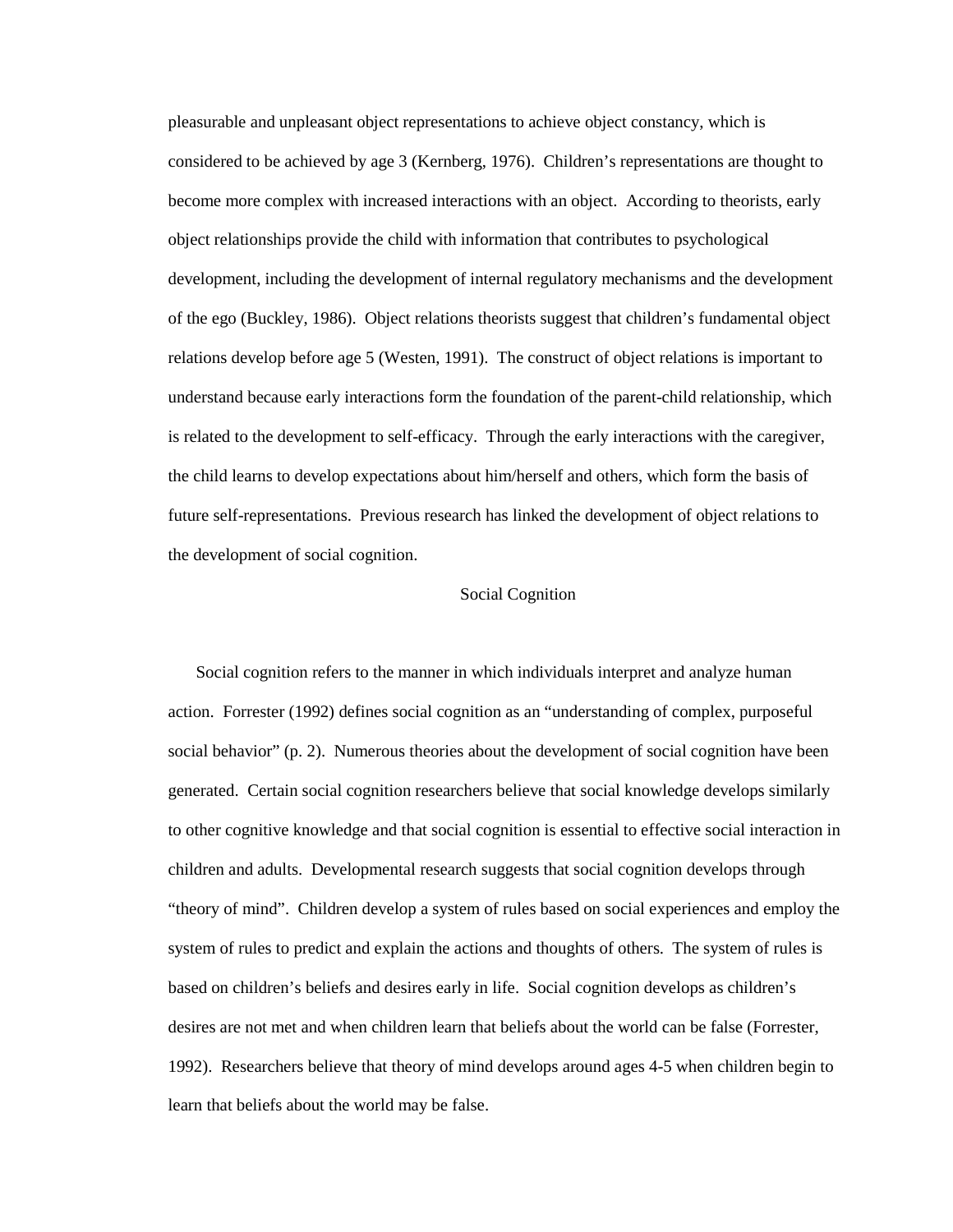pleasurable and unpleasant object representations to achieve object constancy, which is considered to be achieved by age 3 (Kernberg, 1976). Children's representations are thought to become more complex with increased interactions with an object. According to theorists, early object relationships provide the child with information that contributes to psychological development, including the development of internal regulatory mechanisms and the development of the ego (Buckley, 1986). Object relations theorists suggest that children's fundamental object relations develop before age 5 (Westen, 1991). The construct of object relations is important to understand because early interactions form the foundation of the parent-child relationship, which is related to the development to self-efficacy. Through the early interactions with the caregiver, the child learns to develop expectations about him/herself and others, which form the basis of future self-representations. Previous research has linked the development of object relations to the development of social cognition.

#### Social Cognition

Social cognition refers to the manner in which individuals interpret and analyze human action. Forrester (1992) defines social cognition as an "understanding of complex, purposeful social behavior" (p. 2). Numerous theories about the development of social cognition have been generated. Certain social cognition researchers believe that social knowledge develops similarly to other cognitive knowledge and that social cognition is essential to effective social interaction in children and adults. Developmental research suggests that social cognition develops through "theory of mind". Children develop a system of rules based on social experiences and employ the system of rules to predict and explain the actions and thoughts of others. The system of rules is based on children's beliefs and desires early in life. Social cognition develops as children's desires are not met and when children learn that beliefs about the world can be false (Forrester, 1992). Researchers believe that theory of mind develops around ages 4-5 when children begin to learn that beliefs about the world may be false.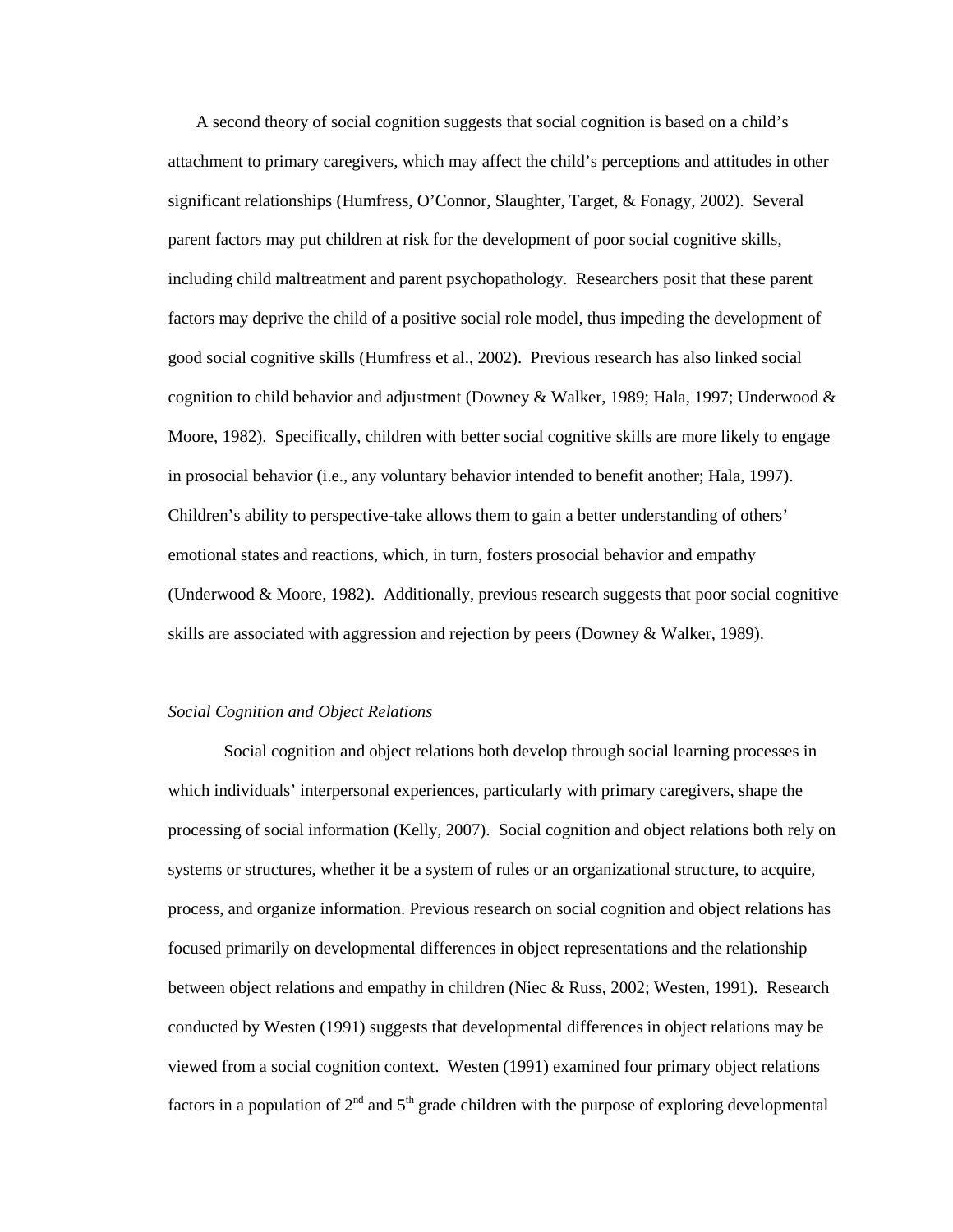A second theory of social cognition suggests that social cognition is based on a child's attachment to primary caregivers, which may affect the child's perceptions and attitudes in other significant relationships (Humfress, O'Connor, Slaughter, Target, & Fonagy, 2002). Several parent factors may put children at risk for the development of poor social cognitive skills, including child maltreatment and parent psychopathology. Researchers posit that these parent factors may deprive the child of a positive social role model, thus impeding the development of good social cognitive skills (Humfress et al., 2002). Previous research has also linked social cognition to child behavior and adjustment (Downey & Walker, 1989; Hala, 1997; Underwood & Moore, 1982). Specifically, children with better social cognitive skills are more likely to engage in prosocial behavior (i.e., any voluntary behavior intended to benefit another; Hala, 1997). Children's ability to perspective-take allows them to gain a better understanding of others' emotional states and reactions, which, in turn, fosters prosocial behavior and empathy (Underwood & Moore, 1982). Additionally, previous research suggests that poor social cognitive skills are associated with aggression and rejection by peers (Downey & Walker, 1989).

## *Social Cognition and Object Relations*

 Social cognition and object relations both develop through social learning processes in which individuals' interpersonal experiences, particularly with primary caregivers, shape the processing of social information (Kelly, 2007). Social cognition and object relations both rely on systems or structures, whether it be a system of rules or an organizational structure, to acquire, process, and organize information. Previous research on social cognition and object relations has focused primarily on developmental differences in object representations and the relationship between object relations and empathy in children (Niec & Russ, 2002; Westen, 1991). Research conducted by Westen (1991) suggests that developmental differences in object relations may be viewed from a social cognition context. Westen (1991) examined four primary object relations factors in a population of  $2<sup>nd</sup>$  and  $5<sup>th</sup>$  grade children with the purpose of exploring developmental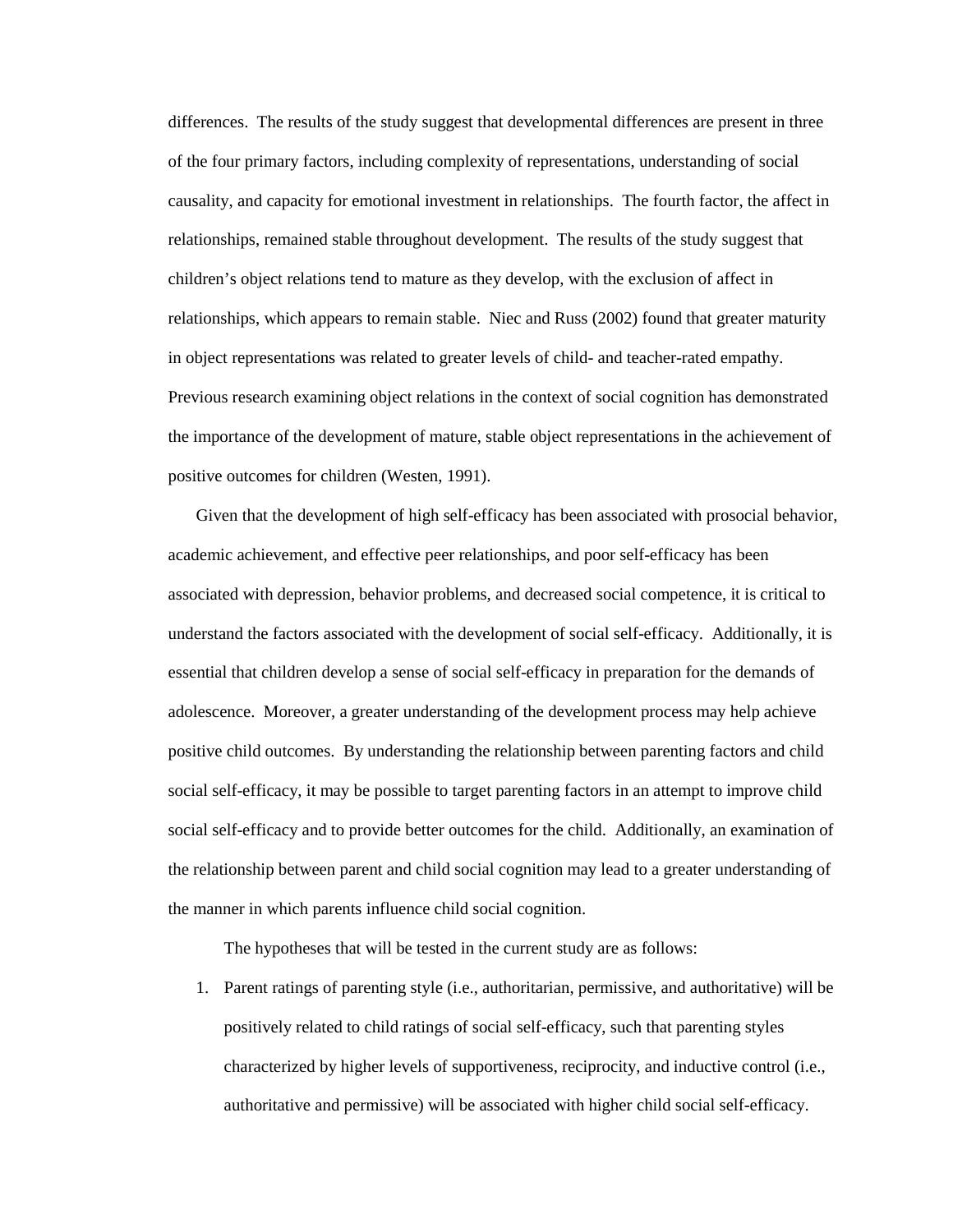differences. The results of the study suggest that developmental differences are present in three of the four primary factors, including complexity of representations, understanding of social causality, and capacity for emotional investment in relationships. The fourth factor, the affect in relationships, remained stable throughout development. The results of the study suggest that children's object relations tend to mature as they develop, with the exclusion of affect in relationships, which appears to remain stable. Niec and Russ (2002) found that greater maturity in object representations was related to greater levels of child- and teacher-rated empathy. Previous research examining object relations in the context of social cognition has demonstrated the importance of the development of mature, stable object representations in the achievement of positive outcomes for children (Westen, 1991).

Given that the development of high self-efficacy has been associated with prosocial behavior, academic achievement, and effective peer relationships, and poor self-efficacy has been associated with depression, behavior problems, and decreased social competence, it is critical to understand the factors associated with the development of social self-efficacy. Additionally, it is essential that children develop a sense of social self-efficacy in preparation for the demands of adolescence. Moreover, a greater understanding of the development process may help achieve positive child outcomes. By understanding the relationship between parenting factors and child social self-efficacy, it may be possible to target parenting factors in an attempt to improve child social self-efficacy and to provide better outcomes for the child. Additionally, an examination of the relationship between parent and child social cognition may lead to a greater understanding of the manner in which parents influence child social cognition.

The hypotheses that will be tested in the current study are as follows:

1. Parent ratings of parenting style (i.e., authoritarian, permissive, and authoritative) will be positively related to child ratings of social self-efficacy, such that parenting styles characterized by higher levels of supportiveness, reciprocity, and inductive control (i.e., authoritative and permissive) will be associated with higher child social self-efficacy.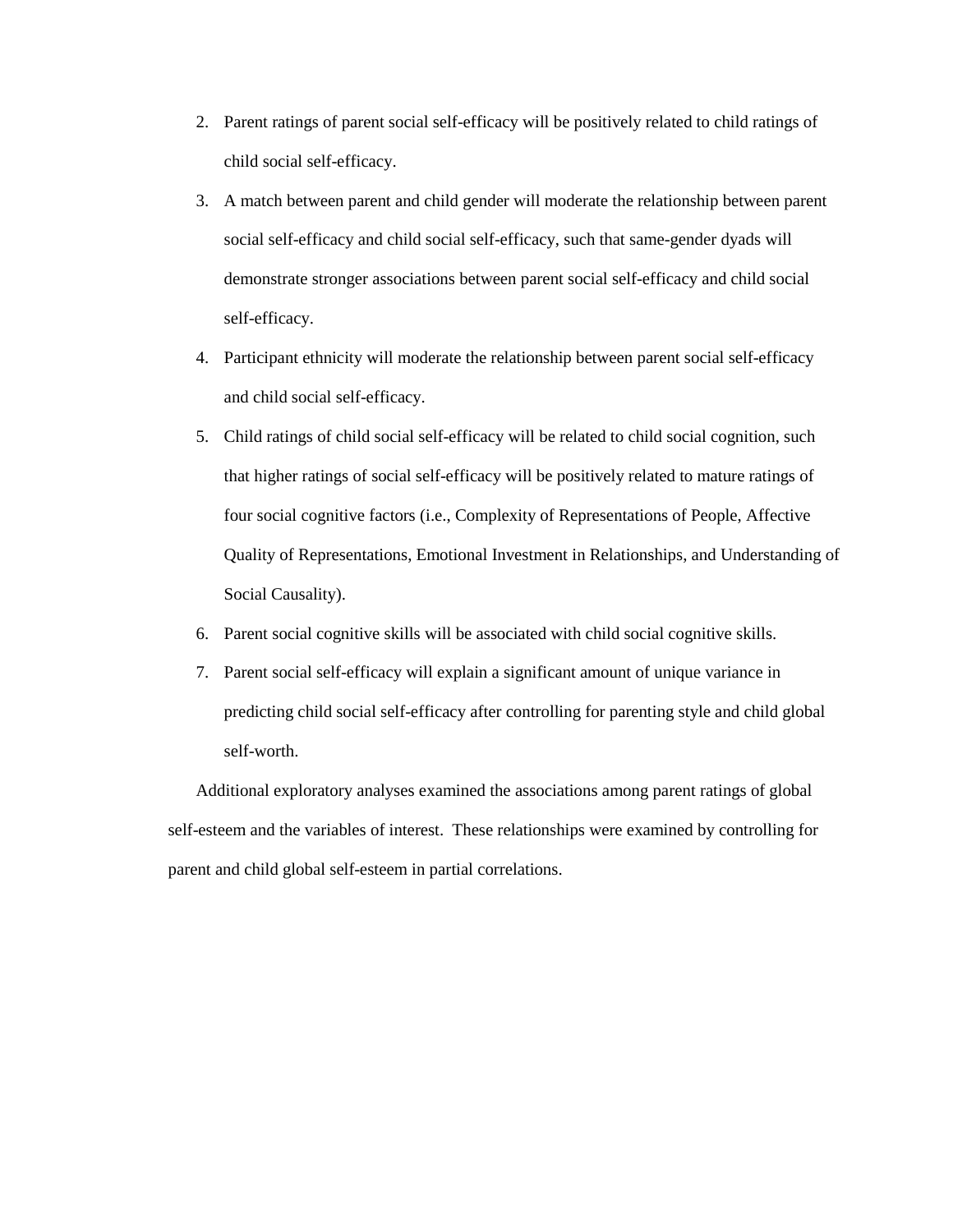- 2. Parent ratings of parent social self-efficacy will be positively related to child ratings of child social self-efficacy.
- 3. A match between parent and child gender will moderate the relationship between parent social self-efficacy and child social self-efficacy, such that same-gender dyads will demonstrate stronger associations between parent social self-efficacy and child social self-efficacy.
- 4. Participant ethnicity will moderate the relationship between parent social self-efficacy and child social self-efficacy.
- 5. Child ratings of child social self-efficacy will be related to child social cognition, such that higher ratings of social self-efficacy will be positively related to mature ratings of four social cognitive factors (i.e., Complexity of Representations of People, Affective Quality of Representations, Emotional Investment in Relationships, and Understanding of Social Causality).
- 6. Parent social cognitive skills will be associated with child social cognitive skills.
- 7. Parent social self-efficacy will explain a significant amount of unique variance in predicting child social self-efficacy after controlling for parenting style and child global self-worth.

Additional exploratory analyses examined the associations among parent ratings of global self-esteem and the variables of interest. These relationships were examined by controlling for parent and child global self-esteem in partial correlations.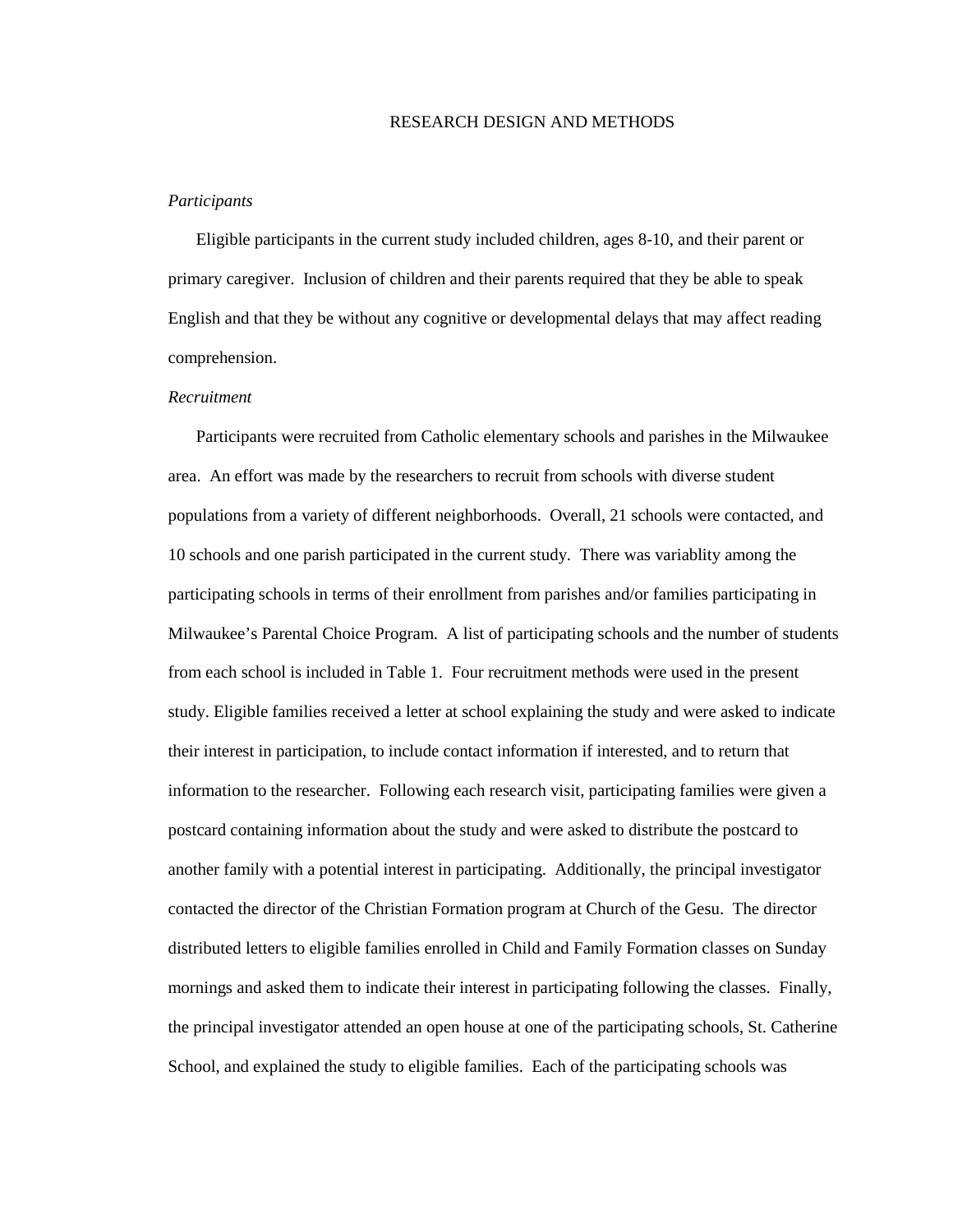## RESEARCH DESIGN AND METHODS

#### *Participants*

Eligible participants in the current study included children, ages 8-10, and their parent or primary caregiver. Inclusion of children and their parents required that they be able to speak English and that they be without any cognitive or developmental delays that may affect reading comprehension.

## *Recruitment*

Participants were recruited from Catholic elementary schools and parishes in the Milwaukee area. An effort was made by the researchers to recruit from schools with diverse student populations from a variety of different neighborhoods. Overall, 21 schools were contacted, and 10 schools and one parish participated in the current study. There was variablity among the participating schools in terms of their enrollment from parishes and/or families participating in Milwaukee's Parental Choice Program. A list of participating schools and the number of students from each school is included in Table 1. Four recruitment methods were used in the present study. Eligible families received a letter at school explaining the study and were asked to indicate their interest in participation, to include contact information if interested, and to return that information to the researcher. Following each research visit, participating families were given a postcard containing information about the study and were asked to distribute the postcard to another family with a potential interest in participating. Additionally, the principal investigator contacted the director of the Christian Formation program at Church of the Gesu. The director distributed letters to eligible families enrolled in Child and Family Formation classes on Sunday mornings and asked them to indicate their interest in participating following the classes. Finally, the principal investigator attended an open house at one of the participating schools, St. Catherine School, and explained the study to eligible families. Each of the participating schools was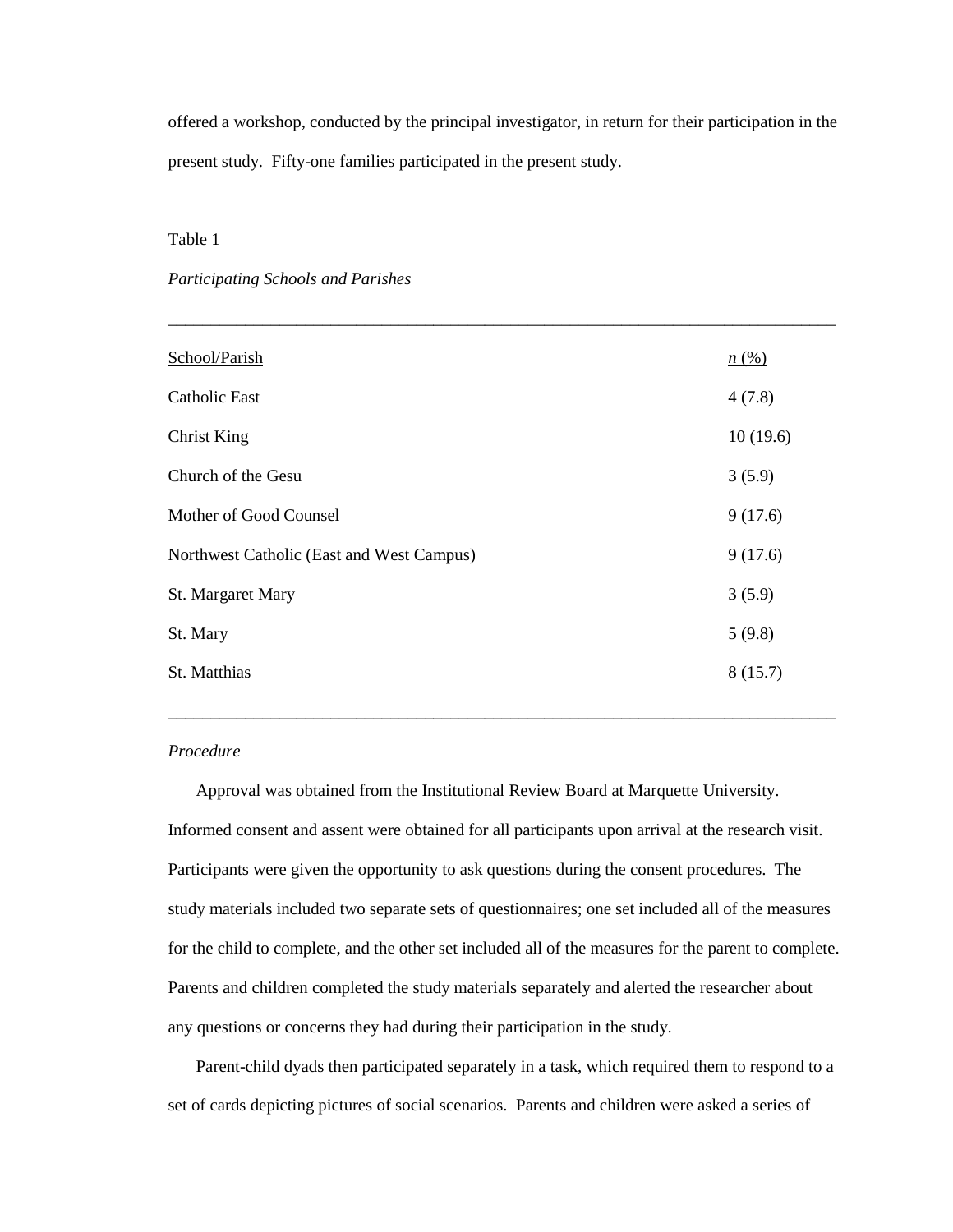offered a workshop, conducted by the principal investigator, in return for their participation in the present study. Fifty-one families participated in the present study.

\_\_\_\_\_\_\_\_\_\_\_\_\_\_\_\_\_\_\_\_\_\_\_\_\_\_\_\_\_\_\_\_\_\_\_\_\_\_\_\_\_\_\_\_\_\_\_\_\_\_\_\_\_\_\_\_\_\_\_\_\_\_\_\_\_\_\_\_\_\_\_\_\_\_\_\_\_\_

# Table 1

# *Participating Schools and Parishes*

| School/Parish                             | n(%)     |
|-------------------------------------------|----------|
| <b>Catholic East</b>                      | 4(7.8)   |
| <b>Christ King</b>                        | 10(19.6) |
| Church of the Gesu                        | 3(5.9)   |
| Mother of Good Counsel                    | 9(17.6)  |
| Northwest Catholic (East and West Campus) | 9(17.6)  |
| St. Margaret Mary                         | 3(5.9)   |
| St. Mary                                  | 5(9.8)   |
| St. Matthias                              | 8(15.7)  |
|                                           |          |

## *Procedure*

Approval was obtained from the Institutional Review Board at Marquette University. Informed consent and assent were obtained for all participants upon arrival at the research visit. Participants were given the opportunity to ask questions during the consent procedures. The study materials included two separate sets of questionnaires; one set included all of the measures for the child to complete, and the other set included all of the measures for the parent to complete. Parents and children completed the study materials separately and alerted the researcher about any questions or concerns they had during their participation in the study.

\_\_\_\_\_\_\_\_\_\_\_\_\_\_\_\_\_\_\_\_\_\_\_\_\_\_\_\_\_\_\_\_\_\_\_\_\_\_\_\_\_\_\_\_\_\_\_\_\_\_\_\_\_\_\_\_\_\_\_\_\_\_\_\_\_\_\_\_\_\_\_\_\_\_\_\_\_\_

Parent-child dyads then participated separately in a task, which required them to respond to a set of cards depicting pictures of social scenarios. Parents and children were asked a series of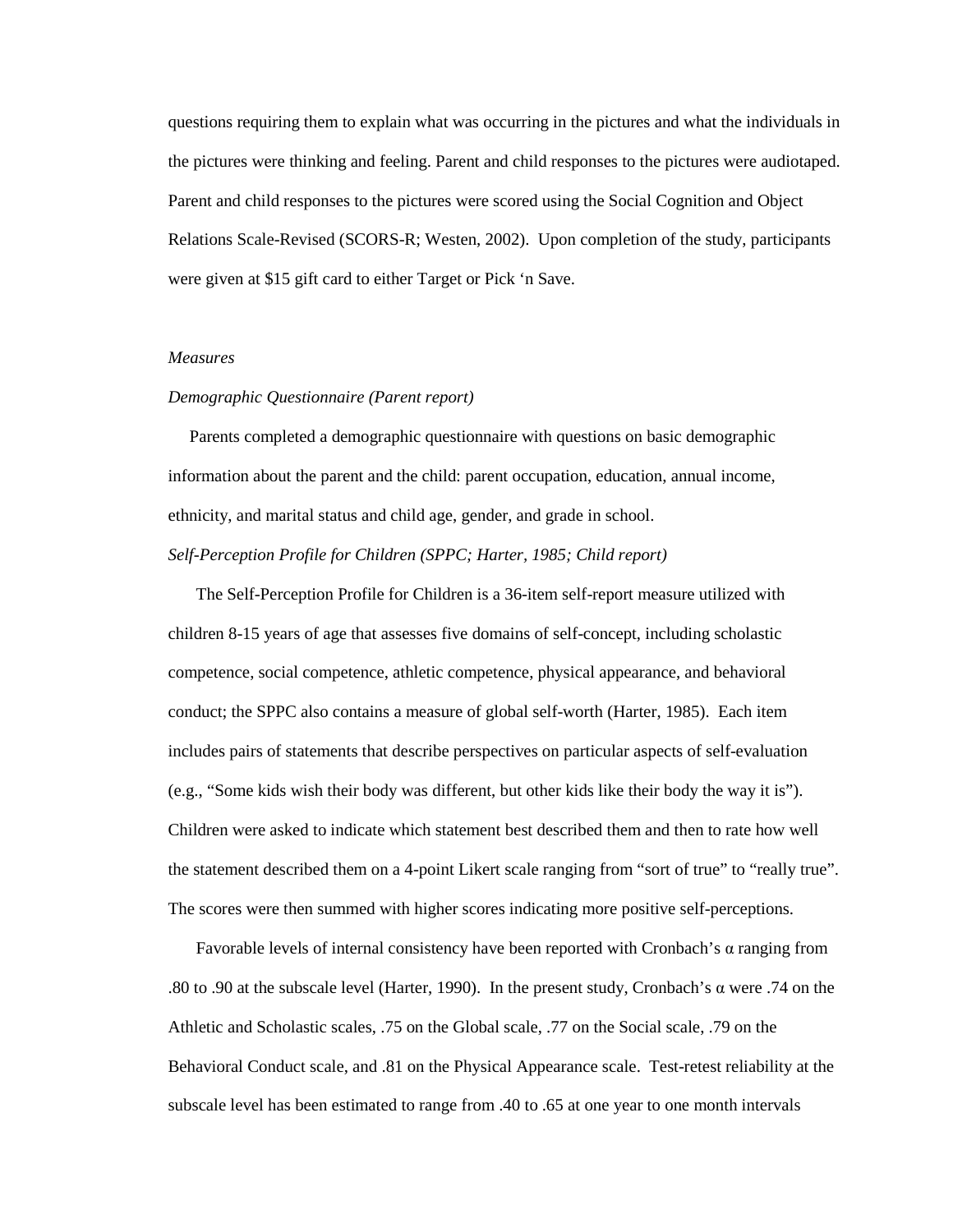questions requiring them to explain what was occurring in the pictures and what the individuals in the pictures were thinking and feeling. Parent and child responses to the pictures were audiotaped. Parent and child responses to the pictures were scored using the Social Cognition and Object Relations Scale-Revised (SCORS-R; Westen, 2002). Upon completion of the study, participants were given at \$15 gift card to either Target or Pick 'n Save.

# *Measures*

# *Demographic Questionnaire (Parent report)*

 Parents completed a demographic questionnaire with questions on basic demographic information about the parent and the child: parent occupation, education, annual income, ethnicity, and marital status and child age, gender, and grade in school.

# *Self-Perception Profile for Children (SPPC; Harter, 1985; Child report)*

The Self-Perception Profile for Children is a 36-item self-report measure utilized with children 8-15 years of age that assesses five domains of self-concept, including scholastic competence, social competence, athletic competence, physical appearance, and behavioral conduct; the SPPC also contains a measure of global self-worth (Harter, 1985). Each item includes pairs of statements that describe perspectives on particular aspects of self-evaluation (e.g., "Some kids wish their body was different, but other kids like their body the way it is"). Children were asked to indicate which statement best described them and then to rate how well the statement described them on a 4-point Likert scale ranging from "sort of true" to "really true". The scores were then summed with higher scores indicating more positive self-perceptions.

Favorable levels of internal consistency have been reported with Cronbach's  $\alpha$  ranging from .80 to .90 at the subscale level (Harter, 1990). In the present study, Cronbach's α were .74 on the Athletic and Scholastic scales, .75 on the Global scale, .77 on the Social scale, .79 on the Behavioral Conduct scale, and .81 on the Physical Appearance scale. Test-retest reliability at the subscale level has been estimated to range from .40 to .65 at one year to one month intervals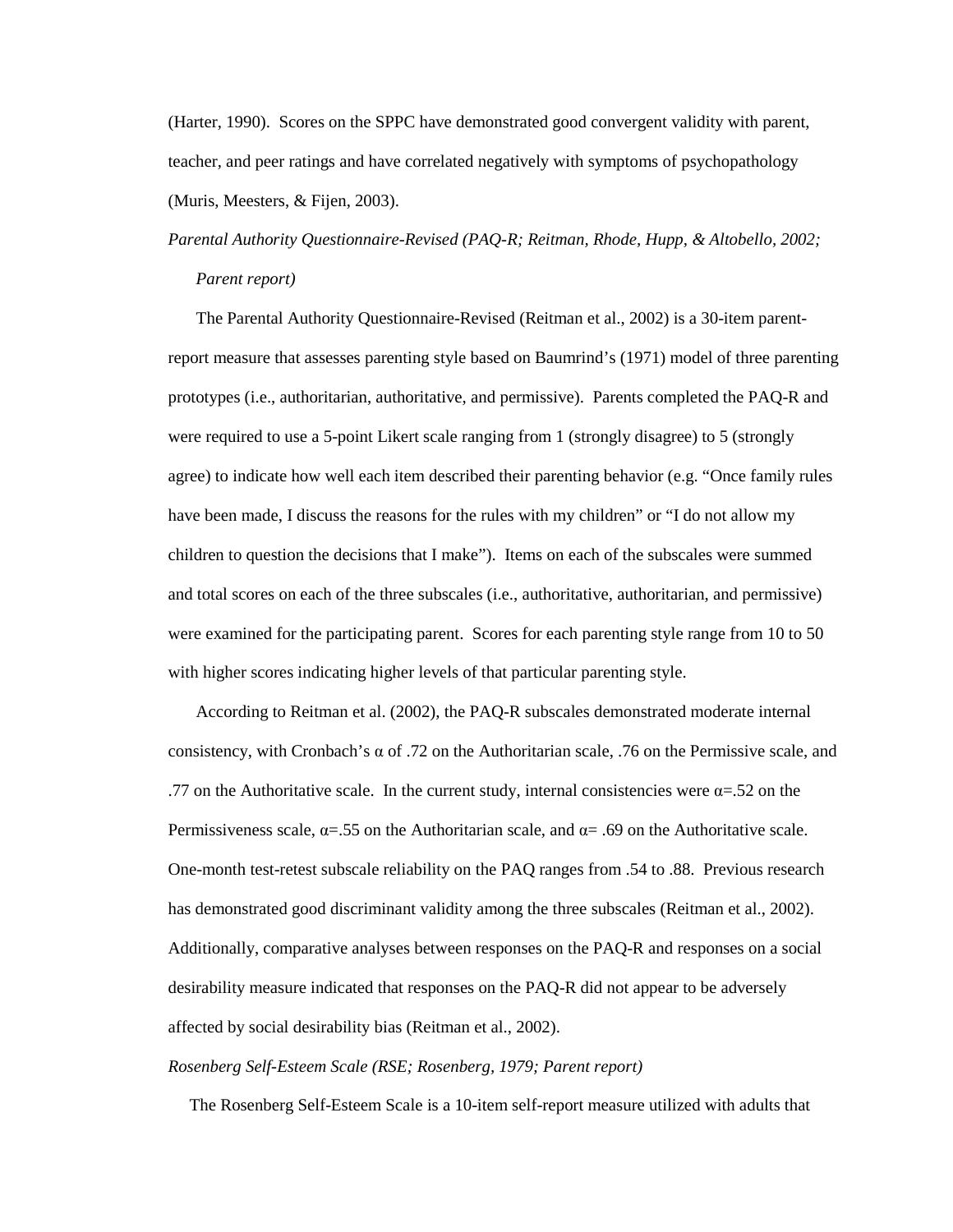(Harter, 1990). Scores on the SPPC have demonstrated good convergent validity with parent, teacher, and peer ratings and have correlated negatively with symptoms of psychopathology (Muris, Meesters, & Fijen, 2003).

*Parental Authority Questionnaire-Revised (PAQ-R; Reitman, Rhode, Hupp, & Altobello, 2002; Parent report)* 

The Parental Authority Questionnaire-Revised (Reitman et al., 2002) is a 30-item parentreport measure that assesses parenting style based on Baumrind's (1971) model of three parenting prototypes (i.e., authoritarian, authoritative, and permissive). Parents completed the PAQ-R and were required to use a 5-point Likert scale ranging from 1 (strongly disagree) to 5 (strongly agree) to indicate how well each item described their parenting behavior (e.g. "Once family rules have been made, I discuss the reasons for the rules with my children" or "I do not allow my children to question the decisions that I make"). Items on each of the subscales were summed and total scores on each of the three subscales (i.e., authoritative, authoritarian, and permissive) were examined for the participating parent. Scores for each parenting style range from 10 to 50 with higher scores indicating higher levels of that particular parenting style.

According to Reitman et al. (2002), the PAQ-R subscales demonstrated moderate internal consistency, with Cronbach's  $\alpha$  of .72 on the Authoritarian scale, .76 on the Permissive scale, and .77 on the Authoritative scale. In the current study, internal consistencies were  $\alpha = 0.52$  on the Permissiveness scale,  $\alpha$ =.55 on the Authoritarian scale, and  $\alpha$ = .69 on the Authoritative scale. One-month test-retest subscale reliability on the PAQ ranges from .54 to .88. Previous research has demonstrated good discriminant validity among the three subscales (Reitman et al., 2002). Additionally, comparative analyses between responses on the PAQ-R and responses on a social desirability measure indicated that responses on the PAQ-R did not appear to be adversely affected by social desirability bias (Reitman et al., 2002).

*Rosenberg Self-Esteem Scale (RSE; Rosenberg, 1979; Parent report)*

The Rosenberg Self-Esteem Scale is a 10-item self-report measure utilized with adults that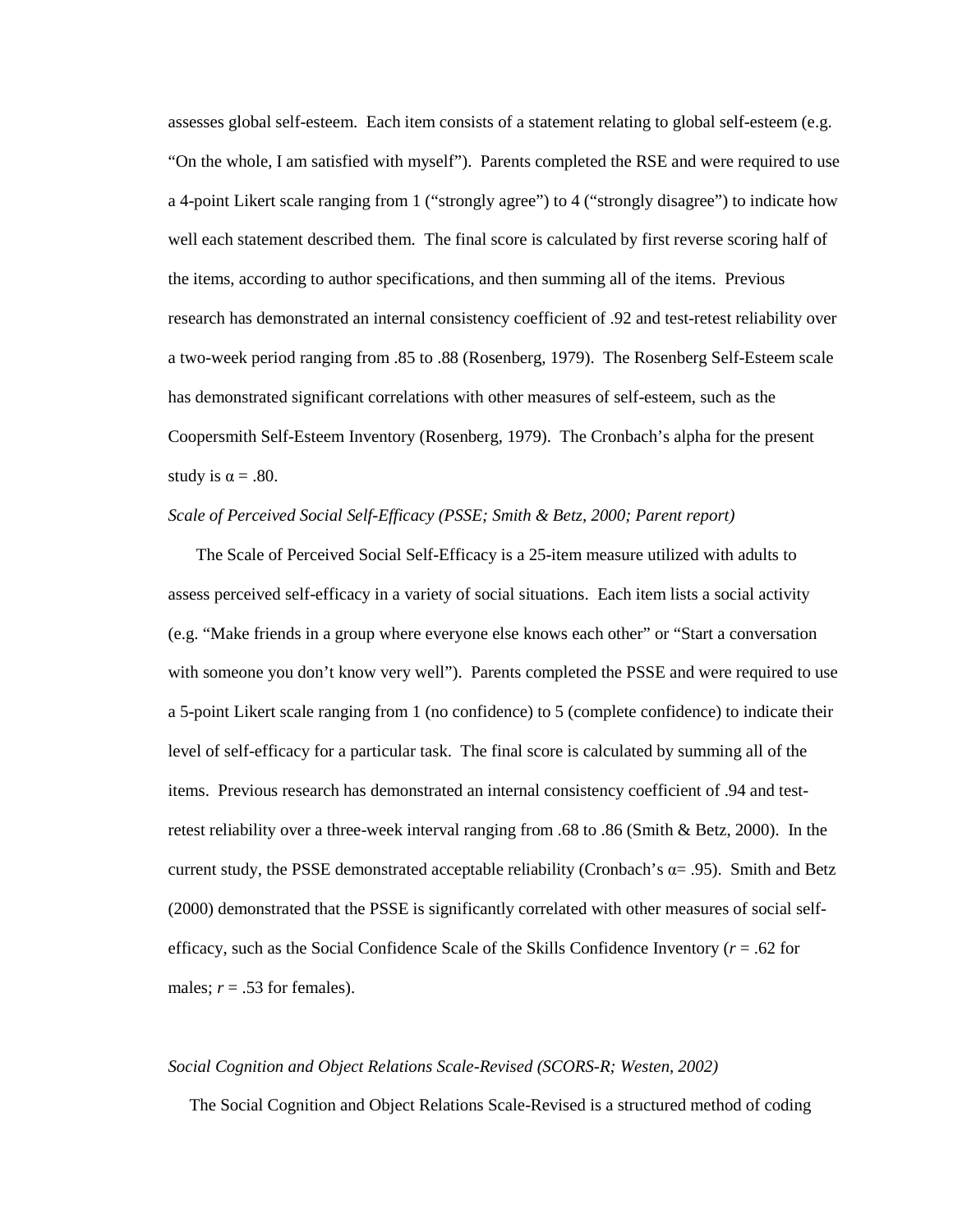assesses global self-esteem. Each item consists of a statement relating to global self-esteem (e.g. "On the whole, I am satisfied with myself"). Parents completed the RSE and were required to use a 4-point Likert scale ranging from 1 ("strongly agree") to 4 ("strongly disagree") to indicate how well each statement described them. The final score is calculated by first reverse scoring half of the items, according to author specifications, and then summing all of the items. Previous research has demonstrated an internal consistency coefficient of .92 and test-retest reliability over a two-week period ranging from .85 to .88 (Rosenberg, 1979). The Rosenberg Self-Esteem scale has demonstrated significant correlations with other measures of self-esteem, such as the Coopersmith Self-Esteem Inventory (Rosenberg, 1979). The Cronbach's alpha for the present study is  $\alpha = .80$ .

# *Scale of Perceived Social Self-Efficacy (PSSE; Smith & Betz, 2000; Parent report)*

The Scale of Perceived Social Self-Efficacy is a 25-item measure utilized with adults to assess perceived self-efficacy in a variety of social situations. Each item lists a social activity (e.g. "Make friends in a group where everyone else knows each other" or "Start a conversation with someone you don't know very well"). Parents completed the PSSE and were required to use a 5-point Likert scale ranging from 1 (no confidence) to 5 (complete confidence) to indicate their level of self-efficacy for a particular task. The final score is calculated by summing all of the items. Previous research has demonstrated an internal consistency coefficient of .94 and testretest reliability over a three-week interval ranging from .68 to .86 (Smith & Betz, 2000). In the current study, the PSSE demonstrated acceptable reliability (Cronbach's  $\alpha$ = .95). Smith and Betz (2000) demonstrated that the PSSE is significantly correlated with other measures of social selfefficacy, such as the Social Confidence Scale of the Skills Confidence Inventory (*r* = .62 for males;  $r = .53$  for females).

#### *Social Cognition and Object Relations Scale-Revised (SCORS-R; Westen, 2002)*

The Social Cognition and Object Relations Scale-Revised is a structured method of coding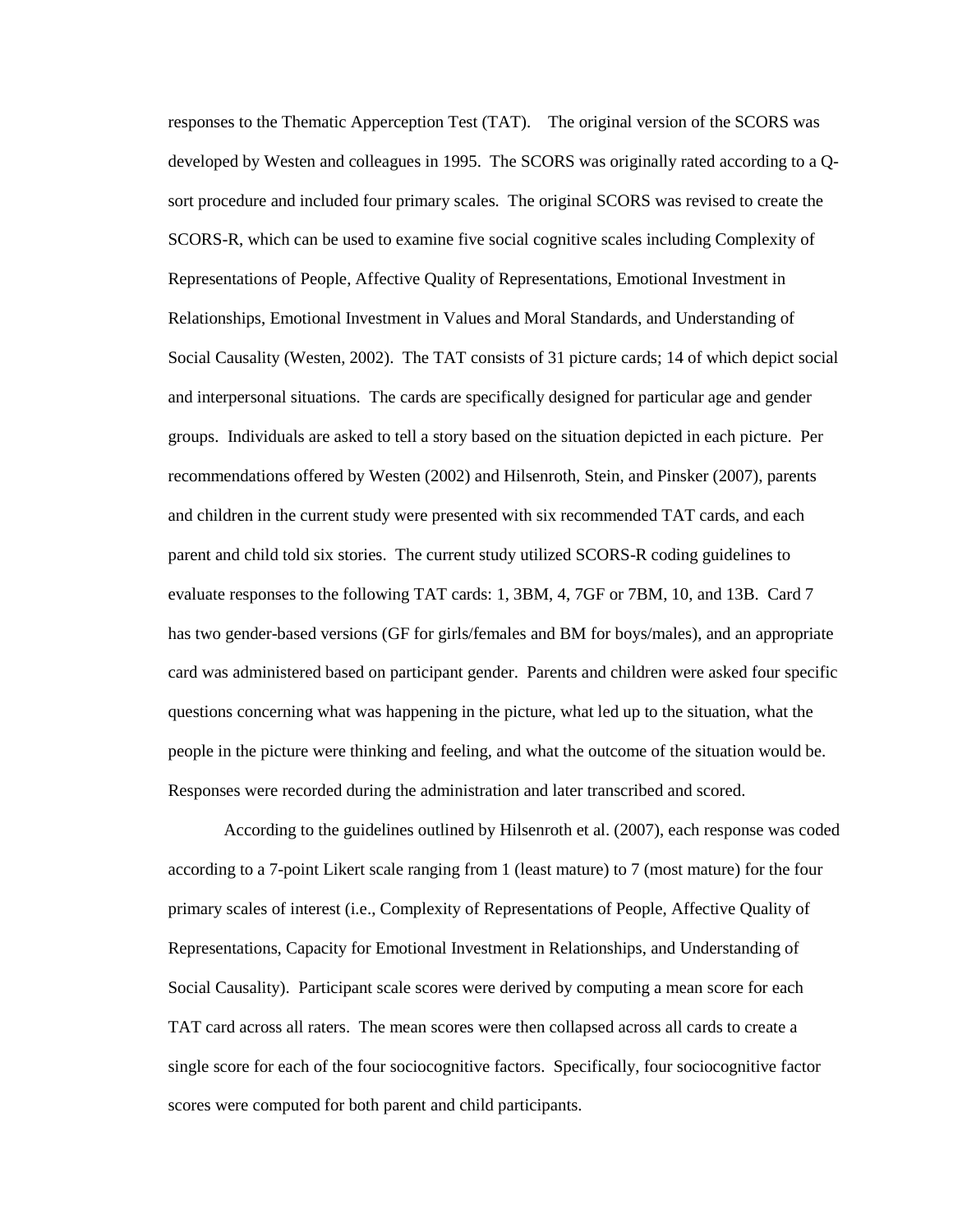responses to the Thematic Apperception Test (TAT). The original version of the SCORS was developed by Westen and colleagues in 1995. The SCORS was originally rated according to a Qsort procedure and included four primary scales. The original SCORS was revised to create the SCORS-R, which can be used to examine five social cognitive scales including Complexity of Representations of People, Affective Quality of Representations, Emotional Investment in Relationships, Emotional Investment in Values and Moral Standards, and Understanding of Social Causality (Westen, 2002). The TAT consists of 31 picture cards; 14 of which depict social and interpersonal situations. The cards are specifically designed for particular age and gender groups. Individuals are asked to tell a story based on the situation depicted in each picture. Per recommendations offered by Westen (2002) and Hilsenroth, Stein, and Pinsker (2007), parents and children in the current study were presented with six recommended TAT cards, and each parent and child told six stories. The current study utilized SCORS-R coding guidelines to evaluate responses to the following TAT cards: 1, 3BM, 4, 7GF or 7BM, 10, and 13B. Card 7 has two gender-based versions (GF for girls/females and BM for boys/males), and an appropriate card was administered based on participant gender. Parents and children were asked four specific questions concerning what was happening in the picture, what led up to the situation, what the people in the picture were thinking and feeling, and what the outcome of the situation would be. Responses were recorded during the administration and later transcribed and scored.

According to the guidelines outlined by Hilsenroth et al. (2007), each response was coded according to a 7-point Likert scale ranging from 1 (least mature) to 7 (most mature) for the four primary scales of interest (i.e., Complexity of Representations of People, Affective Quality of Representations, Capacity for Emotional Investment in Relationships, and Understanding of Social Causality). Participant scale scores were derived by computing a mean score for each TAT card across all raters. The mean scores were then collapsed across all cards to create a single score for each of the four sociocognitive factors. Specifically, four sociocognitive factor scores were computed for both parent and child participants.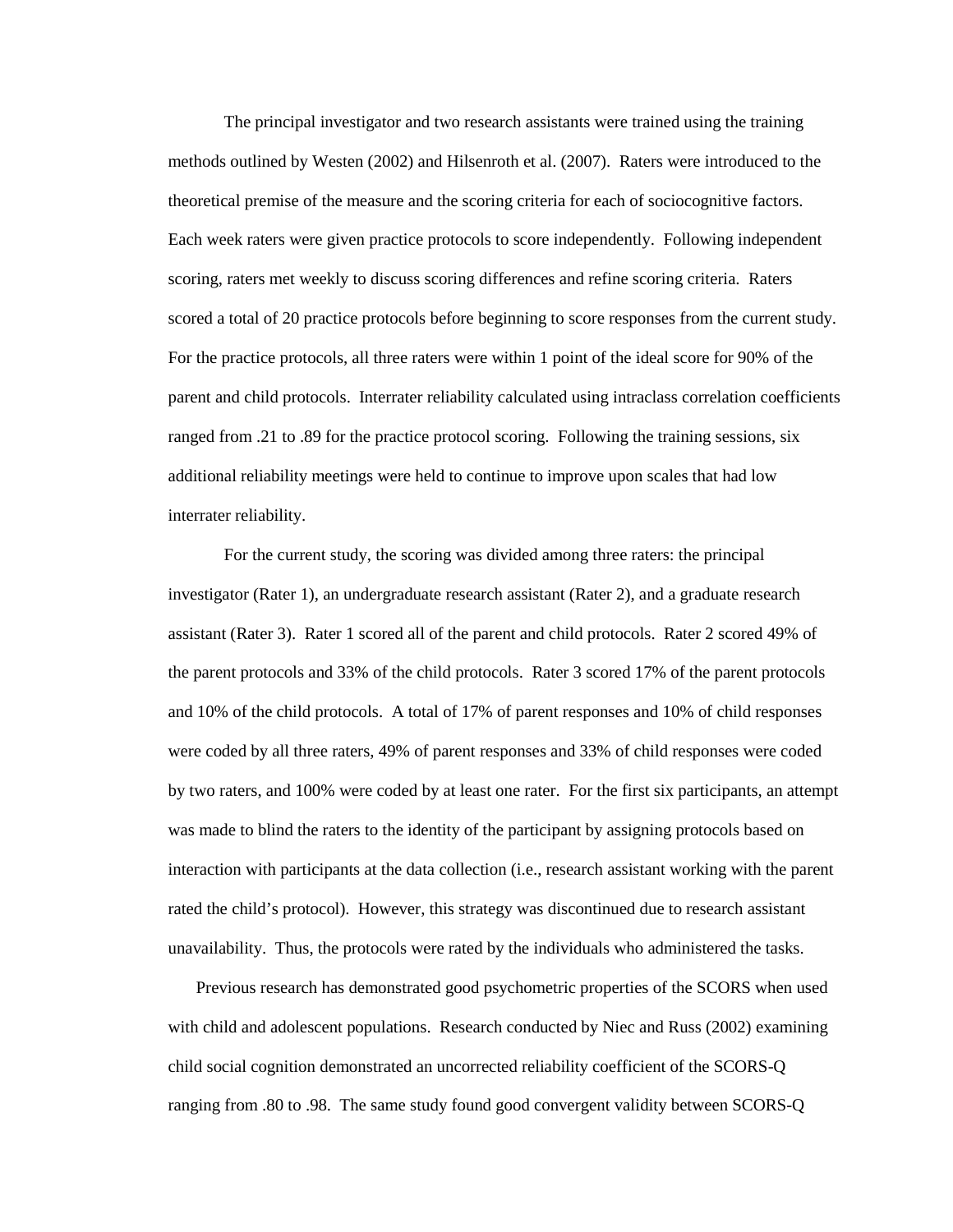The principal investigator and two research assistants were trained using the training methods outlined by Westen (2002) and Hilsenroth et al. (2007). Raters were introduced to the theoretical premise of the measure and the scoring criteria for each of sociocognitive factors. Each week raters were given practice protocols to score independently. Following independent scoring, raters met weekly to discuss scoring differences and refine scoring criteria. Raters scored a total of 20 practice protocols before beginning to score responses from the current study. For the practice protocols, all three raters were within 1 point of the ideal score for 90% of the parent and child protocols. Interrater reliability calculated using intraclass correlation coefficients ranged from .21 to .89 for the practice protocol scoring. Following the training sessions, six additional reliability meetings were held to continue to improve upon scales that had low interrater reliability.

 For the current study, the scoring was divided among three raters: the principal investigator (Rater 1), an undergraduate research assistant (Rater 2), and a graduate research assistant (Rater 3). Rater 1 scored all of the parent and child protocols. Rater 2 scored 49% of the parent protocols and 33% of the child protocols. Rater 3 scored 17% of the parent protocols and 10% of the child protocols. A total of 17% of parent responses and 10% of child responses were coded by all three raters, 49% of parent responses and 33% of child responses were coded by two raters, and 100% were coded by at least one rater. For the first six participants, an attempt was made to blind the raters to the identity of the participant by assigning protocols based on interaction with participants at the data collection (i.e., research assistant working with the parent rated the child's protocol). However, this strategy was discontinued due to research assistant unavailability. Thus, the protocols were rated by the individuals who administered the tasks.

Previous research has demonstrated good psychometric properties of the SCORS when used with child and adolescent populations. Research conducted by Niec and Russ (2002) examining child social cognition demonstrated an uncorrected reliability coefficient of the SCORS-Q ranging from .80 to .98. The same study found good convergent validity between SCORS-Q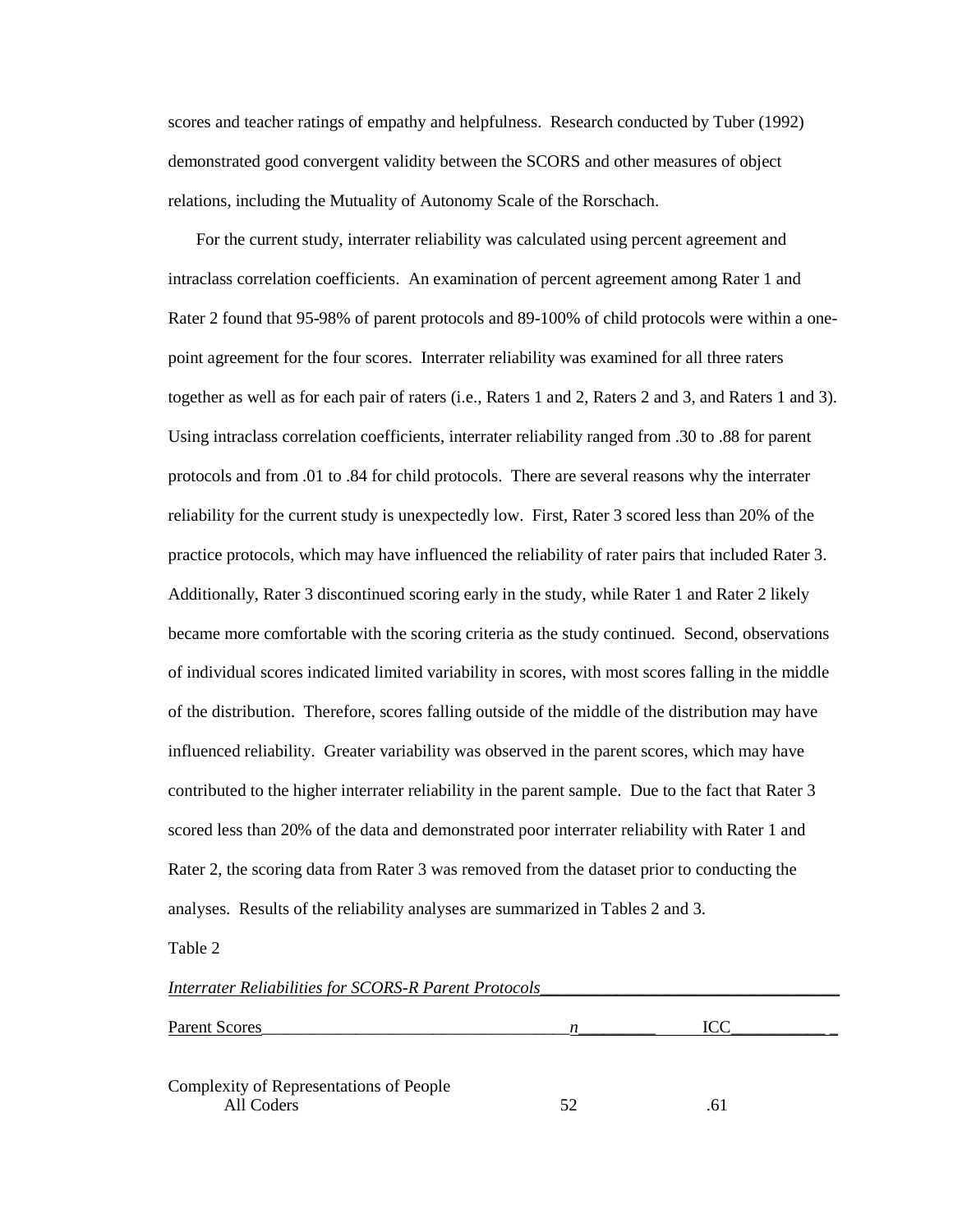scores and teacher ratings of empathy and helpfulness. Research conducted by Tuber (1992) demonstrated good convergent validity between the SCORS and other measures of object relations, including the Mutuality of Autonomy Scale of the Rorschach.

For the current study, interrater reliability was calculated using percent agreement and intraclass correlation coefficients. An examination of percent agreement among Rater 1 and Rater 2 found that 95-98% of parent protocols and 89-100% of child protocols were within a onepoint agreement for the four scores. Interrater reliability was examined for all three raters together as well as for each pair of raters (i.e., Raters 1 and 2, Raters 2 and 3, and Raters 1 and 3). Using intraclass correlation coefficients, interrater reliability ranged from .30 to .88 for parent protocols and from .01 to .84 for child protocols. There are several reasons why the interrater reliability for the current study is unexpectedly low. First, Rater 3 scored less than 20% of the practice protocols, which may have influenced the reliability of rater pairs that included Rater 3. Additionally, Rater 3 discontinued scoring early in the study, while Rater 1 and Rater 2 likely became more comfortable with the scoring criteria as the study continued. Second, observations of individual scores indicated limited variability in scores, with most scores falling in the middle of the distribution. Therefore, scores falling outside of the middle of the distribution may have influenced reliability. Greater variability was observed in the parent scores, which may have contributed to the higher interrater reliability in the parent sample. Due to the fact that Rater 3 scored less than 20% of the data and demonstrated poor interrater reliability with Rater 1 and Rater 2, the scoring data from Rater 3 was removed from the dataset prior to conducting the analyses. Results of the reliability analyses are summarized in Tables 2 and 3.

Table 2

| <b>Interrater Reliabilities for SCORS-R Parent Protocols</b> |    |     |  |
|--------------------------------------------------------------|----|-----|--|
| Parent Scores                                                | n  | ICC |  |
| Complexity of Representations of People<br>All Coders        | 52 | 61  |  |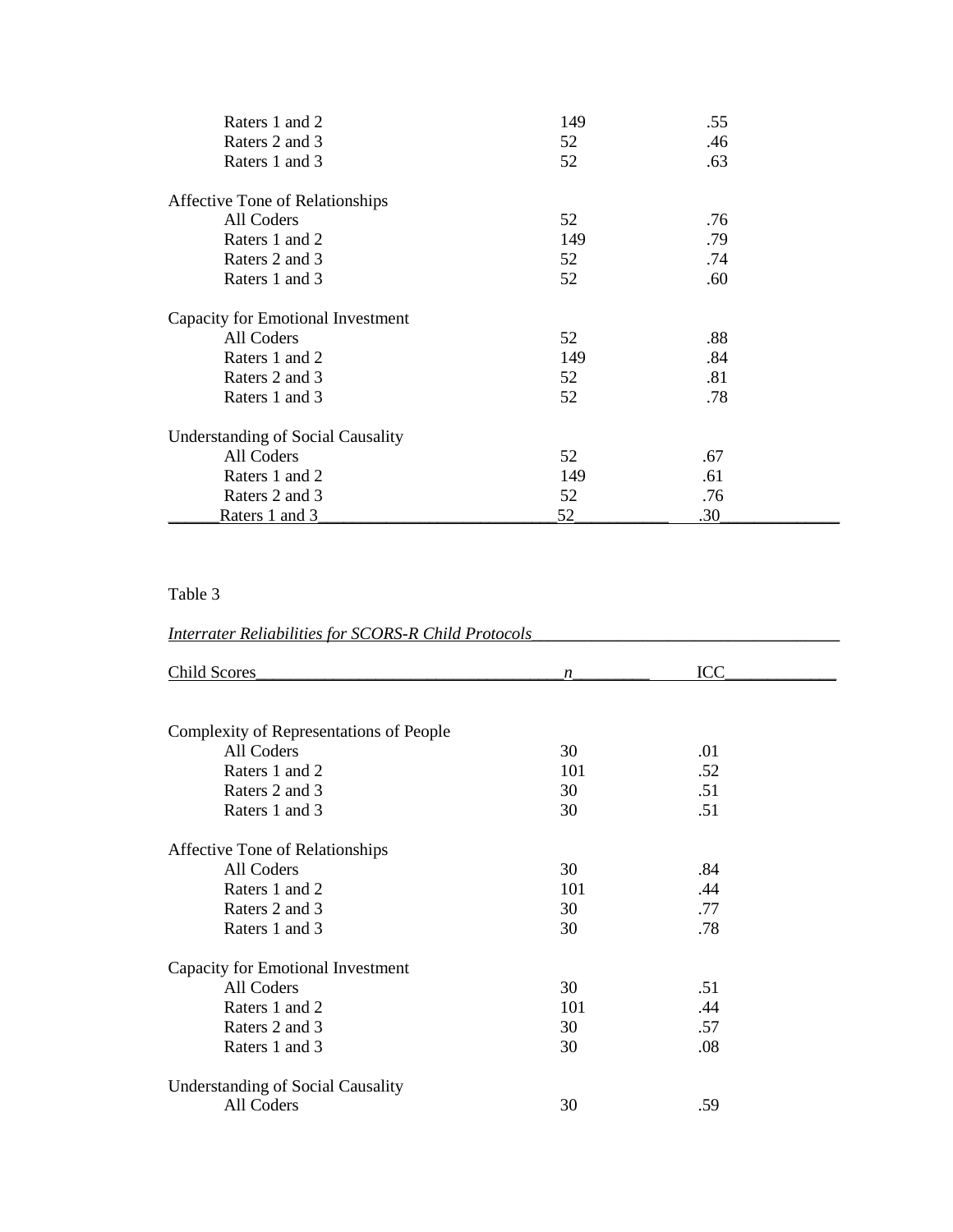| Raters 1 and 2                           | 149 | .55 |  |
|------------------------------------------|-----|-----|--|
| Raters 2 and 3                           | 52  | .46 |  |
| Raters 1 and 3                           | 52  | .63 |  |
| Affective Tone of Relationships          |     |     |  |
| All Coders                               | 52  | .76 |  |
| Raters 1 and 2                           | 149 | .79 |  |
| Raters 2 and 3                           | 52  | .74 |  |
| Raters 1 and 3                           | 52  | .60 |  |
| Capacity for Emotional Investment        |     |     |  |
| All Coders                               | 52  | .88 |  |
| Raters 1 and 2                           | 149 | .84 |  |
| Raters 2 and 3                           | 52  | .81 |  |
| Raters 1 and 3                           | 52  | .78 |  |
| <b>Understanding of Social Causality</b> |     |     |  |
| All Coders                               | 52  | .67 |  |
| Raters 1 and 2                           | 149 | .61 |  |
| Raters 2 and 3                           | 52  | .76 |  |
| Raters 1 and 3                           | 52  | .30 |  |

# Table 3

# *Interrater Reliabilities for SCORS-R Child Protocols*\_\_\_\_\_\_\_\_\_\_\_\_\_\_\_\_\_\_\_\_\_\_\_\_\_\_\_\_\_\_\_\_\_\_\_\_

| <b>Child Scores</b>                      | n   | <b>ICC</b> |  |
|------------------------------------------|-----|------------|--|
|                                          |     |            |  |
| Complexity of Representations of People  |     |            |  |
| All Coders                               | 30  | .01        |  |
| Raters 1 and 2                           | 101 | .52        |  |
| Raters 2 and 3                           | 30  | .51        |  |
| Raters 1 and 3                           | 30  | .51        |  |
| Affective Tone of Relationships          |     |            |  |
| All Coders                               | 30  | .84        |  |
| Raters 1 and 2                           | 101 | .44        |  |
| Raters 2 and 3                           | 30  | .77        |  |
| Raters 1 and 3                           | 30  | .78        |  |
| Capacity for Emotional Investment        |     |            |  |
| All Coders                               | 30  | .51        |  |
| Raters 1 and 2                           | 101 | .44        |  |
| Raters 2 and 3                           | 30  | .57        |  |
| Raters 1 and 3                           | 30  | .08        |  |
| <b>Understanding of Social Causality</b> |     |            |  |
| All Coders                               | 30  | .59        |  |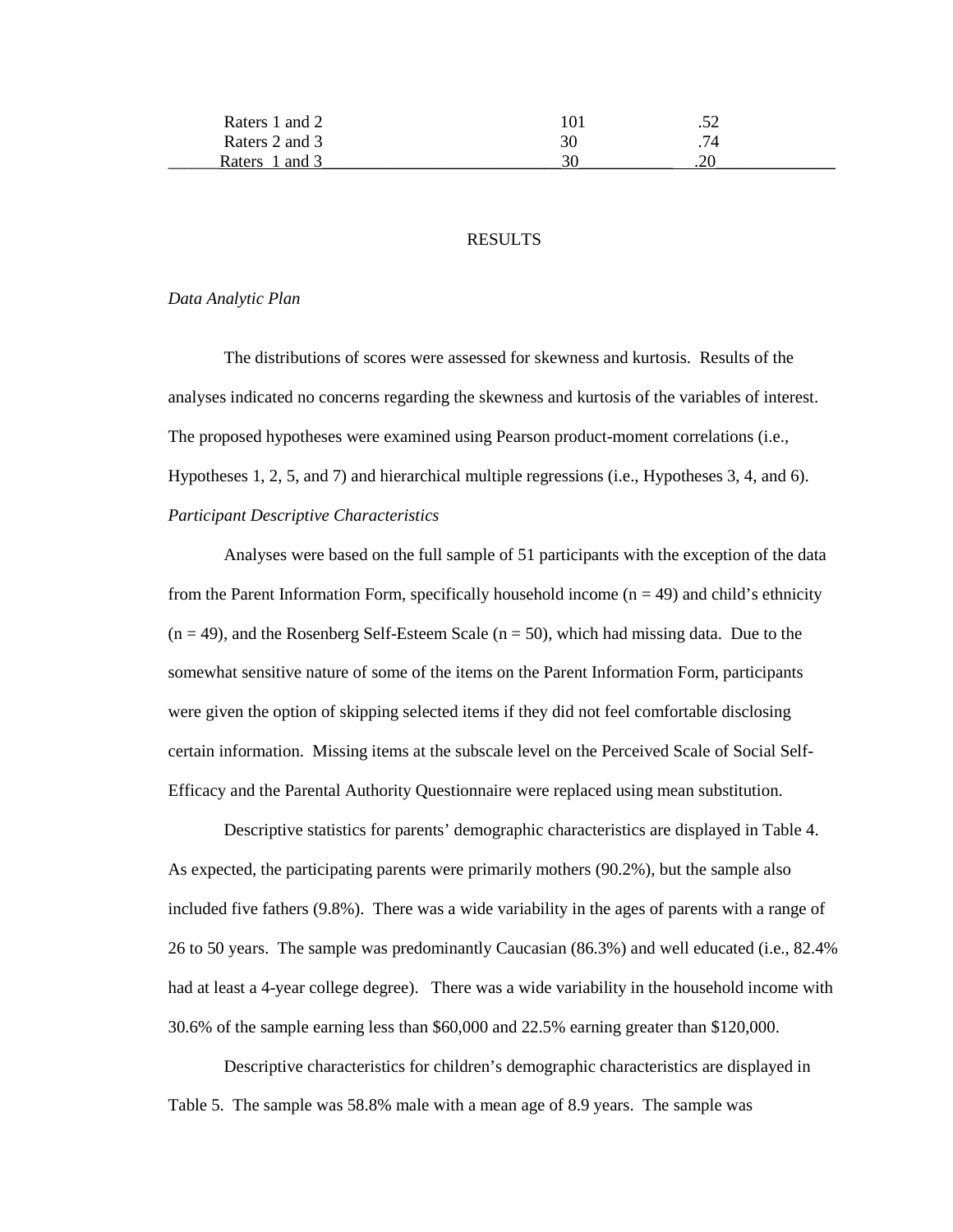| Raters 1 and 2  | 101     | ے بی |  |
|-----------------|---------|------|--|
| Raters 2 and 3  | 30      | .74  |  |
| and 3<br>Raters | $\cdot$ | .∠u  |  |

# **RESULTS**

# *Data Analytic Plan*

The distributions of scores were assessed for skewness and kurtosis. Results of the analyses indicated no concerns regarding the skewness and kurtosis of the variables of interest. The proposed hypotheses were examined using Pearson product-moment correlations (i.e., Hypotheses 1, 2, 5, and 7) and hierarchical multiple regressions (i.e., Hypotheses 3, 4, and 6). *Participant Descriptive Characteristics* 

 Analyses were based on the full sample of 51 participants with the exception of the data from the Parent Information Form, specifically household income  $(n = 49)$  and child's ethnicity  $(n = 49)$ , and the Rosenberg Self-Esteem Scale  $(n = 50)$ , which had missing data. Due to the somewhat sensitive nature of some of the items on the Parent Information Form, participants were given the option of skipping selected items if they did not feel comfortable disclosing certain information. Missing items at the subscale level on the Perceived Scale of Social Self-Efficacy and the Parental Authority Questionnaire were replaced using mean substitution.

Descriptive statistics for parents' demographic characteristics are displayed in Table 4. As expected, the participating parents were primarily mothers (90.2%), but the sample also included five fathers (9.8%). There was a wide variability in the ages of parents with a range of 26 to 50 years. The sample was predominantly Caucasian (86.3%) and well educated (i.e., 82.4% had at least a 4-year college degree). There was a wide variability in the household income with 30.6% of the sample earning less than \$60,000 and 22.5% earning greater than \$120,000.

 Descriptive characteristics for children's demographic characteristics are displayed in Table 5. The sample was 58.8% male with a mean age of 8.9 years. The sample was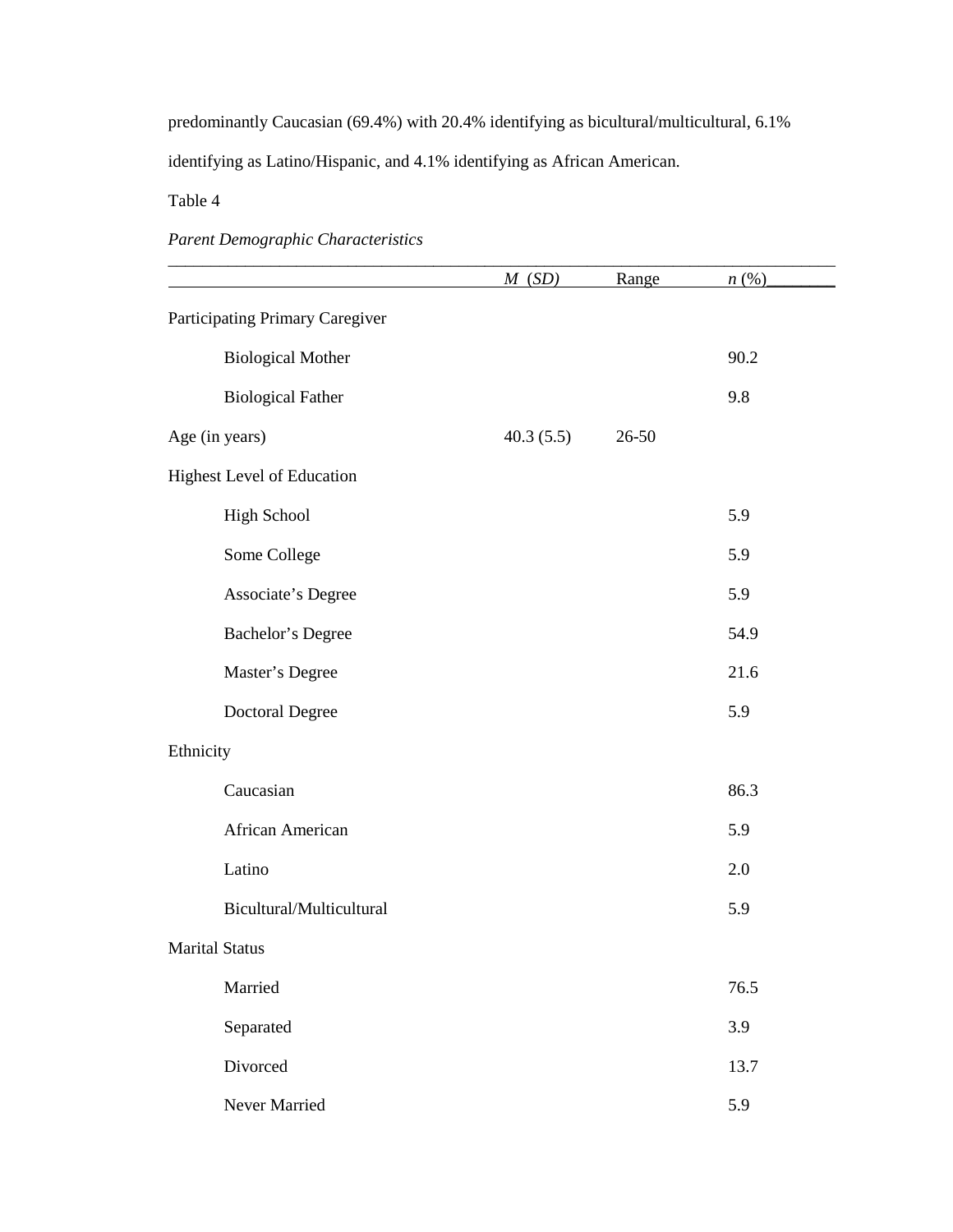predominantly Caucasian (69.4%) with 20.4% identifying as bicultural/multicultural, 6.1%

identifying as Latino/Hispanic, and 4.1% identifying as African American.

Table 4

*Parent Demographic Characteristics*

|                                 | M(SD)     | Range | $n(\%)$ |
|---------------------------------|-----------|-------|---------|
| Participating Primary Caregiver |           |       |         |
| <b>Biological Mother</b>        |           |       | 90.2    |
| <b>Biological Father</b>        |           |       | 9.8     |
| Age (in years)                  | 40.3(5.5) | 26-50 |         |
| Highest Level of Education      |           |       |         |
| <b>High School</b>              |           |       | 5.9     |
| Some College                    |           |       | 5.9     |
| Associate's Degree              |           |       | 5.9     |
| Bachelor's Degree               |           |       | 54.9    |
| Master's Degree                 |           |       | 21.6    |
| Doctoral Degree                 |           |       | 5.9     |
| Ethnicity                       |           |       |         |
| Caucasian                       |           |       | 86.3    |
| African American                |           |       | 5.9     |
| Latino                          |           |       | 2.0     |
| Bicultural/Multicultural        |           |       | 5.9     |
| <b>Marital Status</b>           |           |       |         |
| Married                         |           |       | 76.5    |
| Separated                       |           |       | 3.9     |
| Divorced                        |           |       | 13.7    |
| Never Married                   |           |       | 5.9     |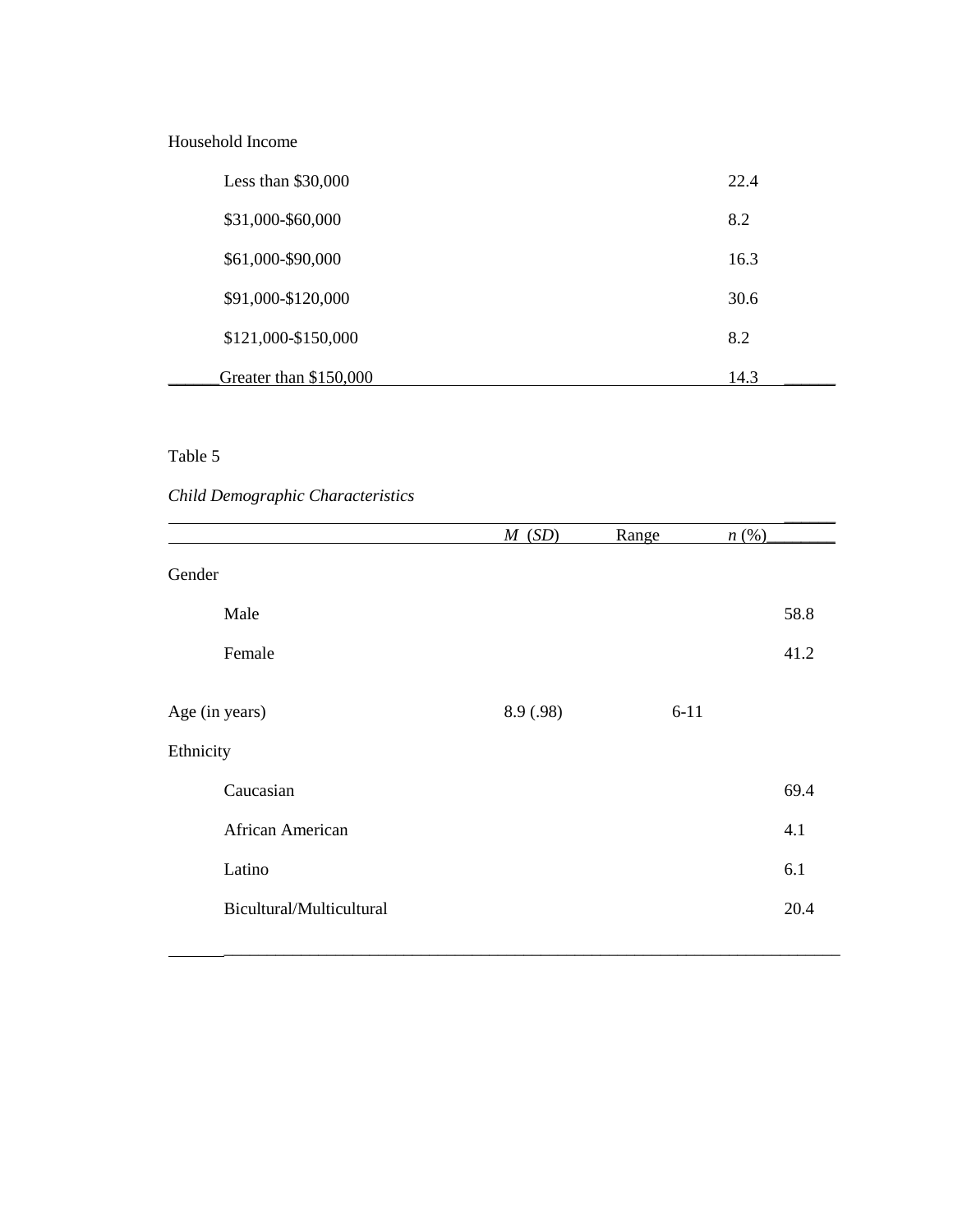# Household Income

| Less than $$30,000$    | 22.4 |
|------------------------|------|
| \$31,000-\$60,000      | 8.2  |
| \$61,000-\$90,000      | 16.3 |
| \$91,000-\$120,000     | 30.6 |
| \$121,000-\$150,000    | 8.2  |
| Greater than \$150,000 | 14.3 |

# Table 5

# *Child Demographic Characteristics*

|                          | M(SD)     | Range    | n(%) |
|--------------------------|-----------|----------|------|
| Gender                   |           |          |      |
| Male                     |           |          | 58.8 |
| Female                   |           |          | 41.2 |
| Age (in years)           | 8.9 (.98) | $6 - 11$ |      |
| Ethnicity                |           |          |      |
| Caucasian                |           |          | 69.4 |
| African American         |           |          | 4.1  |
| Latino                   |           |          | 6.1  |
| Bicultural/Multicultural |           |          | 20.4 |
|                          |           |          |      |

\_\_\_\_\_\_\_\_\_\_\_\_\_\_\_\_\_\_\_\_\_\_\_\_\_\_\_\_\_\_\_\_\_\_\_\_\_\_\_\_\_\_\_\_\_\_\_\_\_\_\_\_\_\_\_\_\_\_\_\_\_\_\_\_\_\_\_\_\_\_\_\_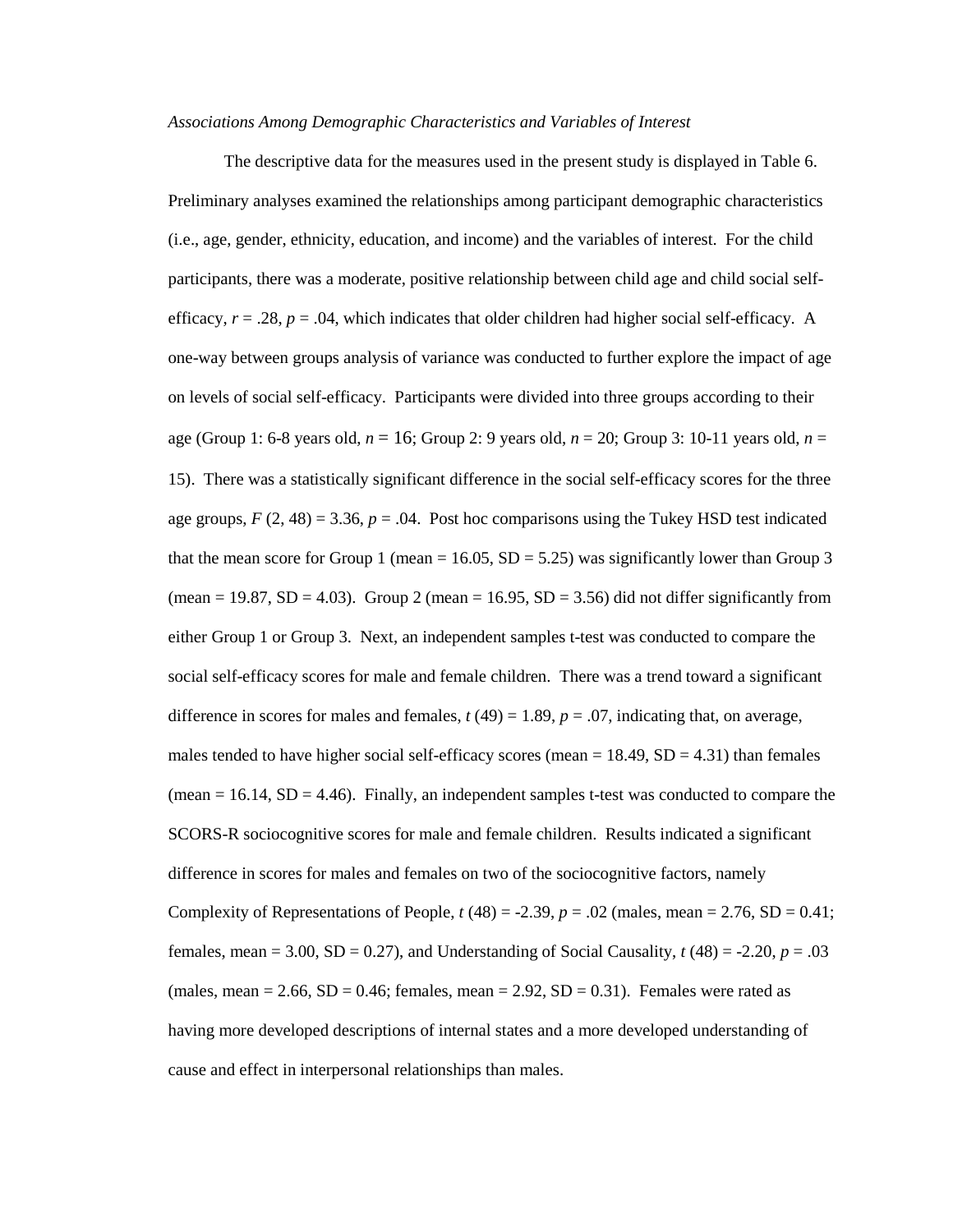#### *Associations Among Demographic Characteristics and Variables of Interest*

 The descriptive data for the measures used in the present study is displayed in Table 6. Preliminary analyses examined the relationships among participant demographic characteristics (i.e., age, gender, ethnicity, education, and income) and the variables of interest. For the child participants, there was a moderate, positive relationship between child age and child social selfefficacy,  $r = .28$ ,  $p = .04$ , which indicates that older children had higher social self-efficacy. A one-way between groups analysis of variance was conducted to further explore the impact of age on levels of social self-efficacy. Participants were divided into three groups according to their age (Group 1: 6-8 years old, *n* = 16; Group 2: 9 years old, *n* = 20; Group 3: 10-11 years old, *n* = 15). There was a statistically significant difference in the social self-efficacy scores for the three age groups,  $F(2, 48) = 3.36$ ,  $p = .04$ . Post hoc comparisons using the Tukey HSD test indicated that the mean score for Group 1 (mean  $= 16.05$ , SD  $= 5.25$ ) was significantly lower than Group 3 (mean = 19.87,  $SD = 4.03$ ). Group 2 (mean = 16.95,  $SD = 3.56$ ) did not differ significantly from either Group 1 or Group 3. Next, an independent samples t-test was conducted to compare the social self-efficacy scores for male and female children. There was a trend toward a significant difference in scores for males and females,  $t(49) = 1.89$ ,  $p = .07$ , indicating that, on average, males tended to have higher social self-efficacy scores (mean  $= 18.49$ , SD  $= 4.31$ ) than females (mean  $= 16.14$ , SD  $= 4.46$ ). Finally, an independent samples t-test was conducted to compare the SCORS-R sociocognitive scores for male and female children. Results indicated a significant difference in scores for males and females on two of the sociocognitive factors, namely Complexity of Representations of People,  $t(48) = -2.39$ ,  $p = .02$  (males, mean = 2.76, SD = 0.41; females, mean  $= 3.00$ ,  $SD = 0.27$ , and Understanding of Social Causality,  $t(48) = -2.20$ ,  $p = .03$ (males, mean =  $2.66$ , SD =  $0.46$ ; females, mean =  $2.92$ , SD =  $0.31$ ). Females were rated as having more developed descriptions of internal states and a more developed understanding of cause and effect in interpersonal relationships than males.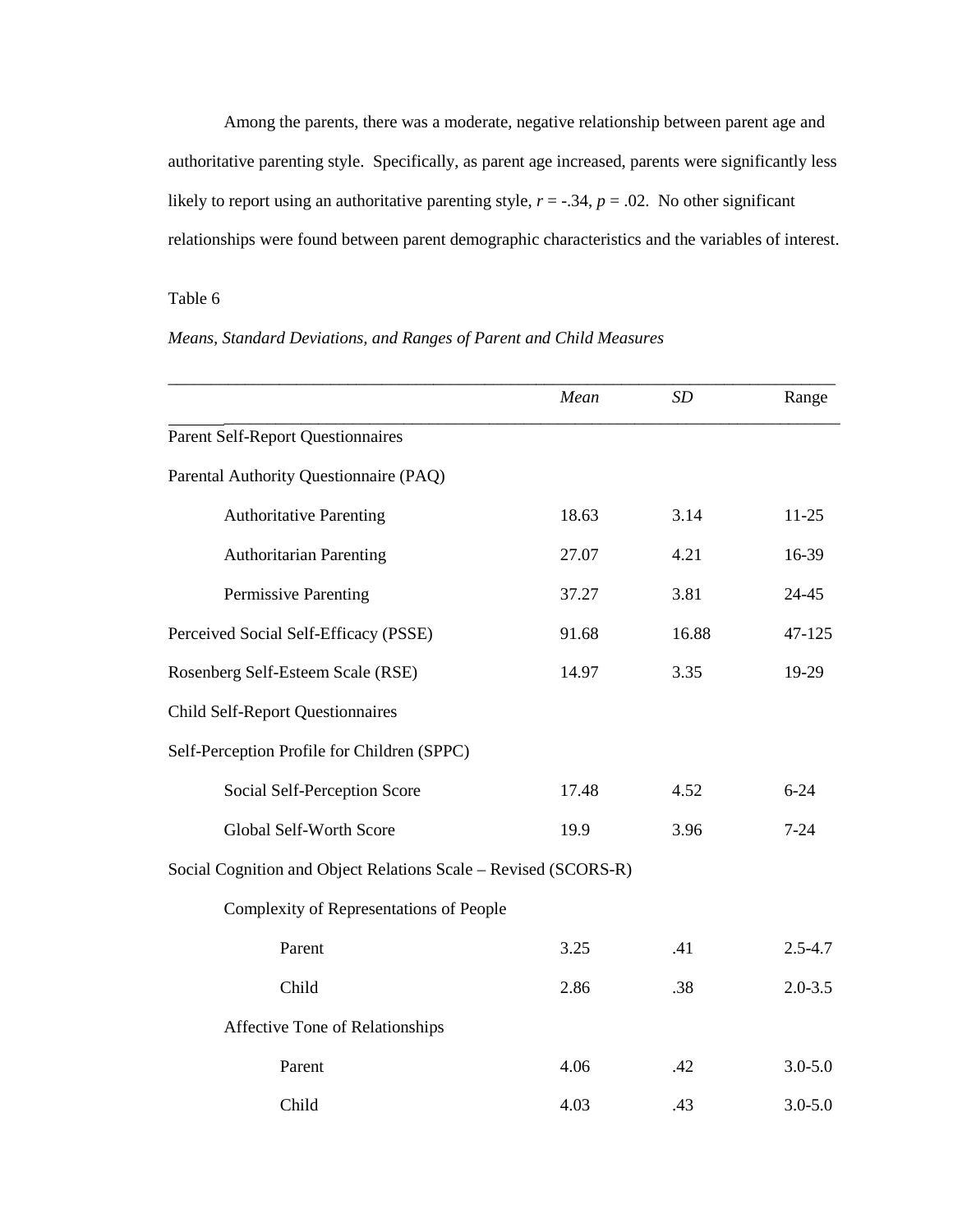Among the parents, there was a moderate, negative relationship between parent age and authoritative parenting style. Specifically, as parent age increased, parents were significantly less likely to report using an authoritative parenting style,  $r = -.34$ ,  $p = .02$ . No other significant relationships were found between parent demographic characteristics and the variables of interest.

# Table 6

# *Means, Standard Deviations, and Ranges of Parent and Child Measures*

|                                                                 | Mean  | SD    | Range       |
|-----------------------------------------------------------------|-------|-------|-------------|
| <b>Parent Self-Report Questionnaires</b>                        |       |       |             |
| Parental Authority Questionnaire (PAQ)                          |       |       |             |
| <b>Authoritative Parenting</b>                                  | 18.63 | 3.14  | $11 - 25$   |
| <b>Authoritarian Parenting</b>                                  | 27.07 | 4.21  | 16-39       |
| <b>Permissive Parenting</b>                                     | 37.27 | 3.81  | 24-45       |
| Perceived Social Self-Efficacy (PSSE)                           | 91.68 | 16.88 | 47-125      |
| Rosenberg Self-Esteem Scale (RSE)                               | 14.97 | 3.35  | 19-29       |
| <b>Child Self-Report Questionnaires</b>                         |       |       |             |
| Self-Perception Profile for Children (SPPC)                     |       |       |             |
| Social Self-Perception Score                                    | 17.48 | 4.52  | $6 - 24$    |
| Global Self-Worth Score                                         | 19.9  | 3.96  | $7 - 24$    |
| Social Cognition and Object Relations Scale - Revised (SCORS-R) |       |       |             |
| Complexity of Representations of People                         |       |       |             |
| Parent                                                          | 3.25  | .41   | $2.5 - 4.7$ |
| Child                                                           | 2.86  | .38   | $2.0 - 3.5$ |
| Affective Tone of Relationships                                 |       |       |             |
| Parent                                                          | 4.06  | .42   | $3.0 - 5.0$ |
| Child                                                           | 4.03  | .43   | $3.0 - 5.0$ |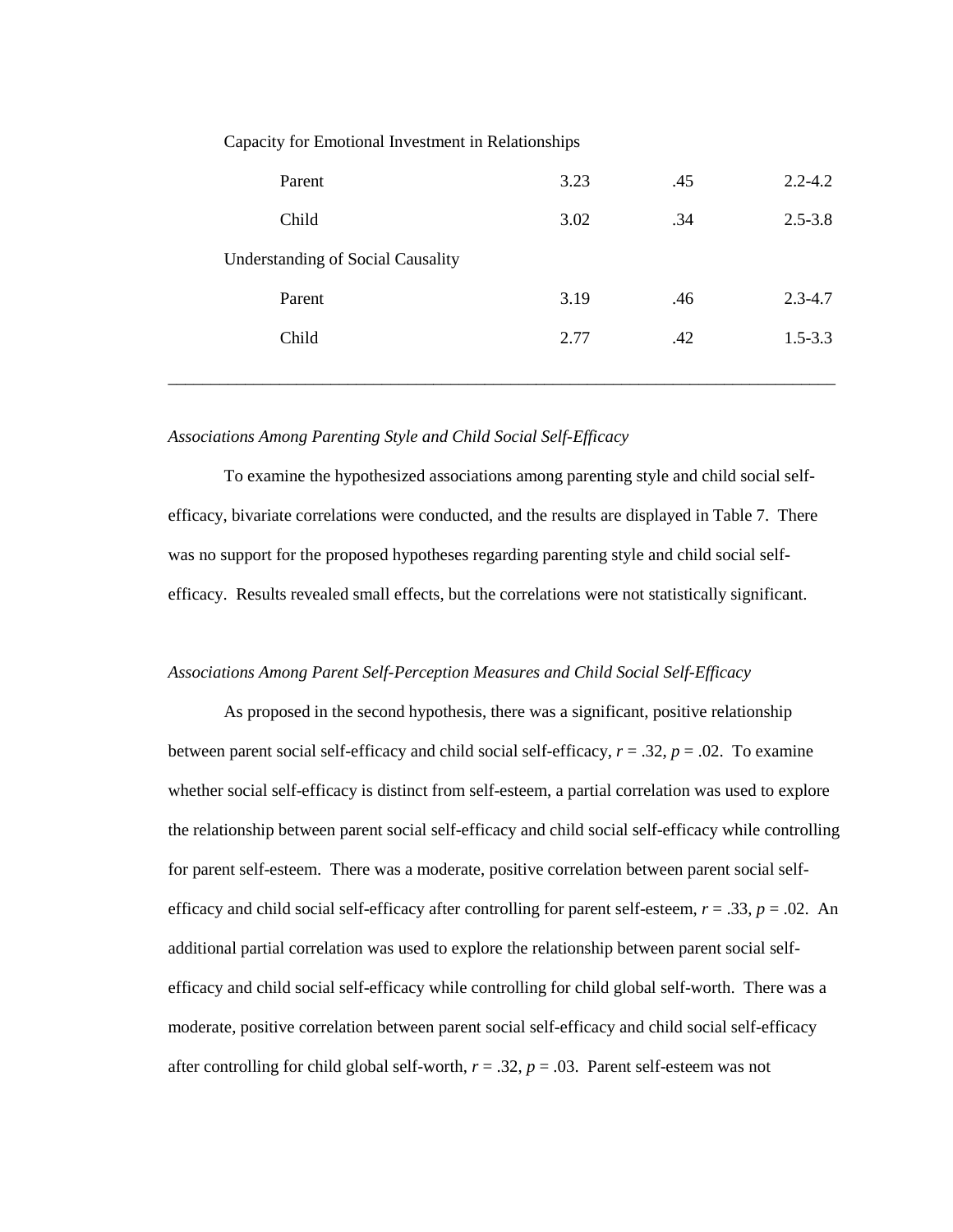Capacity for Emotional Investment in Relationships

| Parent                                   | 3.23 | .45 | $2.2 - 4.2$ |
|------------------------------------------|------|-----|-------------|
| Child                                    | 3.02 | .34 | $2.5 - 3.8$ |
| <b>Understanding of Social Causality</b> |      |     |             |
| Parent                                   | 3.19 | .46 | $2.3 - 4.7$ |
| Child                                    | 2.77 | .42 | $1.5 - 3.3$ |
|                                          |      |     |             |

# *Associations Among Parenting Style and Child Social Self-Efficacy*

 To examine the hypothesized associations among parenting style and child social selfefficacy, bivariate correlations were conducted, and the results are displayed in Table 7. There was no support for the proposed hypotheses regarding parenting style and child social selfefficacy. Results revealed small effects, but the correlations were not statistically significant.

## *Associations Among Parent Self-Perception Measures and Child Social Self-Efficacy*

 As proposed in the second hypothesis, there was a significant, positive relationship between parent social self-efficacy and child social self-efficacy,  $r = .32$ ,  $p = .02$ . To examine whether social self-efficacy is distinct from self-esteem, a partial correlation was used to explore the relationship between parent social self-efficacy and child social self-efficacy while controlling for parent self-esteem. There was a moderate, positive correlation between parent social selfefficacy and child social self-efficacy after controlling for parent self-esteem,  $r = .33$ ,  $p = .02$ . An additional partial correlation was used to explore the relationship between parent social selfefficacy and child social self-efficacy while controlling for child global self-worth. There was a moderate, positive correlation between parent social self-efficacy and child social self-efficacy after controlling for child global self-worth,  $r = .32$ ,  $p = .03$ . Parent self-esteem was not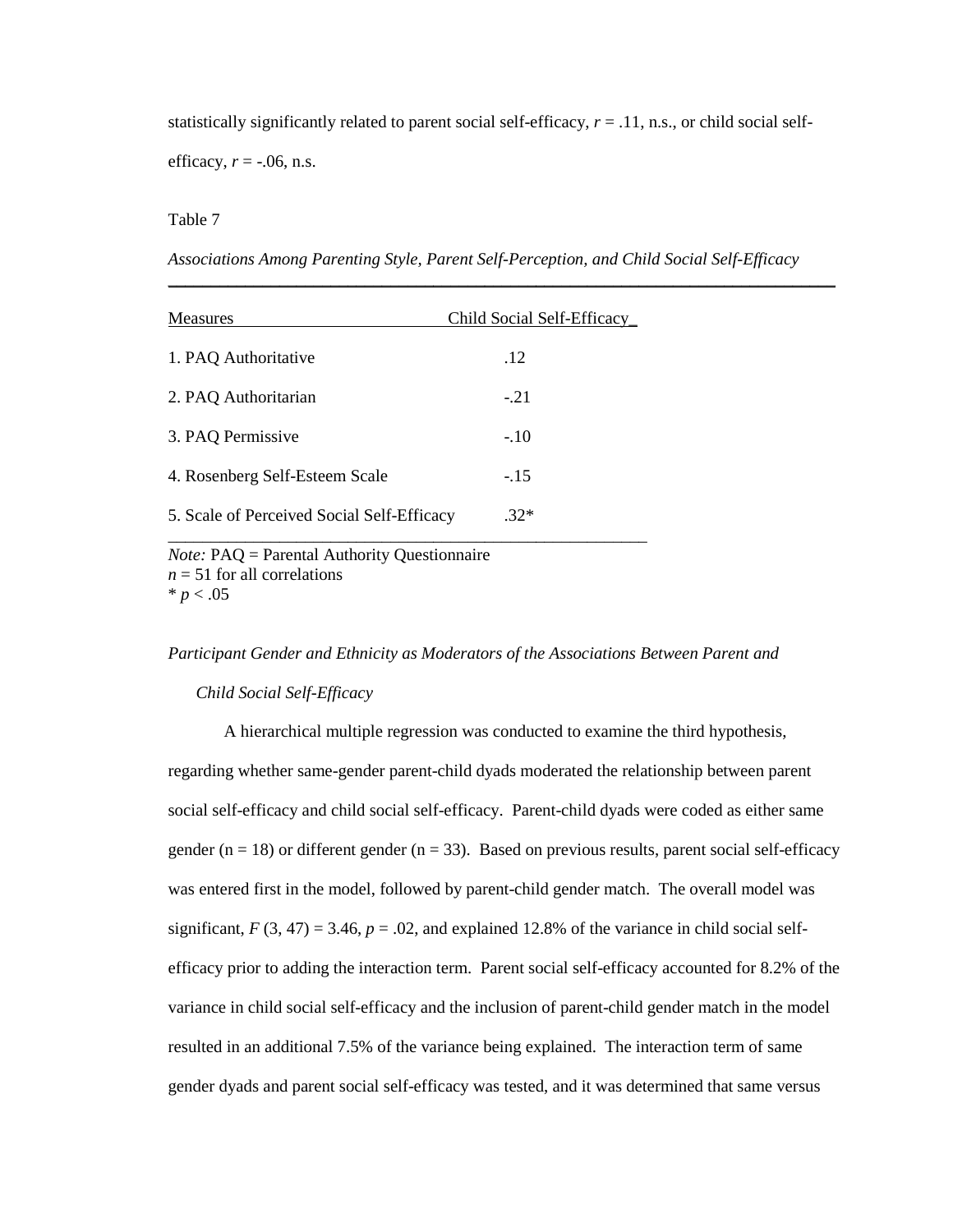statistically significantly related to parent social self-efficacy,  $r = .11$ , n.s., or child social self-

efficacy,  $r = -.06$ , n.s.

#### Table 7

*Associations Among Parenting Style, Parent Self-Perception, and Child Social Self-Efficacy* 

*\_\_\_\_\_\_\_\_\_\_*\_\_\_\_\_\_\_\_\_\_\_\_\_\_\_\_\_\_\_\_\_\_\_\_\_\_\_\_\_\_\_\_\_\_\_\_\_\_\_\_\_\_\_\_\_\_\_\_\_\_\_\_\_\_\_\_\_\_\_\_\_\_\_\_\_\_\_\_

| <b>Measures</b>                                                        | Child Social Self-Efficacy |  |
|------------------------------------------------------------------------|----------------------------|--|
| 1. PAQ Authoritative                                                   | .12                        |  |
| 2. PAQ Authoritarian                                                   | $-21$                      |  |
| 3. PAQ Permissive                                                      | $-.10$                     |  |
| 4. Rosenberg Self-Esteem Scale                                         | $-.15$                     |  |
| 5. Scale of Perceived Social Self-Efficacy                             | $.32*$                     |  |
| $N_{\text{etc}}$ , $DA \Omega = \text{Dermol}$ Authority Questionneiro |                            |  |

*Note:* PAQ = Parental Authority Questionnaire  $n = 51$  for all correlations  $* p < .05$ 

#### *Participant Gender and Ethnicity as Moderators of the Associations Between Parent and*

*Child Social Self-Efficacy* 

 A hierarchical multiple regression was conducted to examine the third hypothesis, regarding whether same-gender parent-child dyads moderated the relationship between parent social self-efficacy and child social self-efficacy. Parent-child dyads were coded as either same gender ( $n = 18$ ) or different gender ( $n = 33$ ). Based on previous results, parent social self-efficacy was entered first in the model, followed by parent-child gender match. The overall model was significant,  $F(3, 47) = 3.46$ ,  $p = .02$ , and explained 12.8% of the variance in child social selfefficacy prior to adding the interaction term. Parent social self-efficacy accounted for 8.2% of the variance in child social self-efficacy and the inclusion of parent-child gender match in the model resulted in an additional 7.5% of the variance being explained. The interaction term of same gender dyads and parent social self-efficacy was tested, and it was determined that same versus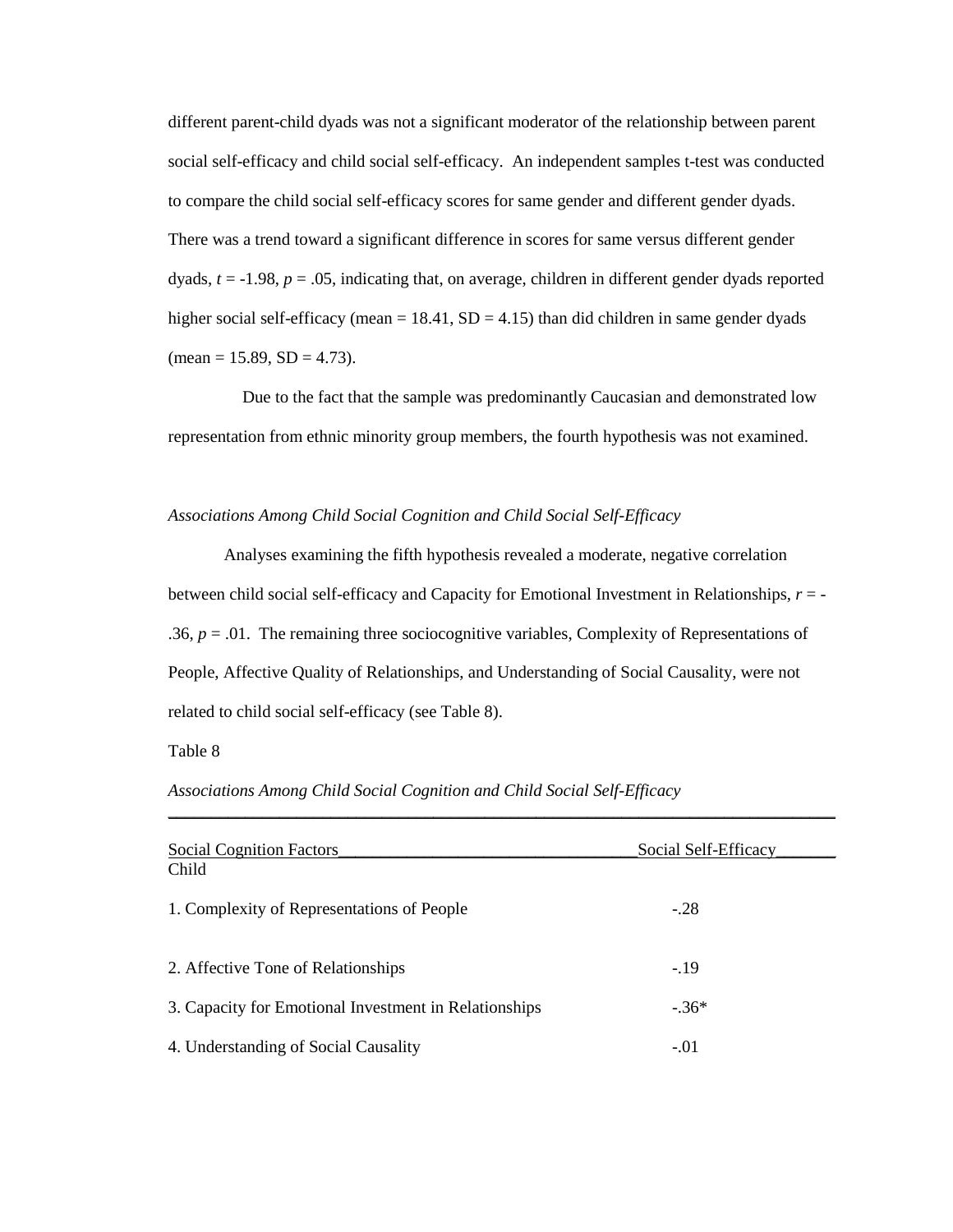different parent-child dyads was not a significant moderator of the relationship between parent social self-efficacy and child social self-efficacy. An independent samples t-test was conducted to compare the child social self-efficacy scores for same gender and different gender dyads. There was a trend toward a significant difference in scores for same versus different gender dyads, *t* = -1.98, *p* = .05, indicating that, on average, children in different gender dyads reported higher social self-efficacy (mean  $= 18.41$ , SD  $= 4.15$ ) than did children in same gender dyads  $(\text{mean} = 15.89, SD = 4.73).$ 

 Due to the fact that the sample was predominantly Caucasian and demonstrated low representation from ethnic minority group members, the fourth hypothesis was not examined.

# *Associations Among Child Social Cognition and Child Social Self-Efficacy*

 Analyses examining the fifth hypothesis revealed a moderate, negative correlation between child social self-efficacy and Capacity for Emotional Investment in Relationships, *r* = - .36,  $p = .01$ . The remaining three sociocognitive variables, Complexity of Representations of People, Affective Quality of Relationships, and Understanding of Social Causality, were not related to child social self-efficacy (see Table 8).

Table 8

*Associations Among Child Social Cognition and Child Social Self-Efficacy* 

| <b>Social Cognition Factors</b>                       | Social Self-Efficacy |
|-------------------------------------------------------|----------------------|
| Child                                                 |                      |
| 1. Complexity of Representations of People            | $-.28$               |
| 2. Affective Tone of Relationships                    | $-19$                |
| 3. Capacity for Emotional Investment in Relationships | $-.36*$              |
| 4. Understanding of Social Causality                  | $-.01$               |

*\_\_\_\_\_\_\_\_\_\_\_\_\_\_\_\_\_\_\_\_\_\_\_\_\_\_\_\_\_\_\_*\_\_\_\_\_\_\_\_\_\_\_\_\_\_\_\_\_\_\_\_\_\_\_\_\_\_\_\_\_\_\_\_\_\_\_\_\_\_\_\_\_\_\_\_\_\_\_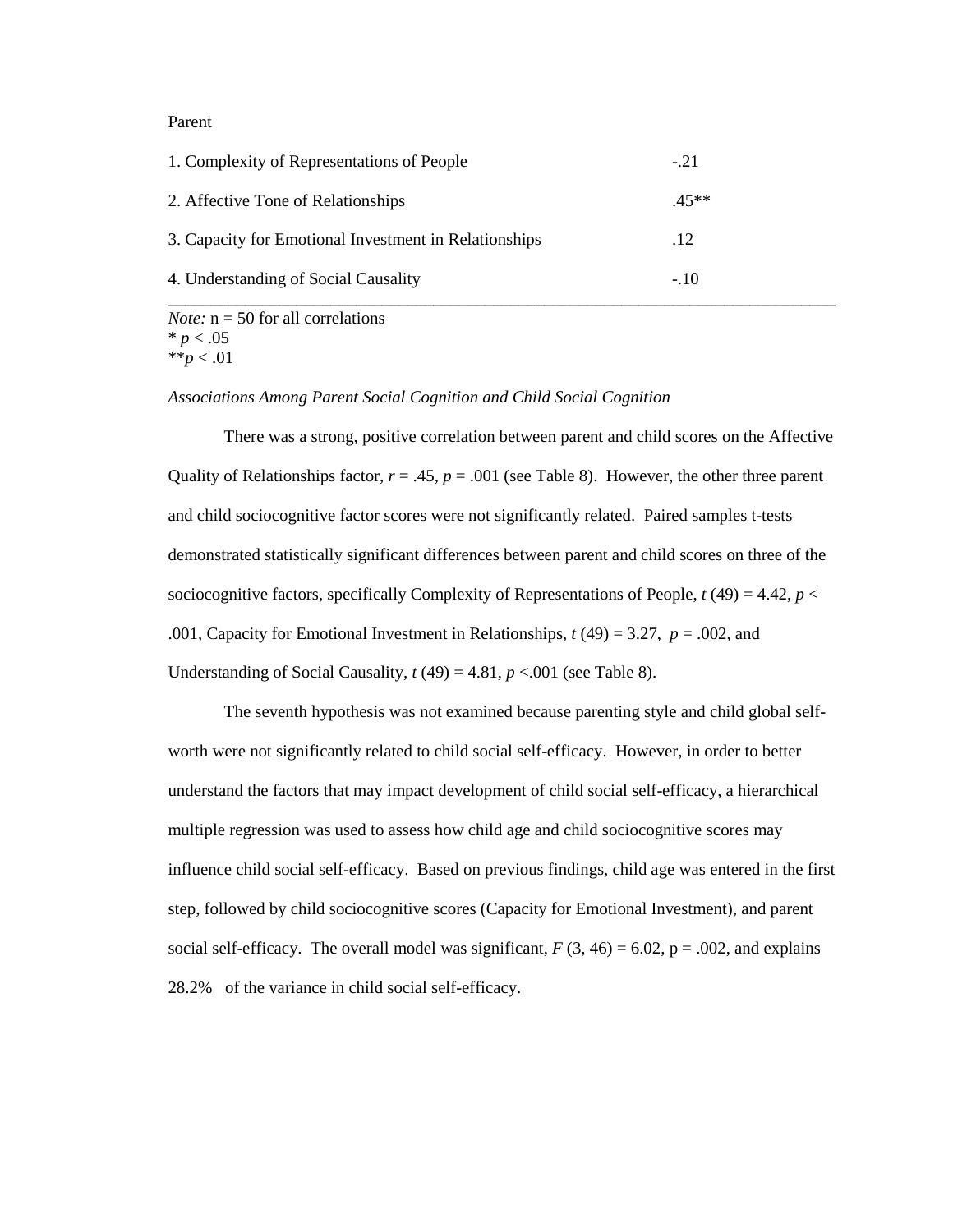# Parent

| 1. Complexity of Representations of People            | $-.21$ |
|-------------------------------------------------------|--------|
| 2. Affective Tone of Relationships                    | $45**$ |
| 3. Capacity for Emotional Investment in Relationships | .12    |
| 4. Understanding of Social Causality                  | $-.10$ |

*Note:*  $n = 50$  for all correlations  $* p < .05$ \*\**p* < .01

*Associations Among Parent Social Cognition and Child Social Cognition* 

 There was a strong, positive correlation between parent and child scores on the Affective Quality of Relationships factor,  $r = .45$ ,  $p = .001$  (see Table 8). However, the other three parent and child sociocognitive factor scores were not significantly related. Paired samples t-tests demonstrated statistically significant differences between parent and child scores on three of the sociocognitive factors, specifically Complexity of Representations of People,  $t(49) = 4.42$ ,  $p <$ .001, Capacity for Emotional Investment in Relationships,  $t(49) = 3.27$ ,  $p = .002$ , and Understanding of Social Causality,  $t(49) = 4.81$ ,  $p < .001$  (see Table 8).

The seventh hypothesis was not examined because parenting style and child global selfworth were not significantly related to child social self-efficacy. However, in order to better understand the factors that may impact development of child social self-efficacy, a hierarchical multiple regression was used to assess how child age and child sociocognitive scores may influence child social self-efficacy. Based on previous findings, child age was entered in the first step, followed by child sociocognitive scores (Capacity for Emotional Investment), and parent social self-efficacy. The overall model was significant,  $F(3, 46) = 6.02$ ,  $p = .002$ , and explains 28.2% of the variance in child social self-efficacy.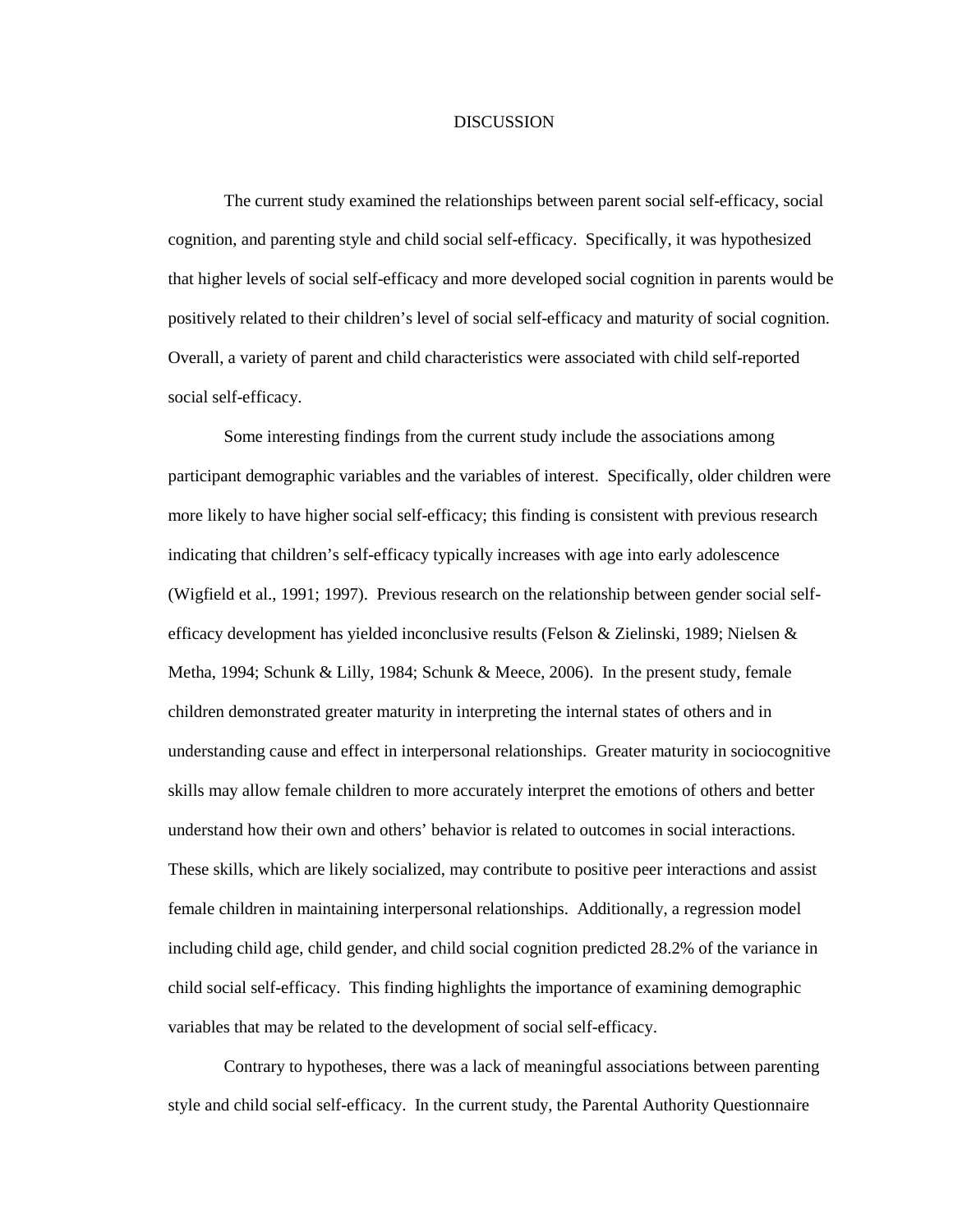#### DISCUSSION

 The current study examined the relationships between parent social self-efficacy, social cognition, and parenting style and child social self-efficacy. Specifically, it was hypothesized that higher levels of social self-efficacy and more developed social cognition in parents would be positively related to their children's level of social self-efficacy and maturity of social cognition. Overall, a variety of parent and child characteristics were associated with child self-reported social self-efficacy.

 Some interesting findings from the current study include the associations among participant demographic variables and the variables of interest. Specifically, older children were more likely to have higher social self-efficacy; this finding is consistent with previous research indicating that children's self-efficacy typically increases with age into early adolescence (Wigfield et al., 1991; 1997). Previous research on the relationship between gender social selfefficacy development has yielded inconclusive results (Felson & Zielinski, 1989; Nielsen & Metha, 1994; Schunk & Lilly, 1984; Schunk & Meece, 2006). In the present study, female children demonstrated greater maturity in interpreting the internal states of others and in understanding cause and effect in interpersonal relationships. Greater maturity in sociocognitive skills may allow female children to more accurately interpret the emotions of others and better understand how their own and others' behavior is related to outcomes in social interactions. These skills, which are likely socialized, may contribute to positive peer interactions and assist female children in maintaining interpersonal relationships. Additionally, a regression model including child age, child gender, and child social cognition predicted 28.2% of the variance in child social self-efficacy. This finding highlights the importance of examining demographic variables that may be related to the development of social self-efficacy.

 Contrary to hypotheses, there was a lack of meaningful associations between parenting style and child social self-efficacy. In the current study, the Parental Authority Questionnaire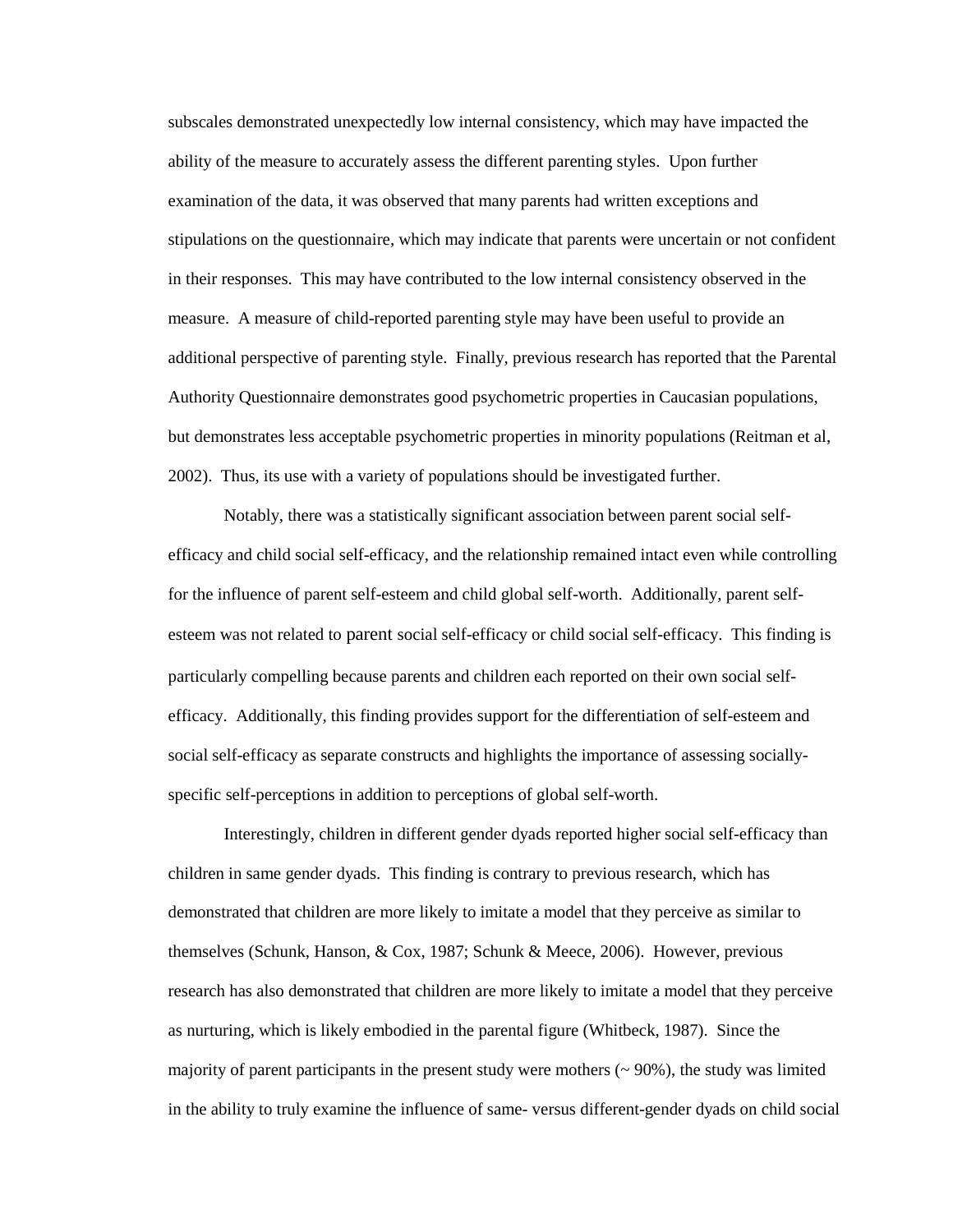subscales demonstrated unexpectedly low internal consistency, which may have impacted the ability of the measure to accurately assess the different parenting styles. Upon further examination of the data, it was observed that many parents had written exceptions and stipulations on the questionnaire, which may indicate that parents were uncertain or not confident in their responses. This may have contributed to the low internal consistency observed in the measure. A measure of child-reported parenting style may have been useful to provide an additional perspective of parenting style. Finally, previous research has reported that the Parental Authority Questionnaire demonstrates good psychometric properties in Caucasian populations, but demonstrates less acceptable psychometric properties in minority populations (Reitman et al, 2002). Thus, its use with a variety of populations should be investigated further.

 Notably, there was a statistically significant association between parent social selfefficacy and child social self-efficacy, and the relationship remained intact even while controlling for the influence of parent self-esteem and child global self-worth. Additionally, parent selfesteem was not related to parent social self-efficacy or child social self-efficacy. This finding is particularly compelling because parents and children each reported on their own social selfefficacy. Additionally, this finding provides support for the differentiation of self-esteem and social self-efficacy as separate constructs and highlights the importance of assessing sociallyspecific self-perceptions in addition to perceptions of global self-worth.

 Interestingly, children in different gender dyads reported higher social self-efficacy than children in same gender dyads. This finding is contrary to previous research, which has demonstrated that children are more likely to imitate a model that they perceive as similar to themselves (Schunk, Hanson, & Cox, 1987; Schunk & Meece, 2006). However, previous research has also demonstrated that children are more likely to imitate a model that they perceive as nurturing, which is likely embodied in the parental figure (Whitbeck, 1987). Since the majority of parent participants in the present study were mothers  $($   $\sim$  90%), the study was limited in the ability to truly examine the influence of same- versus different-gender dyads on child social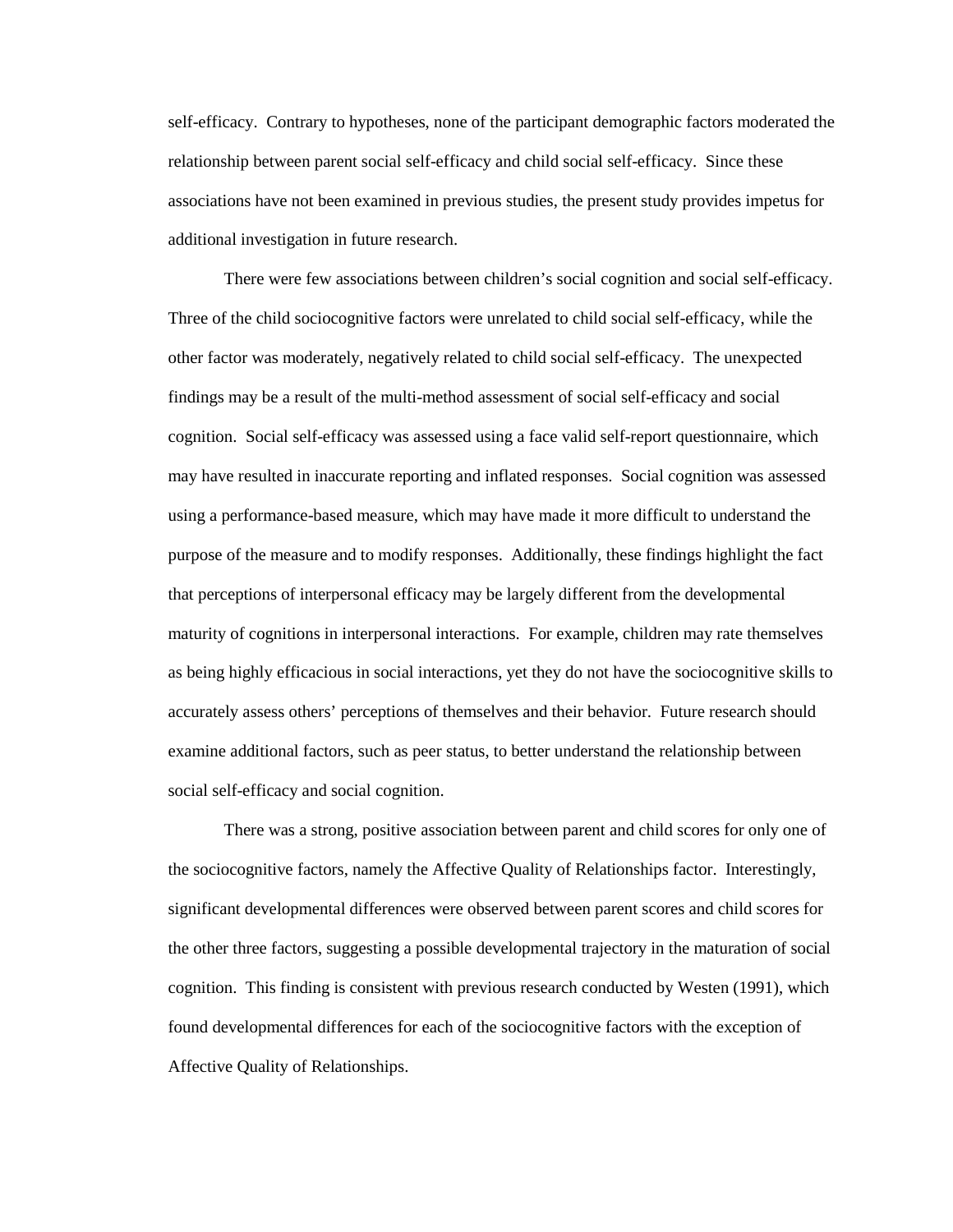self-efficacy. Contrary to hypotheses, none of the participant demographic factors moderated the relationship between parent social self-efficacy and child social self-efficacy. Since these associations have not been examined in previous studies, the present study provides impetus for additional investigation in future research.

 There were few associations between children's social cognition and social self-efficacy. Three of the child sociocognitive factors were unrelated to child social self-efficacy, while the other factor was moderately, negatively related to child social self-efficacy. The unexpected findings may be a result of the multi-method assessment of social self-efficacy and social cognition. Social self-efficacy was assessed using a face valid self-report questionnaire, which may have resulted in inaccurate reporting and inflated responses. Social cognition was assessed using a performance-based measure, which may have made it more difficult to understand the purpose of the measure and to modify responses. Additionally, these findings highlight the fact that perceptions of interpersonal efficacy may be largely different from the developmental maturity of cognitions in interpersonal interactions. For example, children may rate themselves as being highly efficacious in social interactions, yet they do not have the sociocognitive skills to accurately assess others' perceptions of themselves and their behavior. Future research should examine additional factors, such as peer status, to better understand the relationship between social self-efficacy and social cognition.

 There was a strong, positive association between parent and child scores for only one of the sociocognitive factors, namely the Affective Quality of Relationships factor. Interestingly, significant developmental differences were observed between parent scores and child scores for the other three factors, suggesting a possible developmental trajectory in the maturation of social cognition. This finding is consistent with previous research conducted by Westen (1991), which found developmental differences for each of the sociocognitive factors with the exception of Affective Quality of Relationships.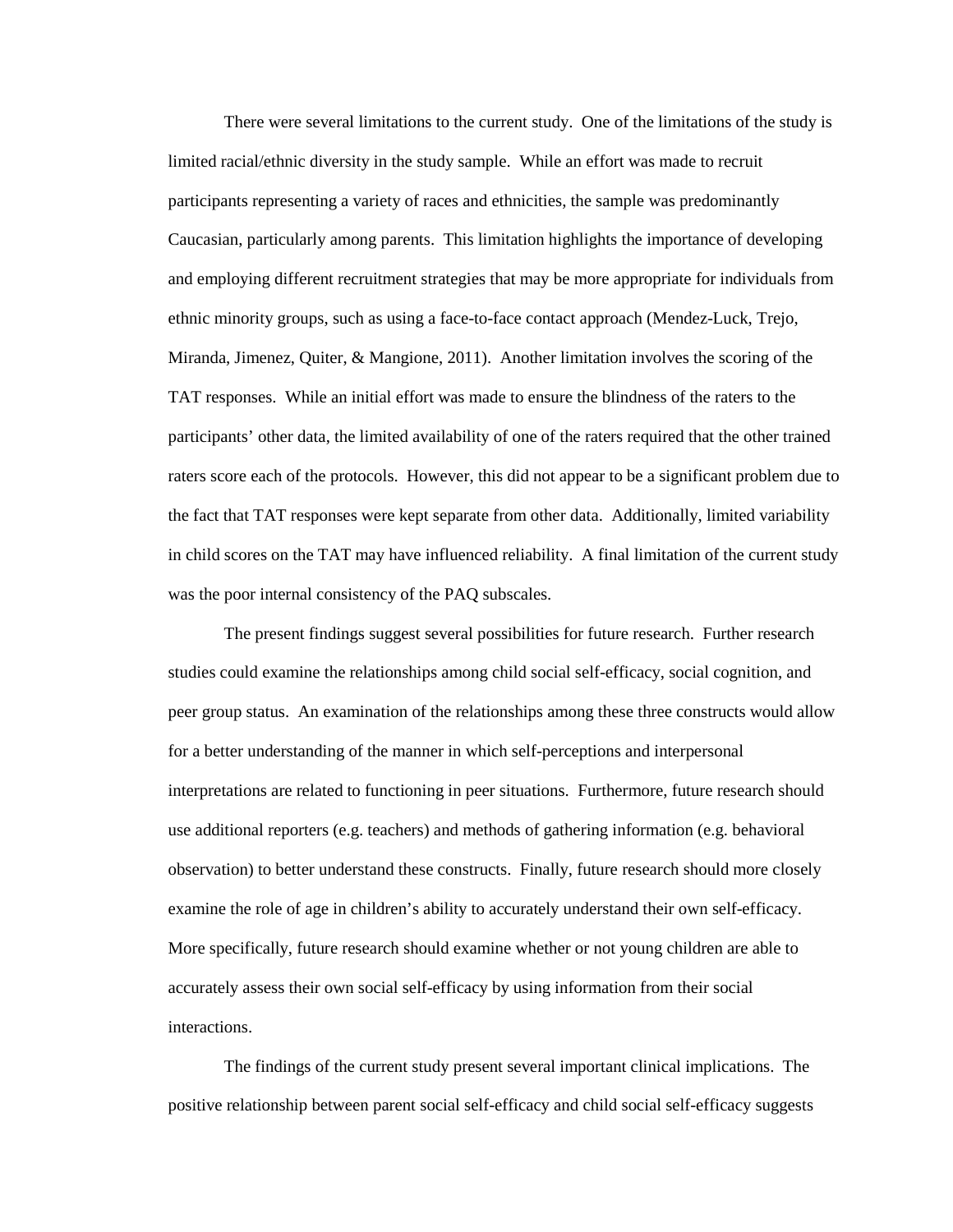There were several limitations to the current study. One of the limitations of the study is limited racial/ethnic diversity in the study sample. While an effort was made to recruit participants representing a variety of races and ethnicities, the sample was predominantly Caucasian, particularly among parents. This limitation highlights the importance of developing and employing different recruitment strategies that may be more appropriate for individuals from ethnic minority groups, such as using a face-to-face contact approach (Mendez-Luck, Trejo, Miranda, Jimenez, Quiter, & Mangione, 2011). Another limitation involves the scoring of the TAT responses. While an initial effort was made to ensure the blindness of the raters to the participants' other data, the limited availability of one of the raters required that the other trained raters score each of the protocols. However, this did not appear to be a significant problem due to the fact that TAT responses were kept separate from other data. Additionally, limited variability in child scores on the TAT may have influenced reliability. A final limitation of the current study was the poor internal consistency of the PAQ subscales.

 The present findings suggest several possibilities for future research. Further research studies could examine the relationships among child social self-efficacy, social cognition, and peer group status. An examination of the relationships among these three constructs would allow for a better understanding of the manner in which self-perceptions and interpersonal interpretations are related to functioning in peer situations. Furthermore, future research should use additional reporters (e.g. teachers) and methods of gathering information (e.g. behavioral observation) to better understand these constructs. Finally, future research should more closely examine the role of age in children's ability to accurately understand their own self-efficacy. More specifically, future research should examine whether or not young children are able to accurately assess their own social self-efficacy by using information from their social interactions.

 The findings of the current study present several important clinical implications. The positive relationship between parent social self-efficacy and child social self-efficacy suggests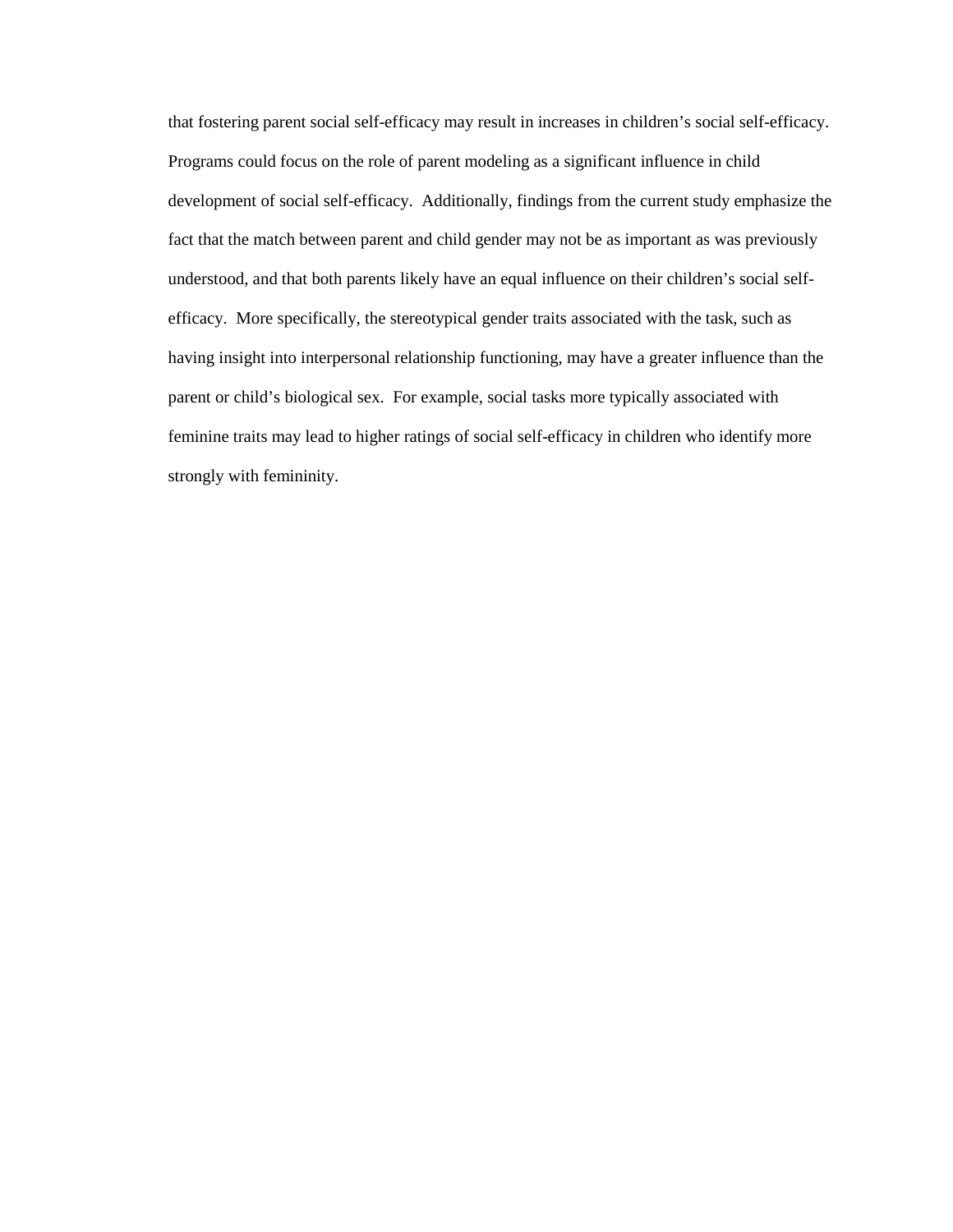that fostering parent social self-efficacy may result in increases in children's social self-efficacy. Programs could focus on the role of parent modeling as a significant influence in child development of social self-efficacy. Additionally, findings from the current study emphasize the fact that the match between parent and child gender may not be as important as was previously understood, and that both parents likely have an equal influence on their children's social selfefficacy. More specifically, the stereotypical gender traits associated with the task, such as having insight into interpersonal relationship functioning, may have a greater influence than the parent or child's biological sex. For example, social tasks more typically associated with feminine traits may lead to higher ratings of social self-efficacy in children who identify more strongly with femininity.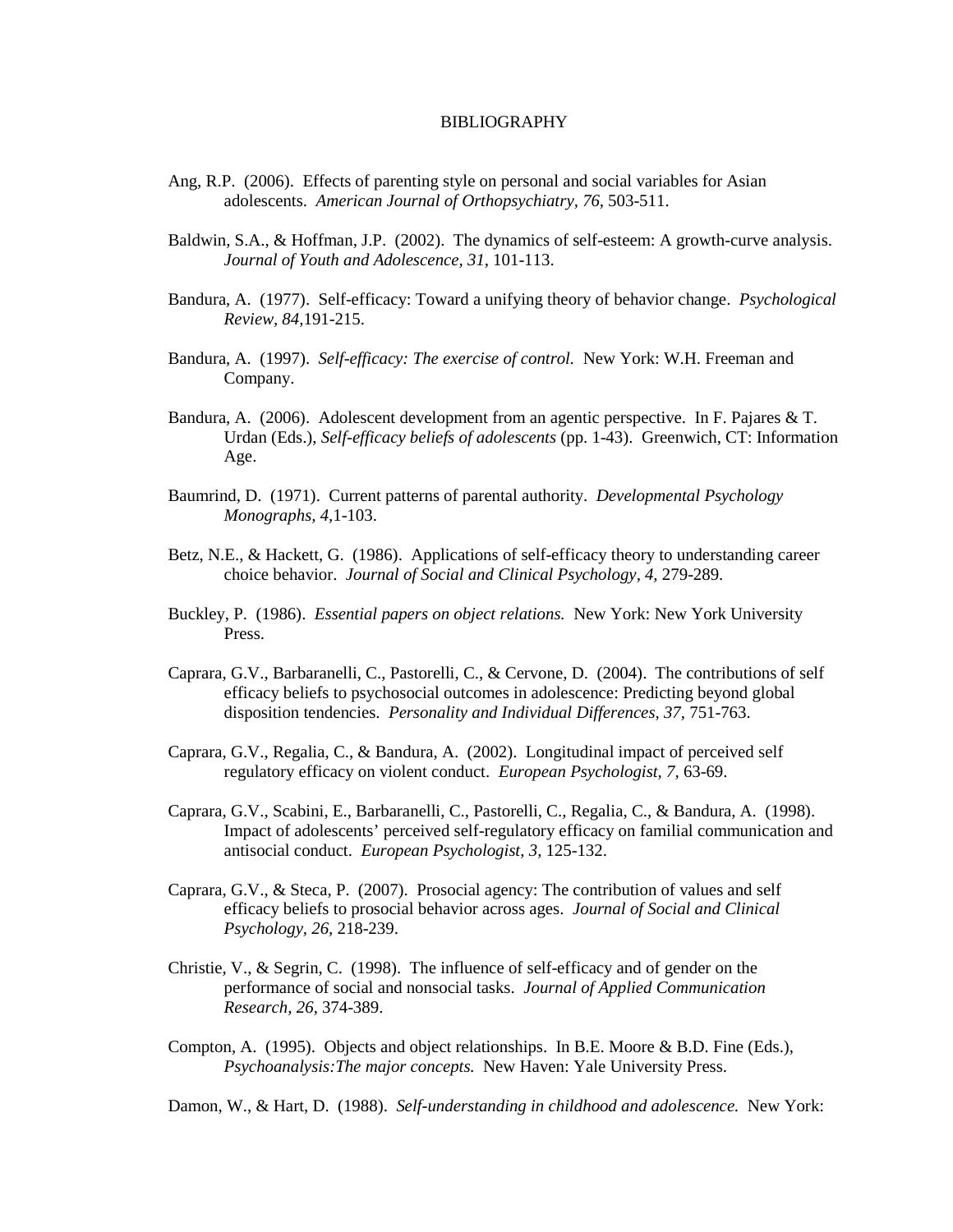# BIBLIOGRAPHY

- Ang, R.P. (2006). Effects of parenting style on personal and social variables for Asian adolescents. *American Journal of Orthopsychiatry, 76,* 503-511.
- Baldwin, S.A., & Hoffman, J.P. (2002). The dynamics of self-esteem: A growth-curve analysis. *Journal of Youth and Adolescence, 31,* 101-113.
- Bandura, A. (1977). Self-efficacy: Toward a unifying theory of behavior change. *Psychological Review, 84,*191-215.
- Bandura, A. (1997). *Self-efficacy: The exercise of control.* New York: W.H. Freeman and Company.
- Bandura, A. (2006). Adolescent development from an agentic perspective. In F. Pajares & T. Urdan (Eds.), *Self-efficacy beliefs of adolescents* (pp. 1-43). Greenwich, CT: Information Age.
- Baumrind, D. (1971). Current patterns of parental authority. *Developmental Psychology Monographs, 4,*1-103.
- Betz, N.E., & Hackett, G. (1986). Applications of self-efficacy theory to understanding career choice behavior. *Journal of Social and Clinical Psychology, 4,* 279-289.
- Buckley, P. (1986). *Essential papers on object relations.* New York: New York University Press.
- Caprara, G.V., Barbaranelli, C., Pastorelli, C., & Cervone, D. (2004). The contributions of self efficacy beliefs to psychosocial outcomes in adolescence: Predicting beyond global disposition tendencies. *Personality and Individual Differences, 37,* 751-763.
- Caprara, G.V., Regalia, C., & Bandura, A. (2002). Longitudinal impact of perceived self regulatory efficacy on violent conduct. *European Psychologist, 7,* 63-69.
- Caprara, G.V., Scabini, E., Barbaranelli, C., Pastorelli, C., Regalia, C., & Bandura, A. (1998). Impact of adolescents' perceived self-regulatory efficacy on familial communication and antisocial conduct. *European Psychologist, 3,* 125-132.
- Caprara, G.V., & Steca, P. (2007). Prosocial agency: The contribution of values and self efficacy beliefs to prosocial behavior across ages. *Journal of Social and Clinical Psychology, 26,* 218-239.
- Christie, V., & Segrin, C. (1998). The influence of self-efficacy and of gender on the performance of social and nonsocial tasks. *Journal of Applied Communication Research, 26,* 374-389.
- Compton, A. (1995). Objects and object relationships. In B.E. Moore & B.D. Fine (Eds.), *Psychoanalysis:The major concepts.* New Haven: Yale University Press.

Damon, W., & Hart, D. (1988). *Self-understanding in childhood and adolescence.* New York: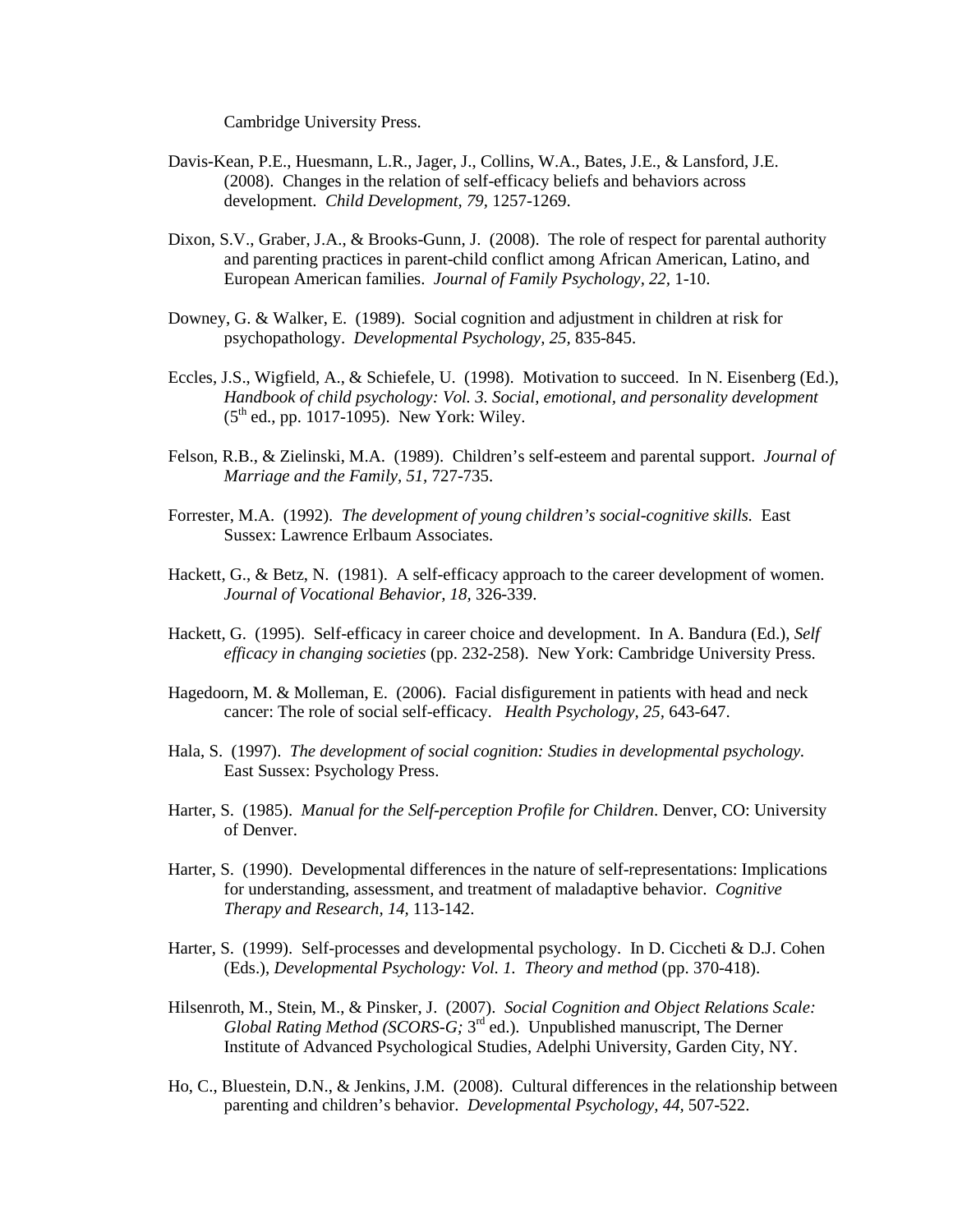Cambridge University Press.

- Davis-Kean, P.E., Huesmann, L.R., Jager, J., Collins, W.A., Bates, J.E., & Lansford, J.E. (2008). Changes in the relation of self-efficacy beliefs and behaviors across development. *Child Development, 79,* 1257-1269.
- Dixon, S.V., Graber, J.A., & Brooks-Gunn, J. (2008). The role of respect for parental authority and parenting practices in parent-child conflict among African American, Latino, and European American families. *Journal of Family Psychology, 22,* 1-10.
- Downey, G. & Walker, E. (1989). Social cognition and adjustment in children at risk for psychopathology. *Developmental Psychology, 25,* 835-845.
- Eccles, J.S., Wigfield, A., & Schiefele, U. (1998). Motivation to succeed. In N. Eisenberg (Ed.), *Handbook of child psychology: Vol. 3. Social, emotional, and personality development*  $(5^{th}$  ed., pp. 1017-1095). New York: Wiley.
- Felson, R.B., & Zielinski, M.A. (1989). Children's self-esteem and parental support. *Journal of Marriage and the Family, 51,* 727-735.
- Forrester, M.A. (1992). *The development of young children's social-cognitive skills.* East Sussex: Lawrence Erlbaum Associates.
- Hackett, G., & Betz, N. (1981). A self-efficacy approach to the career development of women.  *Journal of Vocational Behavior, 18,* 326-339.
- Hackett, G. (1995). Self-efficacy in career choice and development. In A. Bandura (Ed.), *Self efficacy in changing societies* (pp. 232-258). New York: Cambridge University Press.
- Hagedoorn, M. & Molleman, E. (2006). Facial disfigurement in patients with head and neck cancer: The role of social self-efficacy. *Health Psychology, 25,* 643-647.
- Hala, S. (1997). *The development of social cognition: Studies in developmental psychology.* East Sussex: Psychology Press.
- Harter, S. (1985). *Manual for the Self-perception Profile for Children*. Denver, CO: University of Denver.
- Harter, S. (1990). Developmental differences in the nature of self-representations: Implications for understanding, assessment, and treatment of maladaptive behavior. *Cognitive Therapy and Research, 14,* 113-142.
- Harter, S. (1999). Self-processes and developmental psychology. In D. Ciccheti & D.J. Cohen (Eds.), *Developmental Psychology: Vol. 1. Theory and method* (pp. 370-418).
- Hilsenroth, M., Stein, M., & Pinsker, J. (2007). *Social Cognition and Object Relations Scale:*  Global Rating Method (SCORS-G; 3<sup>rd</sup> ed.). Unpublished manuscript, The Derner Institute of Advanced Psychological Studies, Adelphi University, Garden City, NY.
- Ho, C., Bluestein, D.N., & Jenkins, J.M. (2008). Cultural differences in the relationship between parenting and children's behavior. *Developmental Psychology, 44,* 507-522.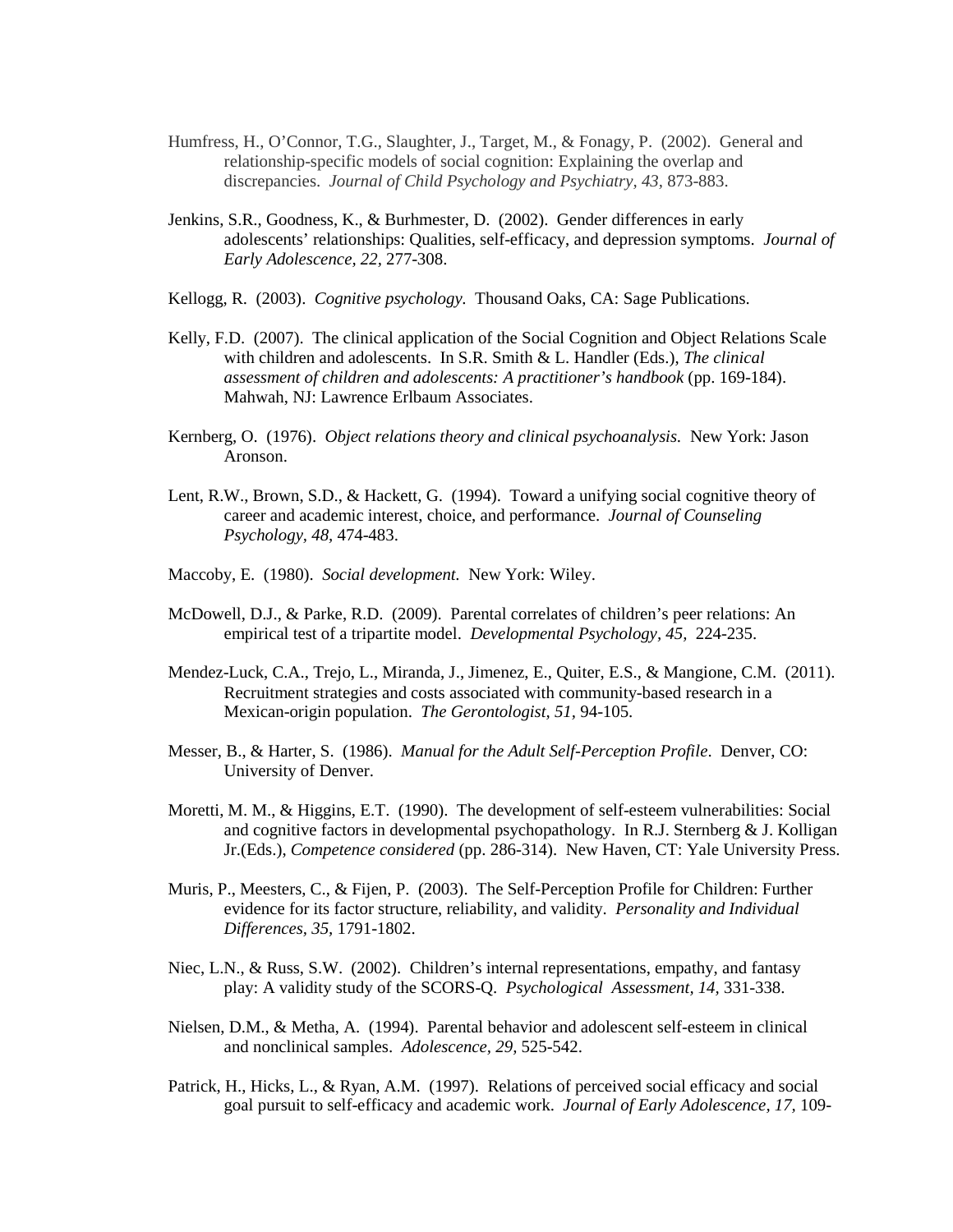- Humfress, H., O'Connor, T.G., Slaughter, J., Target, M., & Fonagy, P. (2002). General and relationship-specific models of social cognition: Explaining the overlap and discrepancies. *Journal of Child Psychology and Psychiatry, 43,* 873-883.
- Jenkins, S.R., Goodness, K., & Burhmester, D. (2002). Gender differences in early adolescents' relationships: Qualities, self-efficacy, and depression symptoms. *Journal of Early Adolescence, 22,* 277-308.
- Kellogg, R. (2003). *Cognitive psychology.* Thousand Oaks, CA: Sage Publications.
- Kelly, F.D. (2007). The clinical application of the Social Cognition and Object Relations Scale with children and adolescents. In S.R. Smith & L. Handler (Eds.), *The clinical assessment of children and adolescents: A practitioner's handbook* (pp. 169-184). Mahwah, NJ: Lawrence Erlbaum Associates.
- Kernberg, O. (1976). *Object relations theory and clinical psychoanalysis.* New York: Jason Aronson.
- Lent, R.W., Brown, S.D., & Hackett, G. (1994). Toward a unifying social cognitive theory of career and academic interest, choice, and performance. *Journal of Counseling Psychology, 48,* 474-483.
- Maccoby, E. (1980). *Social development.* New York: Wiley.
- McDowell, D.J., & Parke, R.D. (2009). Parental correlates of children's peer relations: An empirical test of a tripartite model. *Developmental Psychology, 45,* 224-235.
- Mendez-Luck, C.A., Trejo, L., Miranda, J., Jimenez, E., Quiter, E.S., & Mangione, C.M. (2011). Recruitment strategies and costs associated with community-based research in a Mexican-origin population. *The Gerontologist, 51,* 94-105.
- Messer, B., & Harter, S. (1986). *Manual for the Adult Self-Perception Profile*. Denver, CO: University of Denver.
- Moretti, M. M., & Higgins, E.T. (1990). The development of self-esteem vulnerabilities: Social and cognitive factors in developmental psychopathology. In R.J. Sternberg  $&$  J. Kolligan Jr.(Eds.), *Competence considered* (pp. 286-314). New Haven, CT: Yale University Press.
- Muris, P., Meesters, C., & Fijen, P. (2003). The Self-Perception Profile for Children: Further evidence for its factor structure, reliability, and validity. *Personality and Individual Differences, 35,* 1791-1802.
- Niec, L.N., & Russ, S.W. (2002). Children's internal representations, empathy, and fantasy play: A validity study of the SCORS-Q. *Psychological Assessment, 14,* 331-338.
- Nielsen, D.M., & Metha, A. (1994). Parental behavior and adolescent self-esteem in clinical and nonclinical samples. *Adolescence, 29,* 525-542.
- Patrick, H., Hicks, L., & Ryan, A.M. (1997). Relations of perceived social efficacy and social goal pursuit to self-efficacy and academic work. *Journal of Early Adolescence, 17,* 109-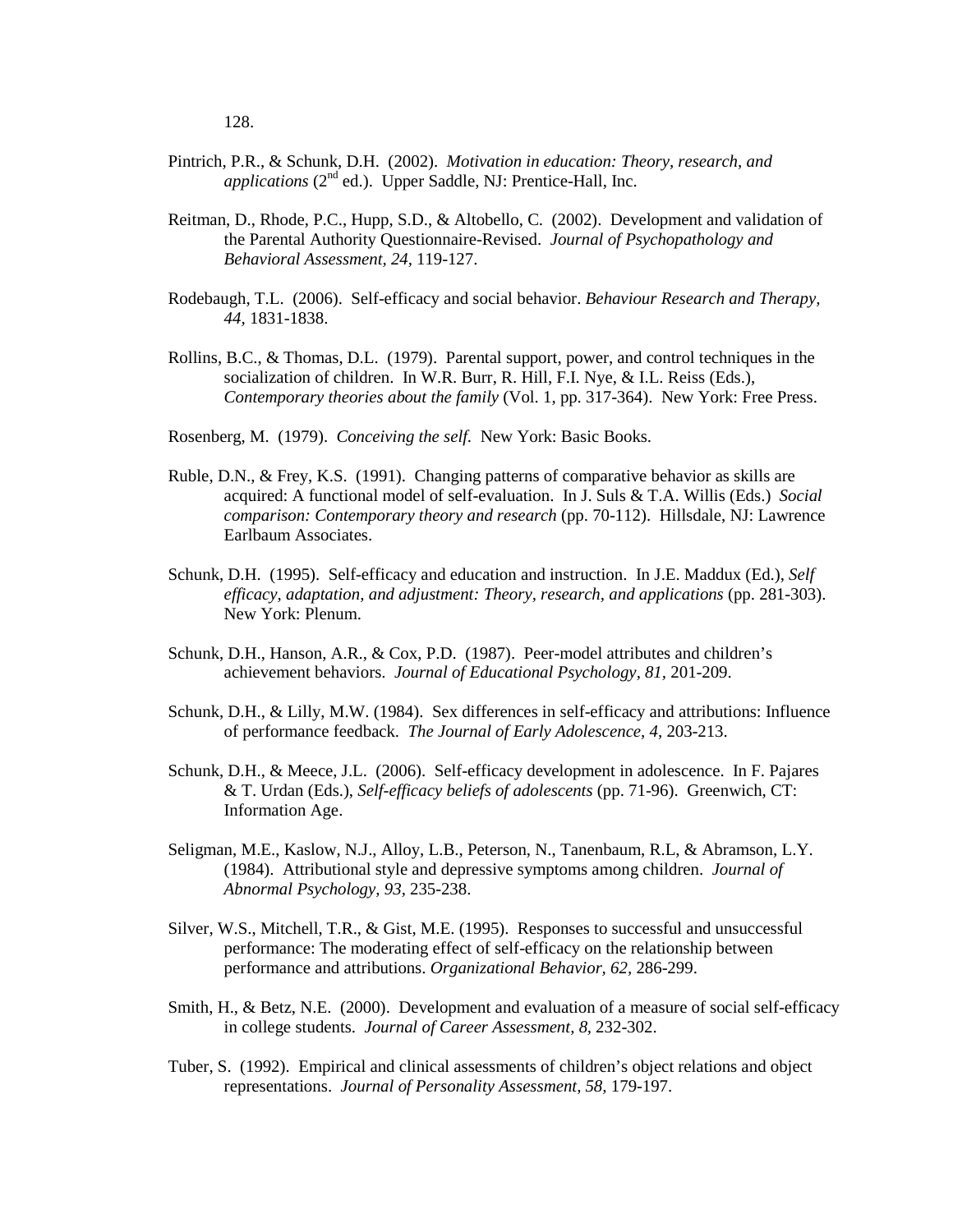- Pintrich, P.R., & Schunk, D.H. (2002). *Motivation in education: Theory, research, and applications* (2<sup>nd</sup> ed.). Upper Saddle, NJ: Prentice-Hall, Inc.
- Reitman, D., Rhode, P.C., Hupp, S.D., & Altobello, C. (2002). Development and validation of the Parental Authority Questionnaire-Revised. *Journal of Psychopathology and Behavioral Assessment, 24,* 119-127.
- Rodebaugh, T.L. (2006). Self-efficacy and social behavior. *Behaviour Research and Therapy, 44,* 1831-1838.
- Rollins, B.C., & Thomas, D.L. (1979). Parental support, power, and control techniques in the socialization of children. In W.R. Burr, R. Hill, F.I. Nye, & I.L. Reiss (Eds.), *Contemporary theories about the family* (Vol. 1, pp. 317-364). New York: Free Press.
- Rosenberg, M. (1979). *Conceiving the self.* New York: Basic Books.
- Ruble, D.N., & Frey, K.S. (1991). Changing patterns of comparative behavior as skills are acquired: A functional model of self-evaluation. In J. Suls & T.A. Willis (Eds.) *Social comparison: Contemporary theory and research* (pp. 70-112). Hillsdale, NJ: Lawrence Earlbaum Associates.
- Schunk, D.H. (1995). Self-efficacy and education and instruction. In J.E. Maddux (Ed.), *Self efficacy, adaptation, and adjustment: Theory, research, and applications* (pp. 281-303). New York: Plenum.
- Schunk, D.H., Hanson, A.R., & Cox, P.D. (1987). Peer-model attributes and children's achievement behaviors. *Journal of Educational Psychology, 81,* 201-209.
- Schunk, D.H., & Lilly, M.W. (1984). Sex differences in self-efficacy and attributions: Influence of performance feedback. *The Journal of Early Adolescence, 4,* 203-213.
- Schunk, D.H., & Meece, J.L. (2006). Self-efficacy development in adolescence. In F. Pajares & T. Urdan (Eds.), *Self-efficacy beliefs of adolescents* (pp. 71-96). Greenwich, CT: Information Age.
- Seligman, M.E., Kaslow, N.J., Alloy, L.B., Peterson, N., Tanenbaum, R.L, & Abramson, L.Y. (1984). Attributional style and depressive symptoms among children. *Journal of Abnormal Psychology, 93,* 235-238.
- Silver, W.S., Mitchell, T.R., & Gist, M.E. (1995). Responses to successful and unsuccessful performance: The moderating effect of self-efficacy on the relationship between performance and attributions. *Organizational Behavior, 62,* 286-299.
- Smith, H., & Betz, N.E. (2000). Development and evaluation of a measure of social self-efficacy in college students. *Journal of Career Assessment, 8,* 232-302.
- Tuber, S. (1992). Empirical and clinical assessments of children's object relations and object representations. *Journal of Personality Assessment, 58,* 179-197.